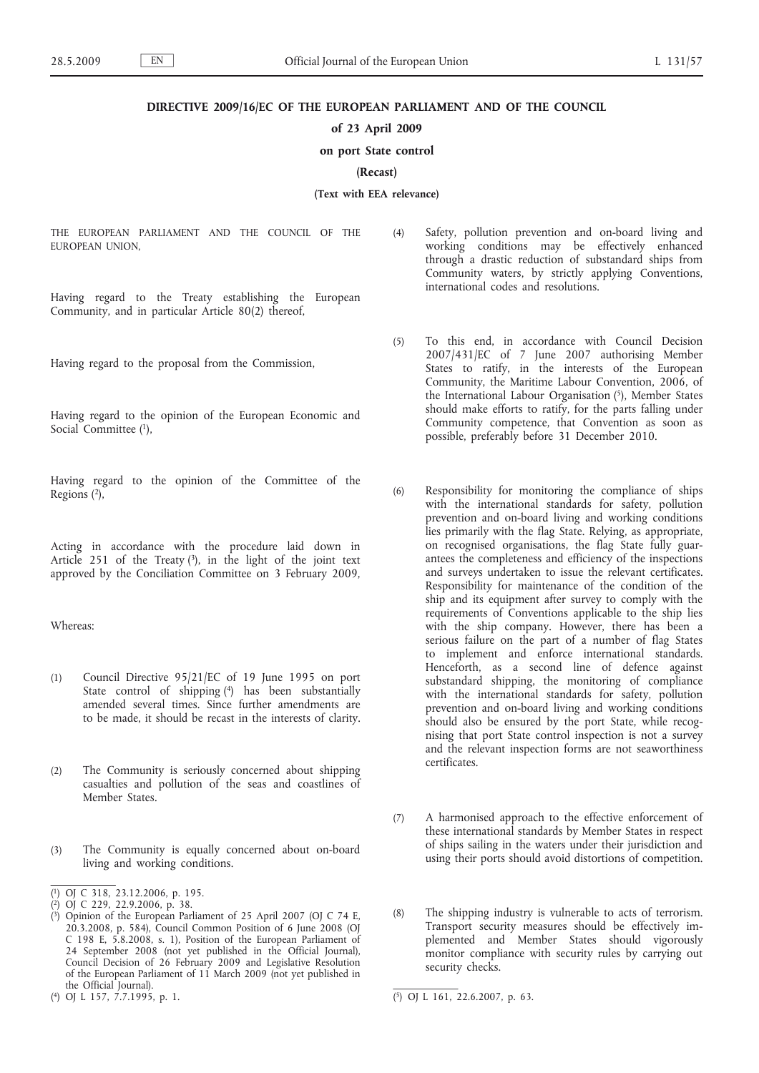# **DIRECTIVE 2009/16/EC OF THE EUROPEAN PARLIAMENT AND OF THE COUNCIL**

#### **of 23 April 2009**

**on port State control**

**(Recast)**

# **(Text with EEA relevance)**

THE EUROPEAN PARLIAMENT AND THE COUNCIL OF THE EUROPEAN UNION,

Having regard to the Treaty establishing the European Community, and in particular Article 80(2) thereof,

Having regard to the proposal from the Commission,

Having regard to the opinion of the European Economic and Social Committee (1),

Having regard to the opinion of the Committee of the Regions (2),

Acting in accordance with the procedure laid down in Article 251 of the Treaty  $(3)$ , in the light of the joint text approved by the Conciliation Committee on 3 February 2009,

Whereas:

- (1) Council Directive 95/21/EC of 19 June 1995 on port State control of shipping (4) has been substantially amended several times. Since further amendments are to be made, it should be recast in the interests of clarity.
- (2) The Community is seriously concerned about shipping casualties and pollution of the seas and coastlines of Member States.
- (3) The Community is equally concerned about on-board living and working conditions.

( 3) Opinion of the European Parliament of 25 April 2007 (OJ C 74 E, 20.3.2008, p. 584), Council Common Position of 6 June 2008 (OJ C 198 E, 5.8.2008, s. 1), Position of the European Parliament of 24 September 2008 (not yet published in the Official Journal), Council Decision of 26 February 2009 and Legislative Resolution of the European Parliament of 11 March 2009 (not yet published in the Official Journal).

- (4) Safety, pollution prevention and on-board living and working conditions may be effectively enhanced through a drastic reduction of substandard ships from Community waters, by strictly applying Conventions, international codes and resolutions.
- (5) To this end, in accordance with Council Decision 2007/431/EC of 7 June 2007 authorising Member States to ratify, in the interests of the European Community, the Maritime Labour Convention, 2006, of the International Labour Organisation (5), Member States should make efforts to ratify, for the parts falling under Community competence, that Convention as soon as possible, preferably before 31 December 2010.
- (6) Responsibility for monitoring the compliance of ships with the international standards for safety, pollution prevention and on-board living and working conditions lies primarily with the flag State. Relying, as appropriate, on recognised organisations, the flag State fully guarantees the completeness and efficiency of the inspections and surveys undertaken to issue the relevant certificates. Responsibility for maintenance of the condition of the ship and its equipment after survey to comply with the requirements of Conventions applicable to the ship lies with the ship company. However, there has been a serious failure on the part of a number of flag States to implement and enforce international standards. Henceforth, as a second line of defence against substandard shipping, the monitoring of compliance with the international standards for safety, pollution prevention and on-board living and working conditions should also be ensured by the port State, while recognising that port State control inspection is not a survey and the relevant inspection forms are not seaworthiness certificates.
- (7) A harmonised approach to the effective enforcement of these international standards by Member States in respect of ships sailing in the waters under their jurisdiction and using their ports should avoid distortions of competition.
- (8) The shipping industry is vulnerable to acts of terrorism. Transport security measures should be effectively implemented and Member States should vigorously monitor compliance with security rules by carrying out security checks.

<sup>(</sup> 1) OJ C 318, 23.12.2006, p. 195.

<sup>(</sup> 2) OJ C 229, 22.9.2006, p. 38.

<sup>(4)</sup> OJ L 157,  $7.7.1995$ , p. 1.

 $(5)$  OJ L 161, 22.6.2007, p. 63.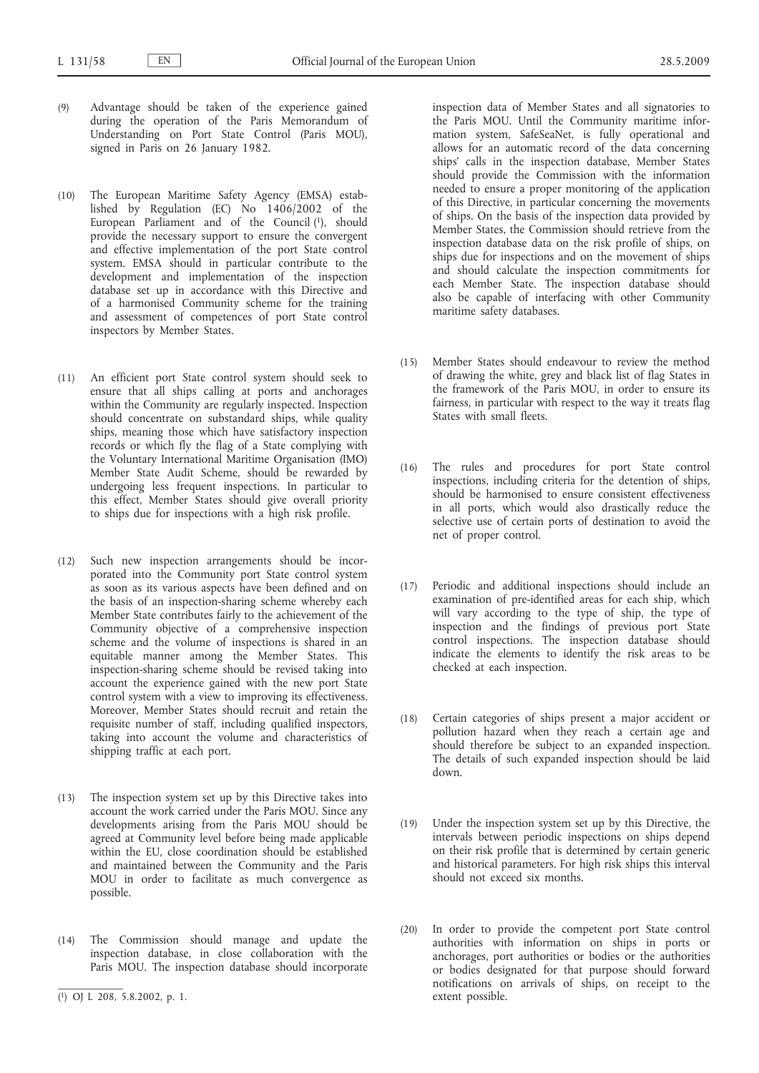- (9) Advantage should be taken of the experience gained during the operation of the Paris Memorandum of Understanding on Port State Control (Paris MOU), signed in Paris on 26 January 1982.
- (10) The European Maritime Safety Agency (EMSA) established by Regulation (EC) No 1406/2002 of the European Parliament and of the Council (1), should provide the necessary support to ensure the convergent and effective implementation of the port State control system. EMSA should in particular contribute to the development and implementation of the inspection database set up in accordance with this Directive and of a harmonised Community scheme for the training and assessment of competences of port State control inspectors by Member States.
- (11) An efficient port State control system should seek to ensure that all ships calling at ports and anchorages within the Community are regularly inspected. Inspection should concentrate on substandard ships, while quality ships, meaning those which have satisfactory inspection records or which fly the flag of a State complying with the Voluntary International Maritime Organisation (IMO) Member State Audit Scheme, should be rewarded by undergoing less frequent inspections. In particular to this effect, Member States should give overall priority to ships due for inspections with a high risk profile.
- (12) Such new inspection arrangements should be incorporated into the Community port State control system as soon as its various aspects have been defined and on the basis of an inspection-sharing scheme whereby each Member State contributes fairly to the achievement of the Community objective of a comprehensive inspection scheme and the volume of inspections is shared in an equitable manner among the Member States. This inspection-sharing scheme should be revised taking into account the experience gained with the new port State control system with a view to improving its effectiveness. Moreover, Member States should recruit and retain the requisite number of staff, including qualified inspectors, taking into account the volume and characteristics of shipping traffic at each port.
- (13) The inspection system set up by this Directive takes into account the work carried under the Paris MOU. Since any developments arising from the Paris MOU should be agreed at Community level before being made applicable within the EU, close coordination should be established and maintained between the Community and the Paris MOU in order to facilitate as much convergence as possible.
- (14) The Commission should manage and update the inspection database, in close collaboration with the Paris MOU. The inspection database should incorporate

inspection data of Member States and all signatories to the Paris MOU. Until the Community maritime information system, SafeSeaNet, is fully operational and allows for an automatic record of the data concerning ships' calls in the inspection database, Member States should provide the Commission with the information needed to ensure a proper monitoring of the application of this Directive, in particular concerning the movements of ships. On the basis of the inspection data provided by Member States, the Commission should retrieve from the inspection database data on the risk profile of ships, on ships due for inspections and on the movement of ships and should calculate the inspection commitments for each Member State. The inspection database should also be capable of interfacing with other Community maritime safety databases.

- (15) Member States should endeavour to review the method of drawing the white, grey and black list of flag States in the framework of the Paris MOU, in order to ensure its fairness, in particular with respect to the way it treats flag States with small fleets.
- (16) The rules and procedures for port State control inspections, including criteria for the detention of ships, should be harmonised to ensure consistent effectiveness in all ports, which would also drastically reduce the selective use of certain ports of destination to avoid the net of proper control.
- (17) Periodic and additional inspections should include an examination of pre-identified areas for each ship, which will vary according to the type of ship, the type of inspection and the findings of previous port State control inspections. The inspection database should indicate the elements to identify the risk areas to be checked at each inspection.
- (18) Certain categories of ships present a major accident or pollution hazard when they reach a certain age and should therefore be subject to an expanded inspection. The details of such expanded inspection should be laid down.
- (19) Under the inspection system set up by this Directive, the intervals between periodic inspections on ships depend on their risk profile that is determined by certain generic and historical parameters. For high risk ships this interval should not exceed six months.
- (20) In order to provide the competent port State control authorities with information on ships in ports or anchorages, port authorities or bodies or the authorities or bodies designated for that purpose should forward notifications on arrivals of ships, on receipt to the extent possible.

<sup>(</sup> 1) OJ L 208, 5.8.2002, p. 1.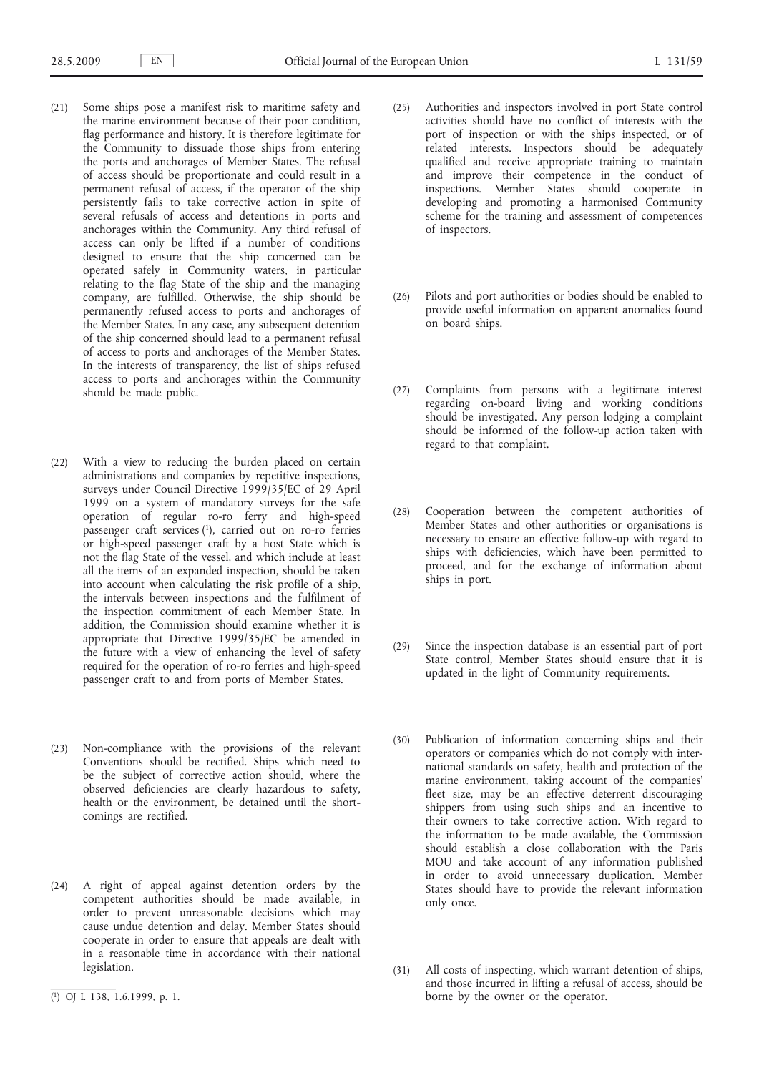- (21) Some ships pose a manifest risk to maritime safety and the marine environment because of their poor condition, flag performance and history. It is therefore legitimate for the Community to dissuade those ships from entering the ports and anchorages of Member States. The refusal of access should be proportionate and could result in a permanent refusal of access, if the operator of the ship persistently fails to take corrective action in spite of several refusals of access and detentions in ports and anchorages within the Community. Any third refusal of access can only be lifted if a number of conditions designed to ensure that the ship concerned can be operated safely in Community waters, in particular relating to the flag State of the ship and the managing company, are fulfilled. Otherwise, the ship should be permanently refused access to ports and anchorages of the Member States. In any case, any subsequent detention of the ship concerned should lead to a permanent refusal of access to ports and anchorages of the Member States. In the interests of transparency, the list of ships refused access to ports and anchorages within the Community should be made public.
- (22) With a view to reducing the burden placed on certain administrations and companies by repetitive inspections, surveys under Council Directive 1999/35/EC of 29 April 1999 on a system of mandatory surveys for the safe operation of regular ro-ro ferry and high-speed passenger craft services (1), carried out on ro-ro ferries or high-speed passenger craft by a host State which is not the flag State of the vessel, and which include at least all the items of an expanded inspection, should be taken into account when calculating the risk profile of a ship, the intervals between inspections and the fulfilment of the inspection commitment of each Member State. In addition, the Commission should examine whether it is appropriate that Directive 1999/35/EC be amended in the future with a view of enhancing the level of safety required for the operation of ro-ro ferries and high-speed passenger craft to and from ports of Member States.
- (23) Non-compliance with the provisions of the relevant Conventions should be rectified. Ships which need to be the subject of corrective action should, where the observed deficiencies are clearly hazardous to safety, health or the environment, be detained until the shortcomings are rectified.
- (24) A right of appeal against detention orders by the competent authorities should be made available, in order to prevent unreasonable decisions which may cause undue detention and delay. Member States should cooperate in order to ensure that appeals are dealt with in a reasonable time in accordance with their national legislation.
- (25) Authorities and inspectors involved in port State control activities should have no conflict of interests with the port of inspection or with the ships inspected, or of related interests. Inspectors should be adequately qualified and receive appropriate training to maintain and improve their competence in the conduct of inspections. Member States should cooperate in developing and promoting a harmonised Community scheme for the training and assessment of competences of inspectors.
- (26) Pilots and port authorities or bodies should be enabled to provide useful information on apparent anomalies found on board ships.
- (27) Complaints from persons with a legitimate interest regarding on-board living and working conditions should be investigated. Any person lodging a complaint should be informed of the follow-up action taken with regard to that complaint.
- (28) Cooperation between the competent authorities of Member States and other authorities or organisations is necessary to ensure an effective follow-up with regard to ships with deficiencies, which have been permitted to proceed, and for the exchange of information about ships in port.
- (29) Since the inspection database is an essential part of port State control, Member States should ensure that it is updated in the light of Community requirements.
- (30) Publication of information concerning ships and their operators or companies which do not comply with international standards on safety, health and protection of the marine environment, taking account of the companies' fleet size, may be an effective deterrent discouraging shippers from using such ships and an incentive to their owners to take corrective action. With regard to the information to be made available, the Commission should establish a close collaboration with the Paris MOU and take account of any information published in order to avoid unnecessary duplication. Member States should have to provide the relevant information only once.
- (31) All costs of inspecting, which warrant detention of ships, and those incurred in lifting a refusal of access, should be borne by the owner or the operator.

<sup>(</sup> 1) OJ L 138, 1.6.1999, p. 1.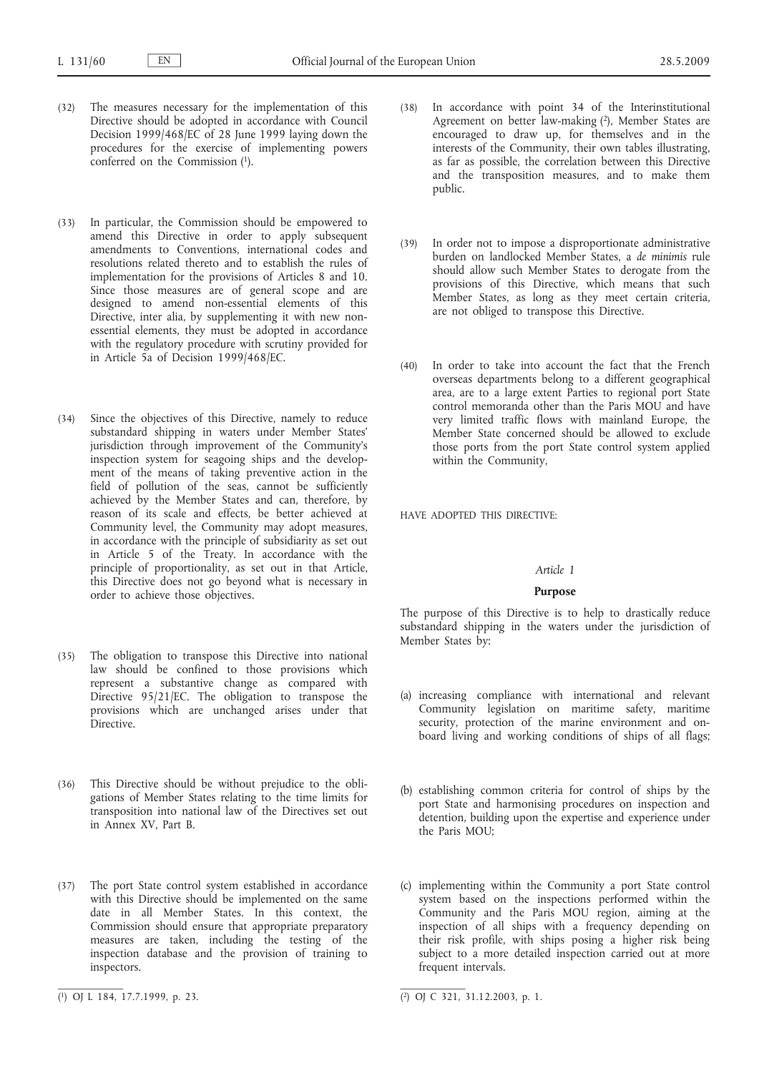- (32) The measures necessary for the implementation of this Directive should be adopted in accordance with Council Decision 1999/468/EC of 28 June 1999 laying down the procedures for the exercise of implementing powers conferred on the Commission (1).
- (33) In particular, the Commission should be empowered to amend this Directive in order to apply subsequent amendments to Conventions, international codes and resolutions related thereto and to establish the rules of implementation for the provisions of Articles 8 and 10. Since those measures are of general scope and are designed to amend non-essential elements of this Directive, inter alia, by supplementing it with new nonessential elements, they must be adopted in accordance with the regulatory procedure with scrutiny provided for in Article 5a of Decision 1999/468/EC.
- (34) Since the objectives of this Directive, namely to reduce substandard shipping in waters under Member States' jurisdiction through improvement of the Community's inspection system for seagoing ships and the development of the means of taking preventive action in the field of pollution of the seas, cannot be sufficiently achieved by the Member States and can, therefore, by reason of its scale and effects, be better achieved at Community level, the Community may adopt measures, in accordance with the principle of subsidiarity as set out in Article 5 of the Treaty. In accordance with the principle of proportionality, as set out in that Article, this Directive does not go beyond what is necessary in order to achieve those objectives.
- (35) The obligation to transpose this Directive into national law should be confined to those provisions which represent a substantive change as compared with Directive 95/21/EC. The obligation to transpose the provisions which are unchanged arises under that Directive.
- (36) This Directive should be without prejudice to the obligations of Member States relating to the time limits for transposition into national law of the Directives set out in Annex XV, Part B.
- (37) The port State control system established in accordance with this Directive should be implemented on the same date in all Member States. In this context, the Commission should ensure that appropriate preparatory measures are taken, including the testing of the inspection database and the provision of training to inspectors.
- (38) In accordance with point 34 of the Interinstitutional Agreement on better law-making (2), Member States are encouraged to draw up, for themselves and in the interests of the Community, their own tables illustrating, as far as possible, the correlation between this Directive and the transposition measures, and to make them public.
- (39) In order not to impose a disproportionate administrative burden on landlocked Member States, a *de minimis* rule should allow such Member States to derogate from the provisions of this Directive, which means that such Member States, as long as they meet certain criteria, are not obliged to transpose this Directive.
- (40) In order to take into account the fact that the French overseas departments belong to a different geographical area, are to a large extent Parties to regional port State control memoranda other than the Paris MOU and have very limited traffic flows with mainland Europe, the Member State concerned should be allowed to exclude those ports from the port State control system applied within the Community,

HAVE ADOPTED THIS DIRECTIVE:

#### *Article 1*

# **Purpose**

The purpose of this Directive is to help to drastically reduce substandard shipping in the waters under the jurisdiction of Member States by:

- (a) increasing compliance with international and relevant Community legislation on maritime safety, maritime security, protection of the marine environment and onboard living and working conditions of ships of all flags;
- (b) establishing common criteria for control of ships by the port State and harmonising procedures on inspection and detention, building upon the expertise and experience under the Paris MOU;
- (c) implementing within the Community a port State control system based on the inspections performed within the Community and the Paris MOU region, aiming at the inspection of all ships with a frequency depending on their risk profile, with ships posing a higher risk being subject to a more detailed inspection carried out at more frequent intervals.

<sup>(1)</sup> OJ L 184, 17.7.1999, p. 23.

 $(2)$  OJ C  $\overline{321, 31.12.2003, p. 1.}$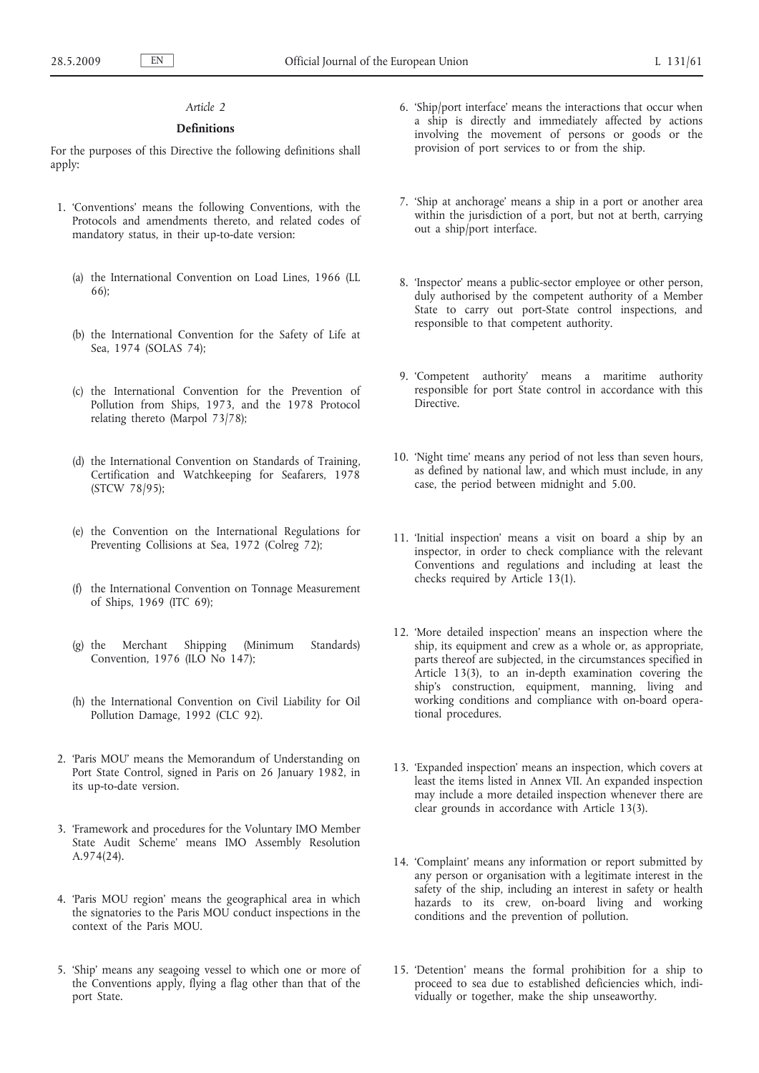#### **Definitions**

For the purposes of this Directive the following definitions shall apply:

- 1. 'Conventions' means the following Conventions, with the Protocols and amendments thereto, and related codes of mandatory status, in their up-to-date version:
	- (a) the International Convention on Load Lines, 1966 (LL 66);
	- (b) the International Convention for the Safety of Life at Sea, 1974 (SOLAS 74);
	- (c) the International Convention for the Prevention of Pollution from Ships, 1973, and the 1978 Protocol relating thereto (Marpol 73/78);
	- (d) the International Convention on Standards of Training, Certification and Watchkeeping for Seafarers, 1978 (STCW 78/95);
	- (e) the Convention on the International Regulations for Preventing Collisions at Sea, 1972 (Colreg 72);
	- (f) the International Convention on Tonnage Measurement of Ships, 1969 (ITC 69);
	- (g) the Merchant Shipping (Minimum Standards) Convention, 1976 (ILO No 147);
	- (h) the International Convention on Civil Liability for Oil Pollution Damage, 1992 (CLC 92).
- 2. 'Paris MOU' means the Memorandum of Understanding on Port State Control, signed in Paris on 26 January 1982, in its up-to-date version.
- 3. 'Framework and procedures for the Voluntary IMO Member State Audit Scheme' means IMO Assembly Resolution A.974(24).
- 4. 'Paris MOU region' means the geographical area in which the signatories to the Paris MOU conduct inspections in the context of the Paris MOU.
- 5. 'Ship' means any seagoing vessel to which one or more of the Conventions apply, flying a flag other than that of the port State.
- 6. 'Ship/port interface' means the interactions that occur when a ship is directly and immediately affected by actions involving the movement of persons or goods or the provision of port services to or from the ship.
- 7. 'Ship at anchorage' means a ship in a port or another area within the jurisdiction of a port, but not at berth, carrying out a ship/port interface.
- 8. 'Inspector' means a public-sector employee or other person, duly authorised by the competent authority of a Member State to carry out port-State control inspections, and responsible to that competent authority.
- 9. 'Competent authority' means a maritime authority responsible for port State control in accordance with this Directive.
- 10. 'Night time' means any period of not less than seven hours, as defined by national law, and which must include, in any case, the period between midnight and 5.00.
- 11. 'Initial inspection' means a visit on board a ship by an inspector, in order to check compliance with the relevant Conventions and regulations and including at least the checks required by Article 13(1).
- 12. 'More detailed inspection' means an inspection where the ship, its equipment and crew as a whole or, as appropriate, parts thereof are subjected, in the circumstances specified in Article 13(3), to an in-depth examination covering the ship's construction, equipment, manning, living and working conditions and compliance with on-board operational procedures.
- 13. 'Expanded inspection' means an inspection, which covers at least the items listed in Annex VII. An expanded inspection may include a more detailed inspection whenever there are clear grounds in accordance with Article 13(3).
- 14. 'Complaint' means any information or report submitted by any person or organisation with a legitimate interest in the safety of the ship, including an interest in safety or health hazards to its crew, on-board living and working conditions and the prevention of pollution.
- 15. 'Detention' means the formal prohibition for a ship to proceed to sea due to established deficiencies which, individually or together, make the ship unseaworthy.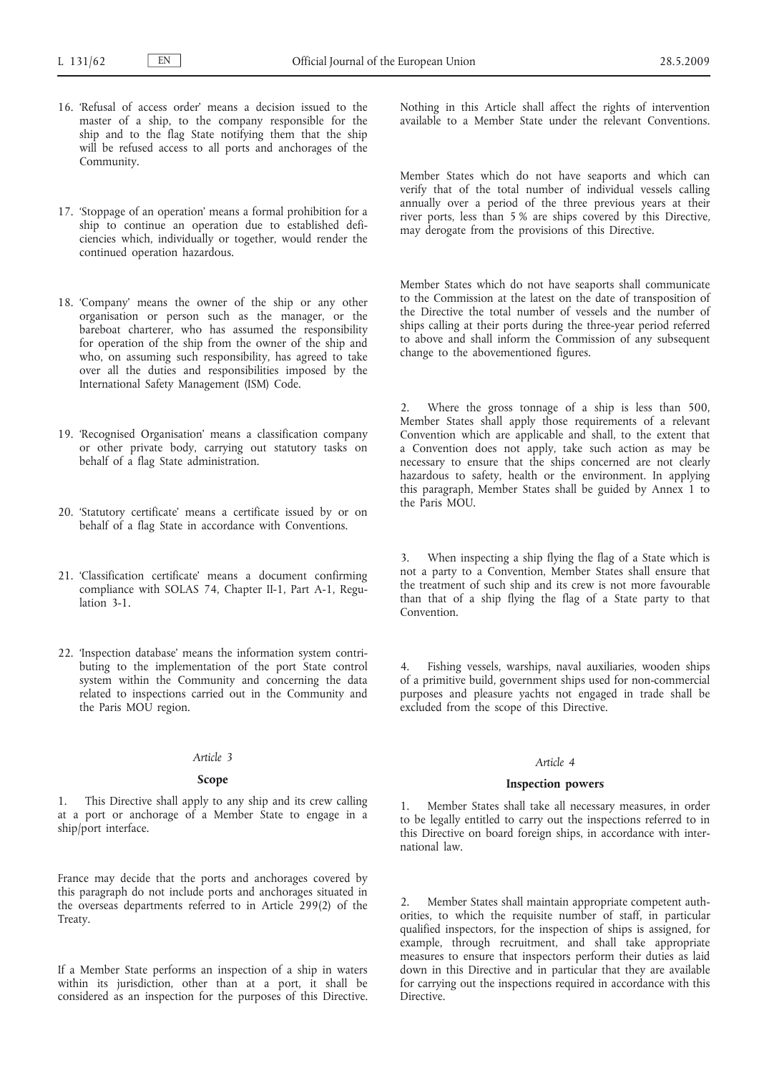- 16. 'Refusal of access order' means a decision issued to the master of a ship, to the company responsible for the ship and to the flag State notifying them that the ship will be refused access to all ports and anchorages of the Community.
- 17. 'Stoppage of an operation' means a formal prohibition for a ship to continue an operation due to established deficiencies which, individually or together, would render the continued operation hazardous.
- 18. 'Company' means the owner of the ship or any other organisation or person such as the manager, or the bareboat charterer, who has assumed the responsibility for operation of the ship from the owner of the ship and who, on assuming such responsibility, has agreed to take over all the duties and responsibilities imposed by the International Safety Management (ISM) Code.
- 19. 'Recognised Organisation' means a classification company or other private body, carrying out statutory tasks on behalf of a flag State administration.
- 20. 'Statutory certificate' means a certificate issued by or on behalf of a flag State in accordance with Conventions.
- 21. 'Classification certificate' means a document confirming compliance with SOLAS 74, Chapter II-1, Part A-1, Regulation 3-1.
- 22. 'Inspection database' means the information system contributing to the implementation of the port State control system within the Community and concerning the data related to inspections carried out in the Community and the Paris MOU region.

#### **Scope**

1. This Directive shall apply to any ship and its crew calling at a port or anchorage of a Member State to engage in a ship/port interface.

France may decide that the ports and anchorages covered by this paragraph do not include ports and anchorages situated in the overseas departments referred to in Article 299(2) of the Treaty.

If a Member State performs an inspection of a ship in waters within its jurisdiction, other than at a port, it shall be considered as an inspection for the purposes of this Directive. Nothing in this Article shall affect the rights of intervention available to a Member State under the relevant Conventions.

Member States which do not have seaports and which can verify that of the total number of individual vessels calling annually over a period of the three previous years at their river ports, less than 5 % are ships covered by this Directive, may derogate from the provisions of this Directive.

Member States which do not have seaports shall communicate to the Commission at the latest on the date of transposition of the Directive the total number of vessels and the number of ships calling at their ports during the three-year period referred to above and shall inform the Commission of any subsequent change to the abovementioned figures.

2. Where the gross tonnage of a ship is less than 500, Member States shall apply those requirements of a relevant Convention which are applicable and shall, to the extent that a Convention does not apply, take such action as may be necessary to ensure that the ships concerned are not clearly hazardous to safety, health or the environment. In applying this paragraph, Member States shall be guided by Annex 1 to the Paris MOU.

3. When inspecting a ship flying the flag of a State which is not a party to a Convention, Member States shall ensure that the treatment of such ship and its crew is not more favourable than that of a ship flying the flag of a State party to that Convention.

4. Fishing vessels, warships, naval auxiliaries, wooden ships of a primitive build, government ships used for non-commercial purposes and pleasure yachts not engaged in trade shall be excluded from the scope of this Directive.

## *Article 4*

# **Inspection powers**

Member States shall take all necessary measures, in order to be legally entitled to carry out the inspections referred to in this Directive on board foreign ships, in accordance with international law.

2. Member States shall maintain appropriate competent authorities, to which the requisite number of staff, in particular qualified inspectors, for the inspection of ships is assigned, for example, through recruitment, and shall take appropriate measures to ensure that inspectors perform their duties as laid down in this Directive and in particular that they are available for carrying out the inspections required in accordance with this Directive.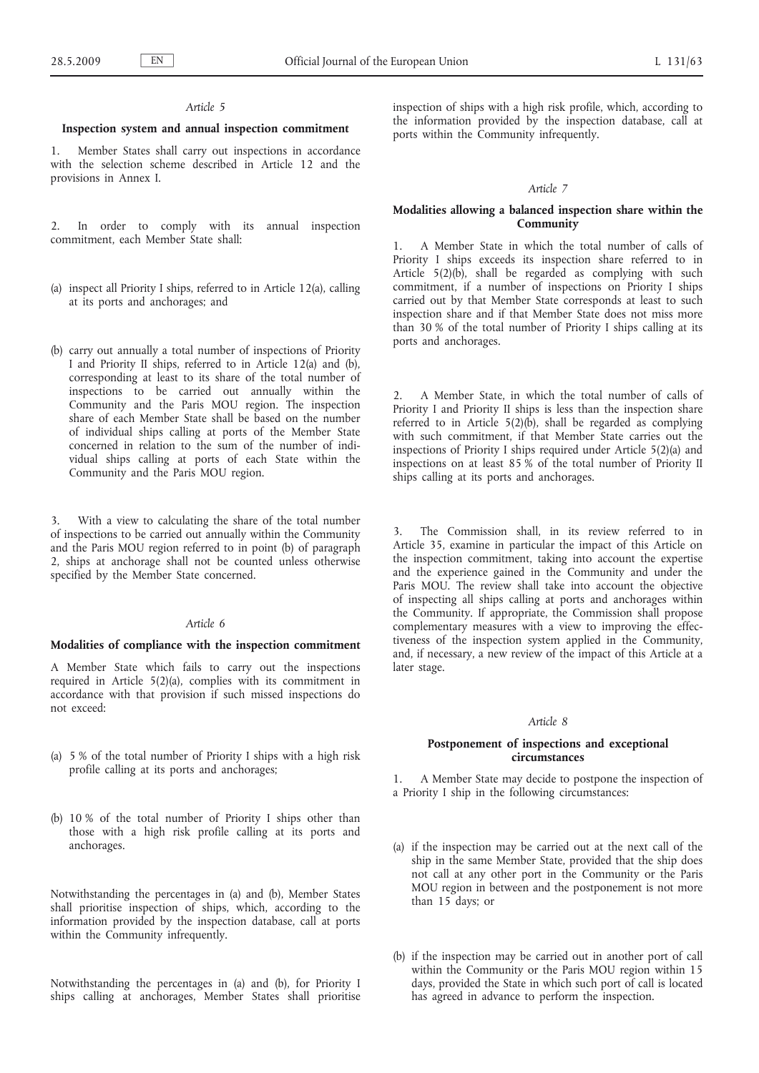#### **Inspection system and annual inspection commitment**

1. Member States shall carry out inspections in accordance with the selection scheme described in Article 12 and the provisions in Annex I.

2. In order to comply with its annual inspection commitment, each Member State shall:

- (a) inspect all Priority I ships, referred to in Article 12(a), calling at its ports and anchorages; and
- (b) carry out annually a total number of inspections of Priority I and Priority II ships, referred to in Article 12(a) and (b), corresponding at least to its share of the total number of inspections to be carried out annually within the Community and the Paris MOU region. The inspection share of each Member State shall be based on the number of individual ships calling at ports of the Member State concerned in relation to the sum of the number of individual ships calling at ports of each State within the Community and the Paris MOU region.

3. With a view to calculating the share of the total number of inspections to be carried out annually within the Community and the Paris MOU region referred to in point (b) of paragraph 2, ships at anchorage shall not be counted unless otherwise specified by the Member State concerned.

#### *Article 6*

#### **Modalities of compliance with the inspection commitment**

A Member State which fails to carry out the inspections required in Article 5(2)(a), complies with its commitment in accordance with that provision if such missed inspections do not exceed:

- (a) 5 % of the total number of Priority I ships with a high risk profile calling at its ports and anchorages;
- (b) 10 % of the total number of Priority I ships other than those with a high risk profile calling at its ports and anchorages.

Notwithstanding the percentages in (a) and (b), Member States shall prioritise inspection of ships, which, according to the information provided by the inspection database, call at ports within the Community infrequently.

Notwithstanding the percentages in (a) and (b), for Priority I ships calling at anchorages, Member States shall prioritise inspection of ships with a high risk profile, which, according to the information provided by the inspection database, call at ports within the Community infrequently.

#### *Article 7*

# **Modalities allowing a balanced inspection share within the Community**

1. A Member State in which the total number of calls of Priority I ships exceeds its inspection share referred to in Article  $5(2)(b)$ , shall be regarded as complying with such commitment, if a number of inspections on Priority I ships carried out by that Member State corresponds at least to such inspection share and if that Member State does not miss more than 30 % of the total number of Priority I ships calling at its ports and anchorages.

2. A Member State, in which the total number of calls of Priority I and Priority II ships is less than the inspection share referred to in Article  $5(2)(\hat{b})$ , shall be regarded as complying with such commitment, if that Member State carries out the inspections of Priority I ships required under Article 5(2)(a) and inspections on at least 85 % of the total number of Priority II ships calling at its ports and anchorages.

3. The Commission shall, in its review referred to in Article 35, examine in particular the impact of this Article on the inspection commitment, taking into account the expertise and the experience gained in the Community and under the Paris MOU. The review shall take into account the objective of inspecting all ships calling at ports and anchorages within the Community. If appropriate, the Commission shall propose complementary measures with a view to improving the effectiveness of the inspection system applied in the Community, and, if necessary, a new review of the impact of this Article at a later stage.

# *Article 8*

# **Postponement of inspections and exceptional circumstances**

1. A Member State may decide to postpone the inspection of a Priority I ship in the following circumstances:

- (a) if the inspection may be carried out at the next call of the ship in the same Member State, provided that the ship does not call at any other port in the Community or the Paris MOU region in between and the postponement is not more than 15 days; or
- (b) if the inspection may be carried out in another port of call within the Community or the Paris MOU region within 15 days, provided the State in which such port of call is located has agreed in advance to perform the inspection.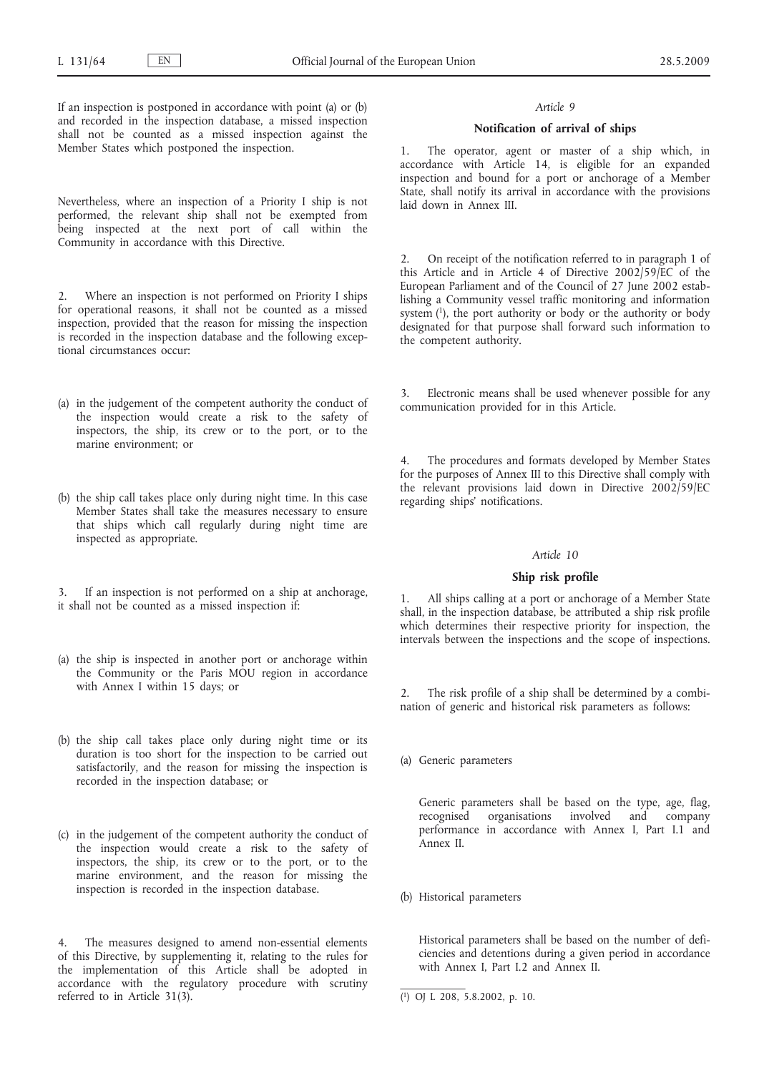If an inspection is postponed in accordance with point (a) or (b) and recorded in the inspection database, a missed inspection shall not be counted as a missed inspection against the Member States which postponed the inspection.

Nevertheless, where an inspection of a Priority I ship is not performed, the relevant ship shall not be exempted from being inspected at the next port of call within the Community in accordance with this Directive.

2. Where an inspection is not performed on Priority I ships for operational reasons, it shall not be counted as a missed inspection, provided that the reason for missing the inspection is recorded in the inspection database and the following exceptional circumstances occur:

- (a) in the judgement of the competent authority the conduct of the inspection would create a risk to the safety of inspectors, the ship, its crew or to the port, or to the marine environment; or
- (b) the ship call takes place only during night time. In this case Member States shall take the measures necessary to ensure that ships which call regularly during night time are inspected as appropriate.

3. If an inspection is not performed on a ship at anchorage, it shall not be counted as a missed inspection if:

- (a) the ship is inspected in another port or anchorage within the Community or the Paris MOU region in accordance with Annex I within 15 days; or
- (b) the ship call takes place only during night time or its duration is too short for the inspection to be carried out satisfactorily, and the reason for missing the inspection is recorded in the inspection database; or
- (c) in the judgement of the competent authority the conduct of the inspection would create a risk to the safety of inspectors, the ship, its crew or to the port, or to the marine environment, and the reason for missing the inspection is recorded in the inspection database.

The measures designed to amend non-essential elements of this Directive, by supplementing it, relating to the rules for the implementation of this Article shall be adopted in accordance with the regulatory procedure with scrutiny referred to in Article 31(3).

#### *Article 9*

#### **Notification of arrival of ships**

1. The operator, agent or master of a ship which, in accordance with Article 14, is eligible for an expanded inspection and bound for a port or anchorage of a Member State, shall notify its arrival in accordance with the provisions laid down in Annex III.

2. On receipt of the notification referred to in paragraph 1 of this Article and in Article 4 of Directive 2002/59/EC of the European Parliament and of the Council of 27 June 2002 establishing a Community vessel traffic monitoring and information system (1), the port authority or body or the authority or body designated for that purpose shall forward such information to the competent authority.

3. Electronic means shall be used whenever possible for any communication provided for in this Article.

4. The procedures and formats developed by Member States for the purposes of Annex III to this Directive shall comply with the relevant provisions laid down in Directive 2002/59/EC regarding ships' notifications.

# *Article 10*

# **Ship risk profile**

All ships calling at a port or anchorage of a Member State shall, in the inspection database, be attributed a ship risk profile which determines their respective priority for inspection, the intervals between the inspections and the scope of inspections.

2. The risk profile of a ship shall be determined by a combination of generic and historical risk parameters as follows:

(a) Generic parameters

Generic parameters shall be based on the type, age, flag, recognised organisations involved and company performance in accordance with Annex I, Part I.1 and Annex II.

(b) Historical parameters

Historical parameters shall be based on the number of deficiencies and detentions during a given period in accordance with Annex I, Part I.2 and Annex II.

<sup>(</sup> 1) OJ L 208, 5.8.2002, p. 10.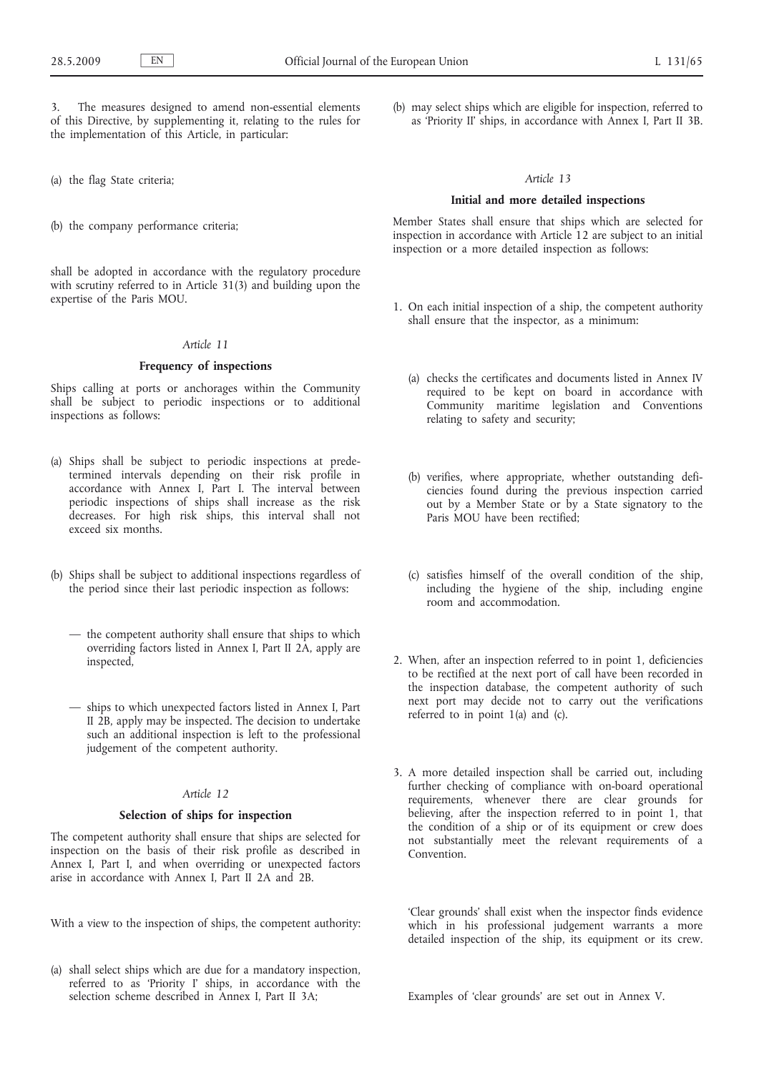The measures designed to amend non-essential elements of this Directive, by supplementing it, relating to the rules for the implementation of this Article, in particular:

(a) the flag State criteria;

(b) the company performance criteria;

shall be adopted in accordance with the regulatory procedure with scrutiny referred to in Article 31(3) and building upon the expertise of the Paris MOU.

# *Article 11*

## **Frequency of inspections**

Ships calling at ports or anchorages within the Community shall be subject to periodic inspections or to additional inspections as follows:

- (a) Ships shall be subject to periodic inspections at predetermined intervals depending on their risk profile in accordance with Annex I, Part I. The interval between periodic inspections of ships shall increase as the risk decreases. For high risk ships, this interval shall not exceed six months.
- (b) Ships shall be subject to additional inspections regardless of the period since their last periodic inspection as follows:
	- the competent authority shall ensure that ships to which overriding factors listed in Annex I, Part II 2A, apply are inspected,
	- ships to which unexpected factors listed in Annex I, Part II 2B, apply may be inspected. The decision to undertake such an additional inspection is left to the professional judgement of the competent authority.

#### *Article 12*

# **Selection of ships for inspection**

The competent authority shall ensure that ships are selected for inspection on the basis of their risk profile as described in Annex I, Part I, and when overriding or unexpected factors arise in accordance with Annex I, Part II 2A and 2B.

With a view to the inspection of ships, the competent authority:

(a) shall select ships which are due for a mandatory inspection, referred to as 'Priority I' ships, in accordance with the selection scheme described in Annex I, Part II 3A;

(b) may select ships which are eligible for inspection, referred to as 'Priority II' ships, in accordance with Annex I, Part II 3B.

# *Article 13*

#### **Initial and more detailed inspections**

Member States shall ensure that ships which are selected for inspection in accordance with Article 12 are subject to an initial inspection or a more detailed inspection as follows:

- 1. On each initial inspection of a ship, the competent authority shall ensure that the inspector, as a minimum:
	- (a) checks the certificates and documents listed in Annex IV required to be kept on board in accordance with Community maritime legislation and Conventions relating to safety and security;
	- (b) verifies, where appropriate, whether outstanding deficiencies found during the previous inspection carried out by a Member State or by a State signatory to the Paris MOU have been rectified;
	- (c) satisfies himself of the overall condition of the ship, including the hygiene of the ship, including engine room and accommodation.
- 2. When, after an inspection referred to in point 1, deficiencies to be rectified at the next port of call have been recorded in the inspection database, the competent authority of such next port may decide not to carry out the verifications referred to in point 1(a) and (c).
- 3. A more detailed inspection shall be carried out, including further checking of compliance with on-board operational requirements, whenever there are clear grounds for believing, after the inspection referred to in point 1, that the condition of a ship or of its equipment or crew does not substantially meet the relevant requirements of a Convention.

'Clear grounds' shall exist when the inspector finds evidence which in his professional judgement warrants a more detailed inspection of the ship, its equipment or its crew.

Examples of 'clear grounds' are set out in Annex V.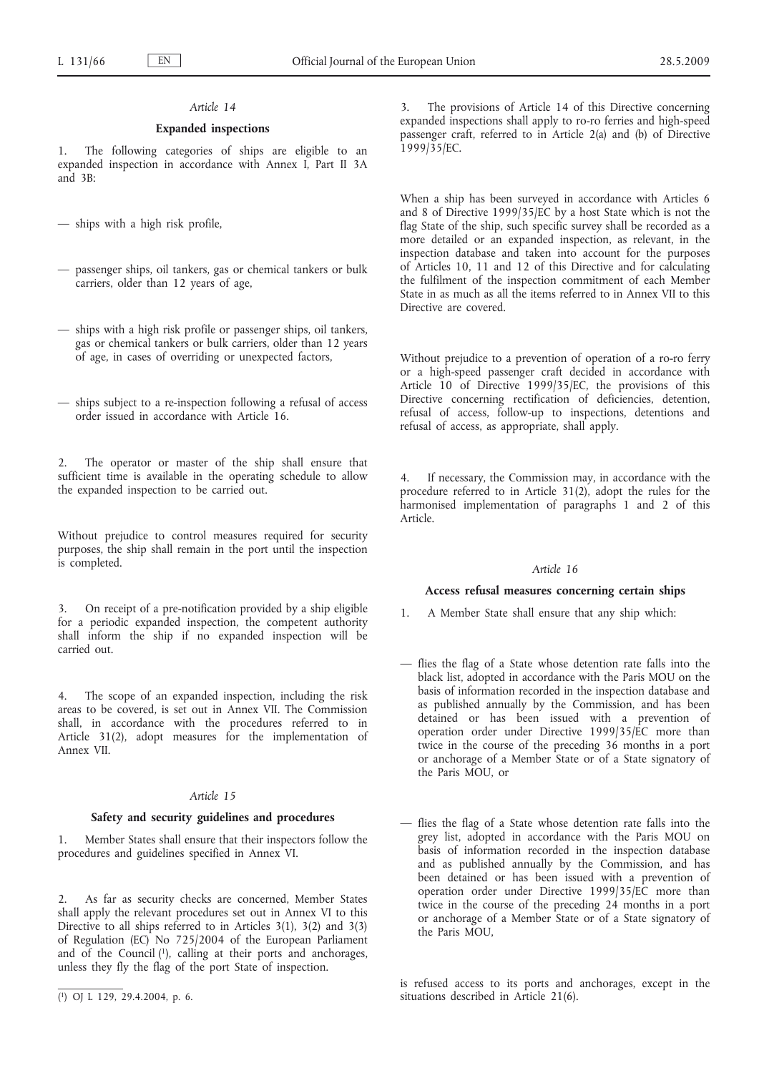# **Expanded inspections**

1. The following categories of ships are eligible to an expanded inspection in accordance with Annex I, Part II 3A and 3B:

— ships with a high risk profile,

- passenger ships, oil tankers, gas or chemical tankers or bulk carriers, older than 12 years of age,
- ships with a high risk profile or passenger ships, oil tankers, gas or chemical tankers or bulk carriers, older than 12 years of age, in cases of overriding or unexpected factors,
- ships subject to a re-inspection following a refusal of access order issued in accordance with Article 16.

2. The operator or master of the ship shall ensure that sufficient time is available in the operating schedule to allow the expanded inspection to be carried out.

Without prejudice to control measures required for security purposes, the ship shall remain in the port until the inspection is completed.

3. On receipt of a pre-notification provided by a ship eligible for a periodic expanded inspection, the competent authority shall inform the ship if no expanded inspection will be carried out.

4. The scope of an expanded inspection, including the risk areas to be covered, is set out in Annex VII. The Commission shall, in accordance with the procedures referred to in Article 31(2), adopt measures for the implementation of Annex VII.

#### *Article 15*

#### **Safety and security guidelines and procedures**

1. Member States shall ensure that their inspectors follow the procedures and guidelines specified in Annex VI.

2. As far as security checks are concerned, Member States shall apply the relevant procedures set out in Annex VI to this Directive to all ships referred to in Articles 3(1), 3(2) and 3(3) of Regulation (EC) No 725/2004 of the European Parliament and of the Council (1), calling at their ports and anchorages, unless they fly the flag of the port State of inspection.

The provisions of Article 14 of this Directive concerning expanded inspections shall apply to ro-ro ferries and high-speed passenger craft, referred to in Article 2(a) and (b) of Directive  $1999/35/EC.$ 

When a ship has been surveyed in accordance with Articles 6 and 8 of Directive 1999/35/EC by a host State which is not the flag State of the ship, such specific survey shall be recorded as a more detailed or an expanded inspection, as relevant, in the inspection database and taken into account for the purposes of Articles 10, 11 and 12 of this Directive and for calculating the fulfilment of the inspection commitment of each Member State in as much as all the items referred to in Annex VII to this Directive are covered.

Without prejudice to a prevention of operation of a ro-ro ferry or a high-speed passenger craft decided in accordance with Article 10 of Directive 1999/35/EC, the provisions of this Directive concerning rectification of deficiencies, detention, refusal of access, follow-up to inspections, detentions and refusal of access, as appropriate, shall apply.

If necessary, the Commission may, in accordance with the procedure referred to in Article 31(2), adopt the rules for the harmonised implementation of paragraphs 1 and 2 of this Article.

#### *Article 16*

# **Access refusal measures concerning certain ships**

1. A Member State shall ensure that any ship which:

- flies the flag of a State whose detention rate falls into the black list, adopted in accordance with the Paris MOU on the basis of information recorded in the inspection database and as published annually by the Commission, and has been detained or has been issued with a prevention of operation order under Directive 1999/35/EC more than twice in the course of the preceding 36 months in a port or anchorage of a Member State or of a State signatory of the Paris MOU, or
- flies the flag of a State whose detention rate falls into the grey list, adopted in accordance with the Paris MOU on basis of information recorded in the inspection database and as published annually by the Commission, and has been detained or has been issued with a prevention of operation order under Directive 1999/35/EC more than twice in the course of the preceding 24 months in a port or anchorage of a Member State or of a State signatory of the Paris MOU,

is refused access to its ports and anchorages, except in the situations described in Article 21(6).

<sup>(</sup> 1) OJ L 129, 29.4.2004, p. 6.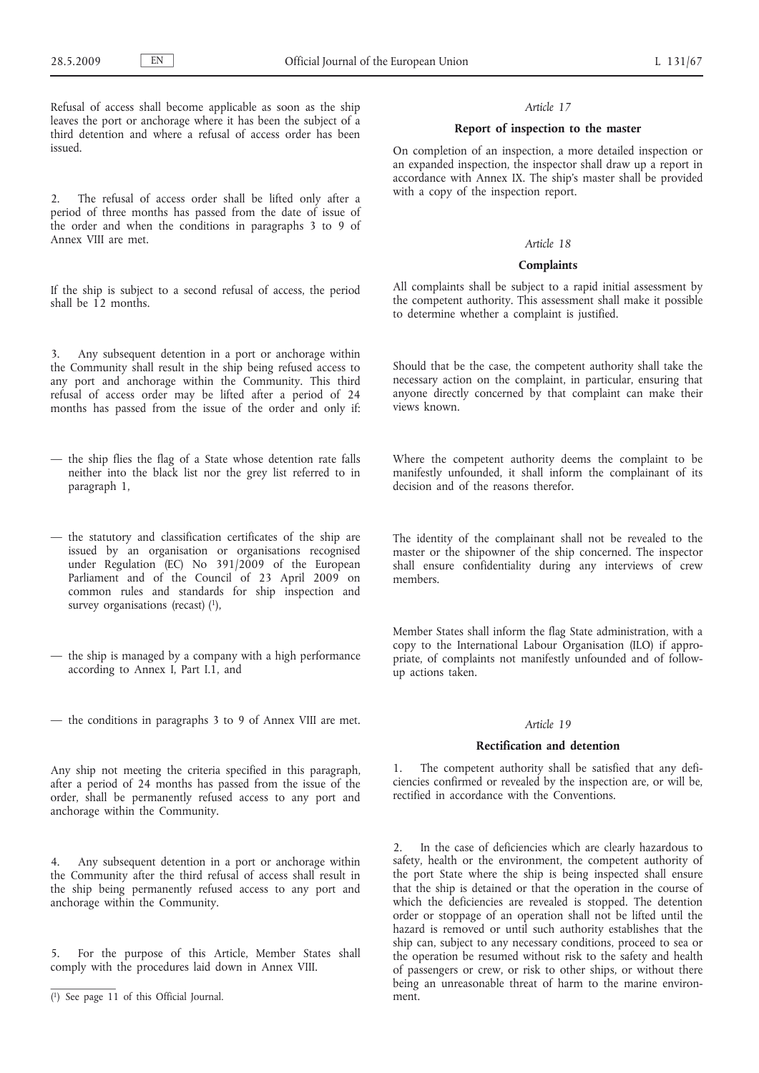Refusal of access shall become applicable as soon as the ship leaves the port or anchorage where it has been the subject of a third detention and where a refusal of access order has been issued.

2. The refusal of access order shall be lifted only after a period of three months has passed from the date of issue of the order and when the conditions in paragraphs 3 to 9 of Annex VIII are met.

If the ship is subject to a second refusal of access, the period shall be 12 months.

3. Any subsequent detention in a port or anchorage within the Community shall result in the ship being refused access to any port and anchorage within the Community. This third refusal of access order may be lifted after a period of 24 months has passed from the issue of the order and only if:

- the ship flies the flag of a State whose detention rate falls neither into the black list nor the grey list referred to in paragraph 1,
- the statutory and classification certificates of the ship are issued by an organisation or organisations recognised under Regulation (EC) No 391/2009 of the European Parliament and of the Council of 23 April 2009 on common rules and standards for ship inspection and survey organisations (recast)  $(1)$ ,
- the ship is managed by a company with a high performance according to Annex I, Part I.1, and
- the conditions in paragraphs 3 to 9 of Annex VIII are met.

Any ship not meeting the criteria specified in this paragraph, after a period of 24 months has passed from the issue of the order, shall be permanently refused access to any port and anchorage within the Community.

4. Any subsequent detention in a port or anchorage within the Community after the third refusal of access shall result in the ship being permanently refused access to any port and anchorage within the Community.

5. For the purpose of this Article, Member States shall comply with the procedures laid down in Annex VIII.

#### *Article 17*

# **Report of inspection to the master**

On completion of an inspection, a more detailed inspection or an expanded inspection, the inspector shall draw up  $\hat{a}$  report in accordance with Annex IX. The ship's master shall be provided with a copy of the inspection report.

#### *Article 18*

## **Complaints**

All complaints shall be subject to a rapid initial assessment by the competent authority. This assessment shall make it possible to determine whether a complaint is justified.

Should that be the case, the competent authority shall take the necessary action on the complaint, in particular, ensuring that anyone directly concerned by that complaint can make their views known.

Where the competent authority deems the complaint to be manifestly unfounded, it shall inform the complainant of its decision and of the reasons therefor.

The identity of the complainant shall not be revealed to the master or the shipowner of the ship concerned. The inspector shall ensure confidentiality during any interviews of crew members.

Member States shall inform the flag State administration, with a copy to the International Labour Organisation (ILO) if appropriate, of complaints not manifestly unfounded and of followup actions taken.

## *Article 19*

# **Rectification and detention**

1. The competent authority shall be satisfied that any deficiencies confirmed or revealed by the inspection are, or will be, rectified in accordance with the Conventions.

In the case of deficiencies which are clearly hazardous to safety, health or the environment, the competent authority of the port State where the ship is being inspected shall ensure that the ship is detained or that the operation in the course of which the deficiencies are revealed is stopped. The detention order or stoppage of an operation shall not be lifted until the hazard is removed or until such authority establishes that the ship can, subject to any necessary conditions, proceed to sea or the operation be resumed without risk to the safety and health of passengers or crew, or risk to other ships, or without there being an unreasonable threat of harm to the marine environment.

<sup>(</sup> 1) See page 11 of this Official Journal.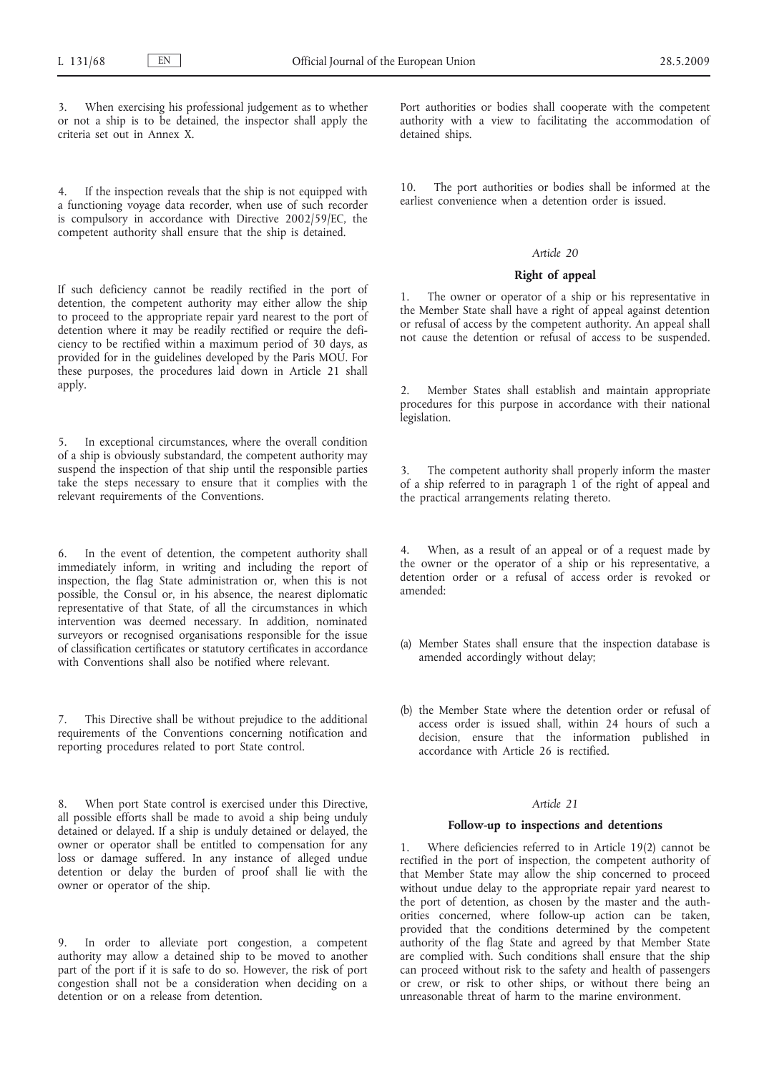When exercising his professional judgement as to whether or not a ship is to be detained, the inspector shall apply the criteria set out in Annex X.

If the inspection reveals that the ship is not equipped with a functioning voyage data recorder, when use of such recorder is compulsory in accordance with Directive 2002/59/EC, the competent authority shall ensure that the ship is detained.

If such deficiency cannot be readily rectified in the port of detention, the competent authority may either allow the ship to proceed to the appropriate repair yard nearest to the port of detention where it may be readily rectified or require the deficiency to be rectified within a maximum period of 30 days, as provided for in the guidelines developed by the Paris MOU. For these purposes, the procedures laid down in Article 21 shall apply.

In exceptional circumstances, where the overall condition of a ship is obviously substandard, the competent authority may suspend the inspection of that ship until the responsible parties take the steps necessary to ensure that it complies with the relevant requirements of the Conventions.

6. In the event of detention, the competent authority shall immediately inform, in writing and including the report of inspection, the flag State administration or, when this is not possible, the Consul or, in his absence, the nearest diplomatic representative of that State, of all the circumstances in which intervention was deemed necessary. In addition, nominated surveyors or recognised organisations responsible for the issue of classification certificates or statutory certificates in accordance with Conventions shall also be notified where relevant.

7. This Directive shall be without prejudice to the additional requirements of the Conventions concerning notification and reporting procedures related to port State control.

8. When port State control is exercised under this Directive, all possible efforts shall be made to avoid a ship being unduly detained or delayed. If a ship is unduly detained or delayed, the owner or operator shall be entitled to compensation for any loss or damage suffered. In any instance of alleged undue detention or delay the burden of proof shall lie with the owner or operator of the ship.

In order to alleviate port congestion, a competent authority may allow a detained ship to be moved to another part of the port if it is safe to do so. However, the risk of port congestion shall not be a consideration when deciding on a detention or on a release from detention.

Port authorities or bodies shall cooperate with the competent authority with a view to facilitating the accommodation of detained ships.

10. The port authorities or bodies shall be informed at the earliest convenience when a detention order is issued.

#### *Article 20*

#### **Right of appeal**

1. The owner or operator of a ship or his representative in the Member State shall have a right of appeal against detention or refusal of access by the competent authority. An appeal shall not cause the detention or refusal of access to be suspended.

2. Member States shall establish and maintain appropriate procedures for this purpose in accordance with their national legislation.

The competent authority shall properly inform the master of a ship referred to in paragraph 1 of the right of appeal and the practical arrangements relating thereto.

4. When, as a result of an appeal or of a request made by the owner or the operator of a ship or his representative, a detention order or a refusal of access order is revoked or amended:

- (a) Member States shall ensure that the inspection database is amended accordingly without delay;
- (b) the Member State where the detention order or refusal of access order is issued shall, within 24 hours of such a decision, ensure that the information published in accordance with Article 26 is rectified.

#### *Article 21*

#### **Follow-up to inspections and detentions**

Where deficiencies referred to in Article 19(2) cannot be rectified in the port of inspection, the competent authority of that Member State may allow the ship concerned to proceed without undue delay to the appropriate repair yard nearest to the port of detention, as chosen by the master and the authorities concerned, where follow-up action can be taken, provided that the conditions determined by the competent authority of the flag State and agreed by that Member State are complied with. Such conditions shall ensure that the ship can proceed without risk to the safety and health of passengers or crew, or risk to other ships, or without there being an unreasonable threat of harm to the marine environment.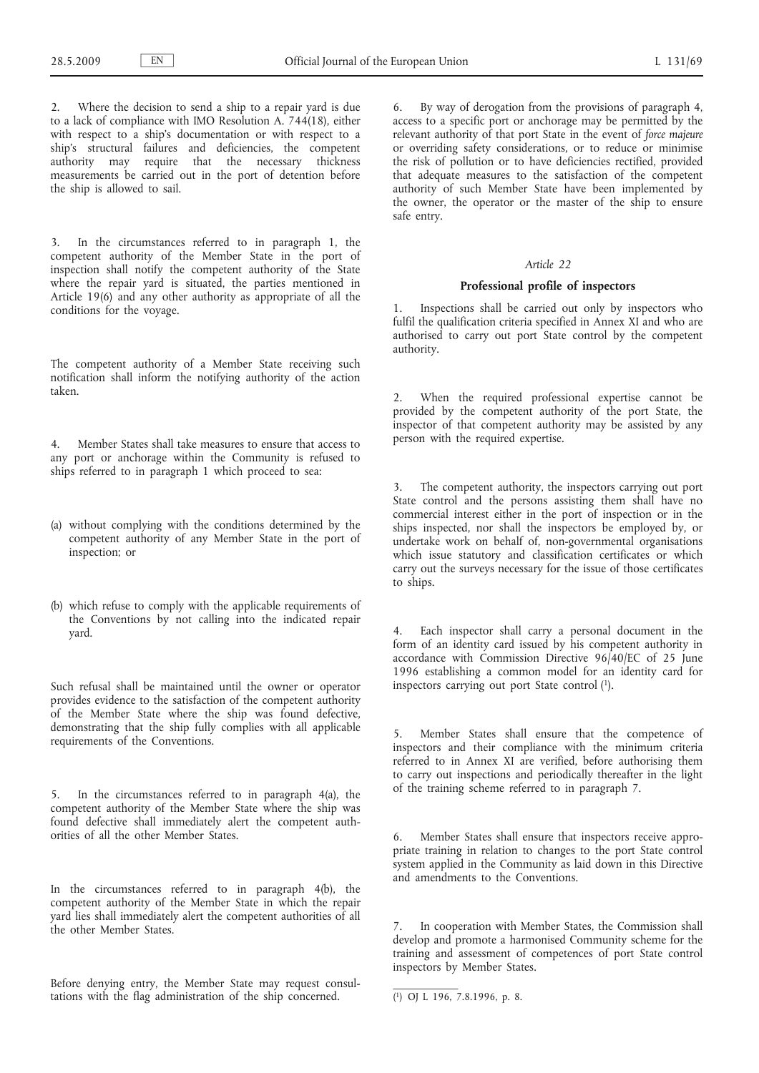2. Where the decision to send a ship to a repair yard is due to a lack of compliance with IMO Resolution A.  $744(18)$ , either with respect to a ship's documentation or with respect to a ship's structural failures and deficiencies, the competent authority may require that the necessary thickness measurements be carried out in the port of detention before the ship is allowed to sail.

3. In the circumstances referred to in paragraph 1, the competent authority of the Member State in the port of inspection shall notify the competent authority of the State where the repair vard is situated, the parties mentioned in Article 19(6) and any other authority as appropriate of all the conditions for the voyage.

The competent authority of a Member State receiving such notification shall inform the notifying authority of the action taken.

4. Member States shall take measures to ensure that access to any port or anchorage within the Community is refused to ships referred to in paragraph 1 which proceed to sea:

- (a) without complying with the conditions determined by the competent authority of any Member State in the port of inspection; or
- (b) which refuse to comply with the applicable requirements of the Conventions by not calling into the indicated repair yard.

Such refusal shall be maintained until the owner or operator provides evidence to the satisfaction of the competent authority of the Member State where the ship was found defective, demonstrating that the ship fully complies with all applicable requirements of the Conventions.

5. In the circumstances referred to in paragraph 4(a), the competent authority of the Member State where the ship was found defective shall immediately alert the competent authorities of all the other Member States.

In the circumstances referred to in paragraph 4(b), the competent authority of the Member State in which the repair yard lies shall immediately alert the competent authorities of all the other Member States.

Before denying entry, the Member State may request consultations with the flag administration of the ship concerned.

6. By way of derogation from the provisions of paragraph 4, access to a specific port or anchorage may be permitted by the relevant authority of that port State in the event of *force majeure* or overriding safety considerations, or to reduce or minimise the risk of pollution or to have deficiencies rectified, provided that adequate measures to the satisfaction of the competent authority of such Member State have been implemented by the owner, the operator or the master of the ship to ensure safe entry.

## *Article 22*

# **Professional profile of inspectors**

1. Inspections shall be carried out only by inspectors who fulfil the qualification criteria specified in Annex XI and who are authorised to carry out port State control by the competent authority.

2. When the required professional expertise cannot be provided by the competent authority of the port State, the inspector of that competent authority may be assisted by any person with the required expertise.

3. The competent authority, the inspectors carrying out port State control and the persons assisting them shall have no commercial interest either in the port of inspection or in the ships inspected, nor shall the inspectors be employed by, or undertake work on behalf of, non-governmental organisations which issue statutory and classification certificates or which carry out the surveys necessary for the issue of those certificates to ships.

4. Each inspector shall carry a personal document in the form of an identity card issued by his competent authority in accordance with Commission Directive  $96/40$ /EC of 25 June 1996 establishing a common model for an identity card for inspectors carrying out port State control (1).

5. Member States shall ensure that the competence of inspectors and their compliance with the minimum criteria referred to in Annex XI are verified, before authorising them to carry out inspections and periodically thereafter in the light of the training scheme referred to in paragraph 7.

6. Member States shall ensure that inspectors receive appropriate training in relation to changes to the port State control system applied in the Community as laid down in this Directive and amendments to the Conventions.

7. In cooperation with Member States, the Commission shall develop and promote a harmonised Community scheme for the training and assessment of competences of port State control inspectors by Member States.

<sup>(</sup> 1) OJ L 196, 7.8.1996, p. 8.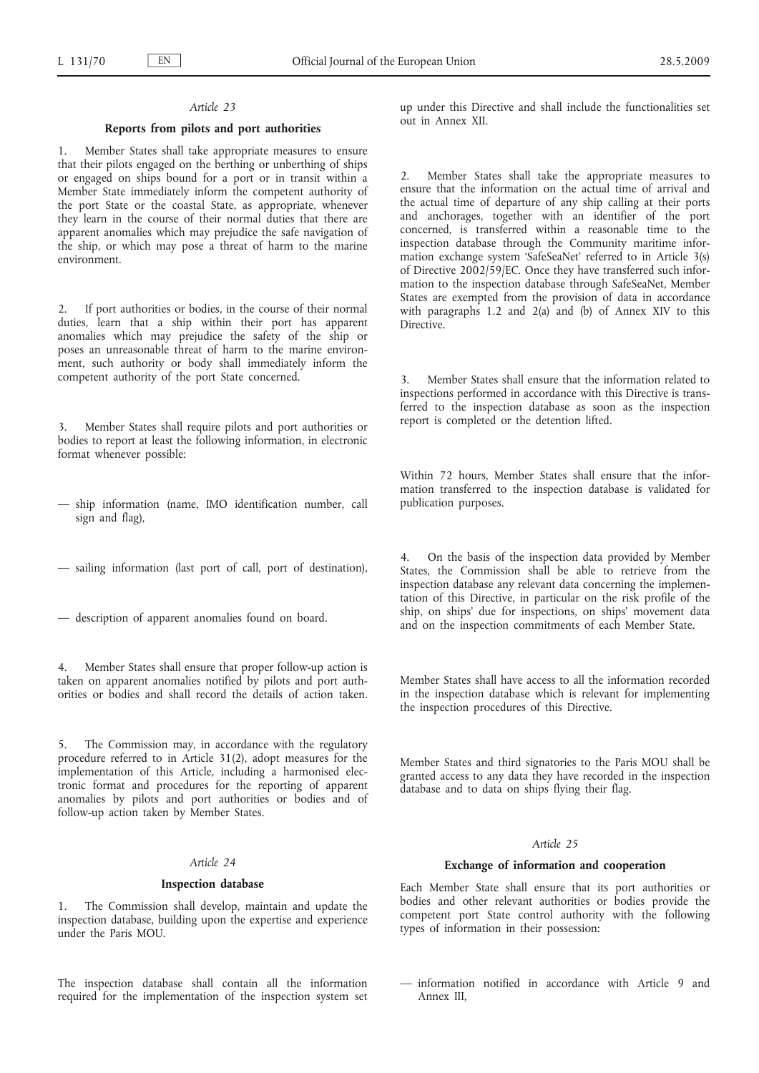## **Reports from pilots and port authorities**

1. Member States shall take appropriate measures to ensure that their pilots engaged on the berthing or unberthing of ships or engaged on ships bound for a port or in transit within a Member State immediately inform the competent authority of the port State or the coastal State, as appropriate, whenever they learn in the course of their normal duties that there are apparent anomalies which may prejudice the safe navigation of the ship, or which may pose a threat of harm to the marine environment.

2. If port authorities or bodies, in the course of their normal duties, learn that a ship within their port has apparent anomalies which may prejudice the safety of the ship or poses an unreasonable threat of harm to the marine environment, such authority or body shall immediately inform the competent authority of the port State concerned.

3. Member States shall require pilots and port authorities or bodies to report at least the following information, in electronic format whenever possible:

- ship information (name, IMO identification number, call sign and flag),
- sailing information (last port of call, port of destination),
- description of apparent anomalies found on board.

4. Member States shall ensure that proper follow-up action is taken on apparent anomalies notified by pilots and port authorities or bodies and shall record the details of action taken.

5. The Commission may, in accordance with the regulatory procedure referred to in Article 31(2), adopt measures for the implementation of this Article, including a harmonised electronic format and procedures for the reporting of apparent anomalies by pilots and port authorities or bodies and of follow-up action taken by Member States.

# *Article 24*

# **Inspection database**

The Commission shall develop, maintain and update the inspection database, building upon the expertise and experience under the Paris MOU.

The inspection database shall contain all the information required for the implementation of the inspection system set

up under this Directive and shall include the functionalities set out in Annex XII.

2. Member States shall take the appropriate measures to ensure that the information on the actual time of arrival and the actual time of departure of any ship calling at their ports and anchorages, together with an identifier of the port concerned, is transferred within a reasonable time to the inspection database through the Community maritime information exchange system 'SafeSeaNet' referred to in Article 3(s) of Directive 2002/59/EC. Once they have transferred such information to the inspection database through SafeSeaNet, Member States are exempted from the provision of data in accordance with paragraphs 1.2 and 2(a) and (b) of Annex XIV to this Directive.

3. Member States shall ensure that the information related to inspections performed in accordance with this Directive is transferred to the inspection database as soon as the inspection report is completed or the detention lifted.

Within 72 hours, Member States shall ensure that the information transferred to the inspection database is validated for publication purposes.

4. On the basis of the inspection data provided by Member States, the Commission shall be able to retrieve from the inspection database any relevant data concerning the implementation of this Directive, in particular on the risk profile of the ship, on ships' due for inspections, on ships' movement data and on the inspection commitments of each Member State.

Member States shall have access to all the information recorded in the inspection database which is relevant for implementing the inspection procedures of this Directive.

Member States and third signatories to the Paris MOU shall be granted access to any data they have recorded in the inspection database and to data on ships flying their flag.

# *Article 25*

## **Exchange of information and cooperation**

Each Member State shall ensure that its port authorities or bodies and other relevant authorities or bodies provide the competent port State control authority with the following types of information in their possession:

— information notified in accordance with Article 9 and Annex III,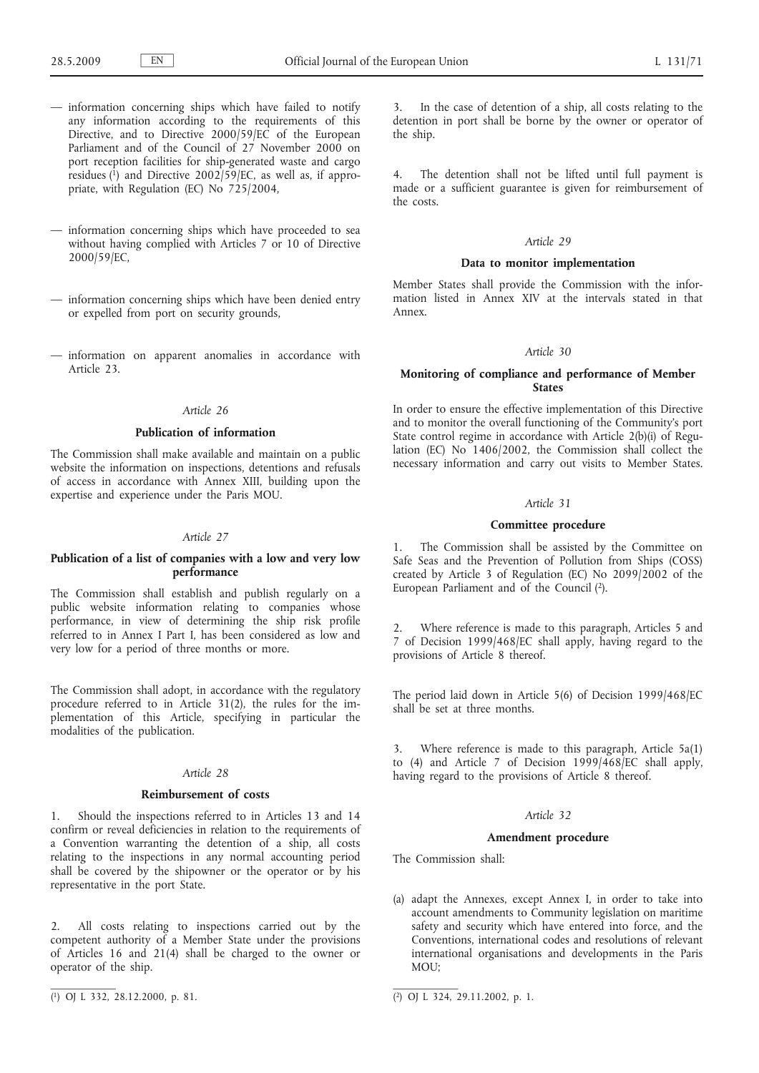- information concerning ships which have failed to notify any information according to the requirements of this Directive, and to Directive 2000/59/EC of the European Parliament and of the Council of 27 November 2000 on port reception facilities for ship-generated waste and cargo residues  $(1)$  and Directive 2002/59/EC, as well as, if appropriate, with Regulation (EC) No 725/2004,
- information concerning ships which have proceeded to sea without having complied with Articles 7 or 10 of Directive 2000/59/EC,
- information concerning ships which have been denied entry or expelled from port on security grounds,
- information on apparent anomalies in accordance with Article 23.

#### **Publication of information**

The Commission shall make available and maintain on a public website the information on inspections, detentions and refusals of access in accordance with Annex XIII, building upon the expertise and experience under the Paris MOU.

## *Article 27*

## **Publication of a list of companies with a low and very low performance**

The Commission shall establish and publish regularly on a public website information relating to companies whose performance, in view of determining the ship risk profile referred to in Annex I Part I, has been considered as low and very low for a period of three months or more.

The Commission shall adopt, in accordance with the regulatory procedure referred to in Article 31(2), the rules for the implementation of this Article, specifying in particular the modalities of the publication.

## *Article 28*

# **Reimbursement of costs**

1. Should the inspections referred to in Articles 13 and 14 confirm or reveal deficiencies in relation to the requirements of a Convention warranting the detention of a ship, all costs relating to the inspections in any normal accounting period shall be covered by the shipowner or the operator or by his representative in the port State.

2. All costs relating to inspections carried out by the competent authority of a Member State under the provisions of Articles 16 and 21(4) shall be charged to the owner or operator of the ship.

3. In the case of detention of a ship, all costs relating to the detention in port shall be borne by the owner or operator of the ship.

4. The detention shall not be lifted until full payment is made or a sufficient guarantee is given for reimbursement of the costs.

#### *Article 29*

#### **Data to monitor implementation**

Member States shall provide the Commission with the information listed in Annex XIV at the intervals stated in that Annex.

#### *Article 30*

## **Monitoring of compliance and performance of Member States**

In order to ensure the effective implementation of this Directive and to monitor the overall functioning of the Community's port State control regime in accordance with Article 2(b)(i) of Regulation (EC) No 1406/2002, the Commission shall collect the necessary information and carry out visits to Member States.

#### *Article 31*

# **Committee procedure**

1. The Commission shall be assisted by the Committee on Safe Seas and the Prevention of Pollution from Ships (COSS) created by Article 3 of Regulation (EC) No 2099/2002 of the European Parliament and of the Council (2).

Where reference is made to this paragraph, Articles 5 and 7 of Decision 1999/468/EC shall apply, having regard to the provisions of Article 8 thereof.

The period laid down in Article 5(6) of Decision 1999/468/EC shall be set at three months.

3. Where reference is made to this paragraph, Article 5a(1) to (4) and Article 7 of Decision  $1999/468$  [EC shall apply, having regard to the provisions of Article 8 thereof.

# *Article 32*

#### **Amendment procedure**

The Commission shall:

(a) adapt the Annexes, except Annex I, in order to take into account amendments to Community legislation on maritime safety and security which have entered into force, and the Conventions, international codes and resolutions of relevant international organisations and developments in the Paris MOU:

<sup>(</sup> 1) OJ L 332, 28.12.2000, p. 81. (2) OJ L 324, 29.11.2002, p. 1.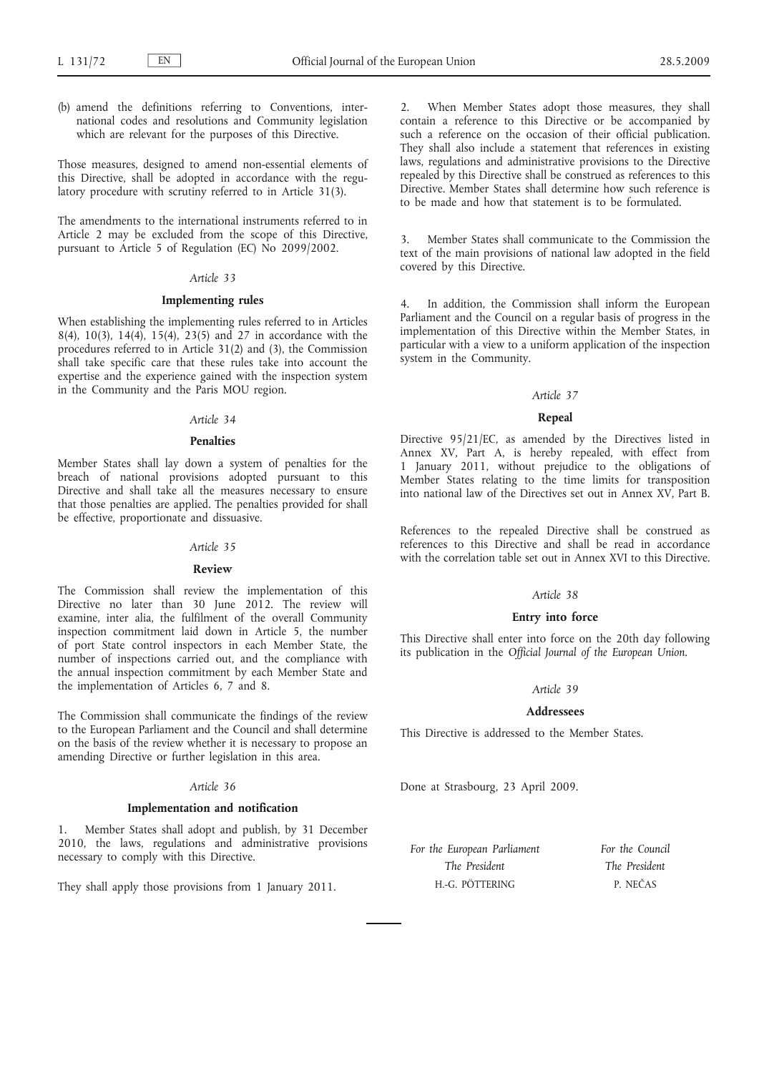(b) amend the definitions referring to Conventions, international codes and resolutions and Community legislation which are relevant for the purposes of this Directive.

Those measures, designed to amend non-essential elements of this Directive, shall be adopted in accordance with the regulatory procedure with scrutiny referred to in Article 31(3).

The amendments to the international instruments referred to in Article 2 may be excluded from the scope of this Directive, pursuant to Article 5 of Regulation (EC) No 2099/2002.

# *Article 33*

# **Implementing rules**

When establishing the implementing rules referred to in Articles 8(4), 10(3), 14(4), 15(4), 23(5) and 27 in accordance with the procedures referred to in Article 31(2) and (3), the Commission shall take specific care that these rules take into account the expertise and the experience gained with the inspection system in the Community and the Paris MOU region.

#### *Article 34*

# **Penalties**

Member States shall lay down a system of penalties for the breach of national provisions adopted pursuant to this Directive and shall take all the measures necessary to ensure that those penalties are applied. The penalties provided for shall be effective, proportionate and dissuasive.

#### *Article 35*

# **Review**

The Commission shall review the implementation of this Directive no later than 30 June 2012. The review will examine, inter alia, the fulfilment of the overall Community inspection commitment laid down in Article 5, the number of port State control inspectors in each Member State, the number of inspections carried out, and the compliance with the annual inspection commitment by each Member State and the implementation of Articles 6, 7 and 8.

The Commission shall communicate the findings of the review to the European Parliament and the Council and shall determine on the basis of the review whether it is necessary to propose an amending Directive or further legislation in this area.

#### *Article 36*

#### **Implementation and notification**

1. Member States shall adopt and publish, by 31 December 2010, the laws, regulations and administrative provisions necessary to comply with this Directive.

They shall apply those provisions from 1 January 2011.

2. When Member States adopt those measures, they shall contain a reference to this Directive or be accompanied by such a reference on the occasion of their official publication. They shall also include a statement that references in existing laws, regulations and administrative provisions to the Directive repealed by this Directive shall be construed as references to this Directive. Member States shall determine how such reference is to be made and how that statement is to be formulated.

3. Member States shall communicate to the Commission the text of the main provisions of national law adopted in the field covered by this Directive.

In addition, the Commission shall inform the European Parliament and the Council on a regular basis of progress in the implementation of this Directive within the Member States, in particular with a view to a uniform application of the inspection system in the Community.

#### *Article 37*

#### **Repeal**

Directive 95/21/EC, as amended by the Directives listed in Annex XV, Part A, is hereby repealed, with effect from 1 January 2011, without prejudice to the obligations of Member States relating to the time limits for transposition into national law of the Directives set out in Annex XV, Part B.

References to the repealed Directive shall be construed as references to this Directive and shall be read in accordance with the correlation table set out in Annex XVI to this Directive.

## *Article 38*

#### **Entry into force**

This Directive shall enter into force on the 20th day following its publication in the *Official Journal of the European Union*.

#### *Article 39*

#### **Addressees**

This Directive is addressed to the Member States.

Done at Strasbourg, 23 April 2009.

| For the European Parliament | For the Council |
|-----------------------------|-----------------|
| The President               | The President   |
| H.-G. PÖTTERING             | P. NEČAS        |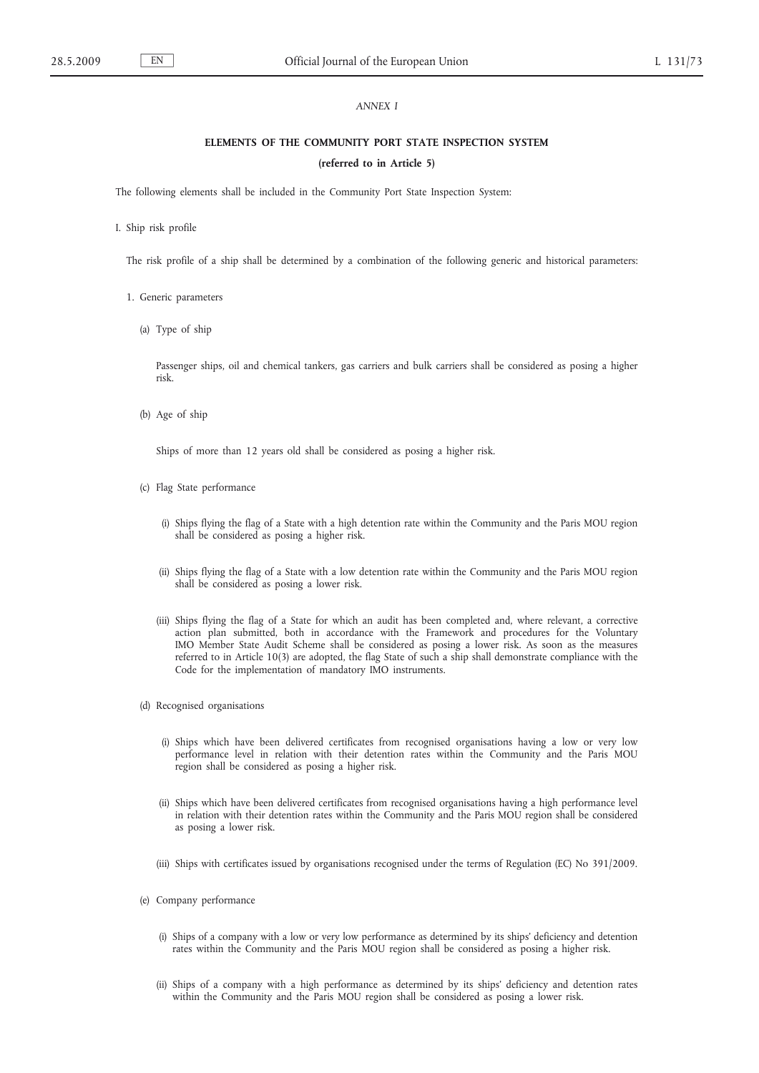# *ANNEX I*

#### **ELEMENTS OF THE COMMUNITY PORT STATE INSPECTION SYSTEM**

#### **(referred to in Article 5)**

The following elements shall be included in the Community Port State Inspection System:

I. Ship risk profile

The risk profile of a ship shall be determined by a combination of the following generic and historical parameters:

- 1. Generic parameters
	- (a) Type of ship

Passenger ships, oil and chemical tankers, gas carriers and bulk carriers shall be considered as posing a higher risk.

(b) Age of ship

Ships of more than 12 years old shall be considered as posing a higher risk.

- (c) Flag State performance
	- (i) Ships flying the flag of a State with a high detention rate within the Community and the Paris MOU region shall be considered as posing a higher risk.
	- (ii) Ships flying the flag of a State with a low detention rate within the Community and the Paris MOU region shall be considered as posing a lower risk.
	- (iii) Ships flying the flag of a State for which an audit has been completed and, where relevant, a corrective action plan submitted, both in accordance with the Framework and procedures for the Voluntary IMO Member State Audit Scheme shall be considered as posing a lower risk. As soon as the measures referred to in Article 10(3) are adopted, the flag State of such a ship shall demonstrate compliance with the Code for the implementation of mandatory IMO instruments.
- (d) Recognised organisations
	- (i) Ships which have been delivered certificates from recognised organisations having a low or very low performance level in relation with their detention rates within the Community and the Paris MOU region shall be considered as posing a higher risk.
	- (ii) Ships which have been delivered certificates from recognised organisations having a high performance level in relation with their detention rates within the Community and the Paris MOU region shall be considered as posing a lower risk.
	- (iii) Ships with certificates issued by organisations recognised under the terms of Regulation (EC) No 391/2009.
- (e) Company performance
	- (i) Ships of a company with a low or very low performance as determined by its ships' deficiency and detention rates within the Community and the Paris MOU region shall be considered as posing a higher risk.
	- (ii) Ships of a company with a high performance as determined by its ships' deficiency and detention rates within the Community and the Paris MOU region shall be considered as posing a lower risk.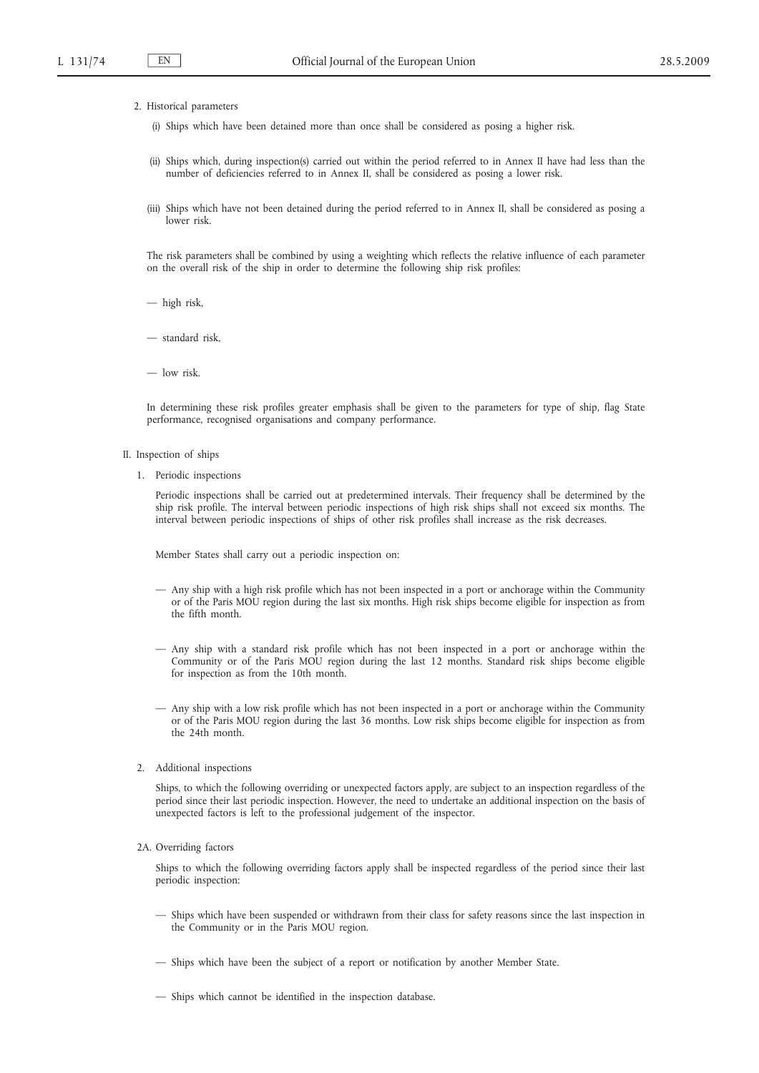#### 2. Historical parameters

- (i) Ships which have been detained more than once shall be considered as posing a higher risk.
- (ii) Ships which, during inspection(s) carried out within the period referred to in Annex II have had less than the number of deficiencies referred to in Annex II, shall be considered as posing a lower risk.
- (iii) Ships which have not been detained during the period referred to in Annex II, shall be considered as posing a lower risk.

The risk parameters shall be combined by using a weighting which reflects the relative influence of each parameter on the overall risk of the ship in order to determine the following ship risk profiles:

- high risk,
- standard risk,
- low risk.

In determining these risk profiles greater emphasis shall be given to the parameters for type of ship, flag State performance, recognised organisations and company performance.

- II. Inspection of ships
	- 1. Periodic inspections

Periodic inspections shall be carried out at predetermined intervals. Their frequency shall be determined by the ship risk profile. The interval between periodic inspections of high risk ships shall not exceed six months. The interval between periodic inspections of ships of other risk profiles shall increase as the risk decreases.

Member States shall carry out a periodic inspection on:

- Any ship with a high risk profile which has not been inspected in a port or anchorage within the Community or of the Paris MOU region during the last six months. High risk ships become eligible for inspection as from the fifth month.
- Any ship with a standard risk profile which has not been inspected in a port or anchorage within the Community or of the Paris MOU region during the last 12 months. Standard risk ships become eligible for inspection as from the 10th month.
- Any ship with a low risk profile which has not been inspected in a port or anchorage within the Community or of the Paris MOU region during the last 36 months. Low risk ships become eligible for inspection as from the 24th month.
- 2. Additional inspections

Ships, to which the following overriding or unexpected factors apply, are subject to an inspection regardless of the period since their last periodic inspection. However, the need to undertake an additional inspection on the basis of unexpected factors is left to the professional judgement of the inspector.

2A. Overriding factors

Ships to which the following overriding factors apply shall be inspected regardless of the period since their last periodic inspection:

- Ships which have been suspended or withdrawn from their class for safety reasons since the last inspection in the Community or in the Paris MOU region.
- Ships which have been the subject of a report or notification by another Member State.
- Ships which cannot be identified in the inspection database.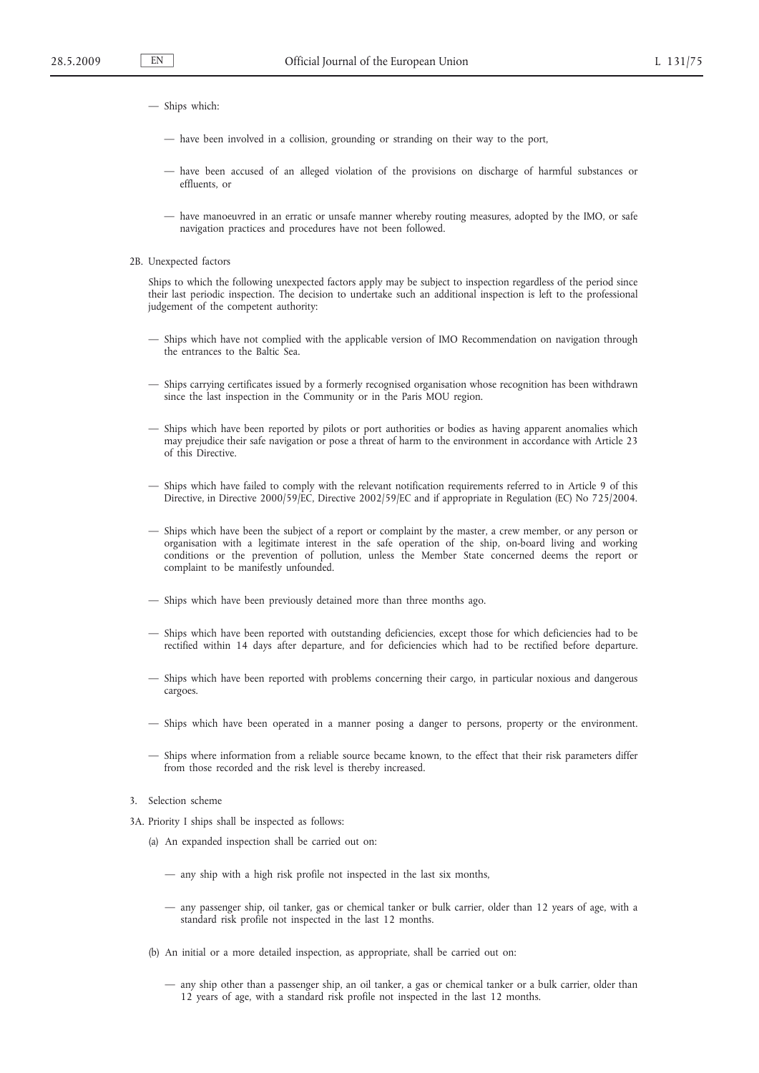- Ships which:
	- have been involved in a collision, grounding or stranding on their way to the port,
	- have been accused of an alleged violation of the provisions on discharge of harmful substances or effluents, or
	- have manoeuvred in an erratic or unsafe manner whereby routing measures, adopted by the IMO, or safe navigation practices and procedures have not been followed.
- 2B. Unexpected factors

Ships to which the following unexpected factors apply may be subject to inspection regardless of the period since their last periodic inspection. The decision to undertake such an additional inspection is left to the professional judgement of the competent authority:

- Ships which have not complied with the applicable version of IMO Recommendation on navigation through the entrances to the Baltic Sea.
- Ships carrying certificates issued by a formerly recognised organisation whose recognition has been withdrawn since the last inspection in the Community or in the Paris MOU region.
- Ships which have been reported by pilots or port authorities or bodies as having apparent anomalies which may prejudice their safe navigation or pose a threat of harm to the environment in accordance with Article 23 of this Directive.
- Ships which have failed to comply with the relevant notification requirements referred to in Article 9 of this Directive, in Directive 2000/59/EC, Directive 2002/59/EC and if appropriate in Regulation (EC) No 725/2004.
- Ships which have been the subject of a report or complaint by the master, a crew member, or any person or organisation with a legitimate interest in the safe operation of the ship, on-board living and working conditions or the prevention of pollution, unless the Member State concerned deems the report or complaint to be manifestly unfounded.
- Ships which have been previously detained more than three months ago.
- Ships which have been reported with outstanding deficiencies, except those for which deficiencies had to be rectified within 14 days after departure, and for deficiencies which had to be rectified before departure.
- Ships which have been reported with problems concerning their cargo, in particular noxious and dangerous cargoes.
- Ships which have been operated in a manner posing a danger to persons, property or the environment.
- Ships where information from a reliable source became known, to the effect that their risk parameters differ from those recorded and the risk level is thereby increased.
- 3. Selection scheme
- 3A. Priority I ships shall be inspected as follows:
	- (a) An expanded inspection shall be carried out on:
		- any ship with a high risk profile not inspected in the last six months,
		- any passenger ship, oil tanker, gas or chemical tanker or bulk carrier, older than 12 years of age, with a standard risk profile not inspected in the last 12 months.
	- (b) An initial or a more detailed inspection, as appropriate, shall be carried out on:
		- any ship other than a passenger ship, an oil tanker, a gas or chemical tanker or a bulk carrier, older than 12 years of age, with a standard risk profile not inspected in the last 12 months.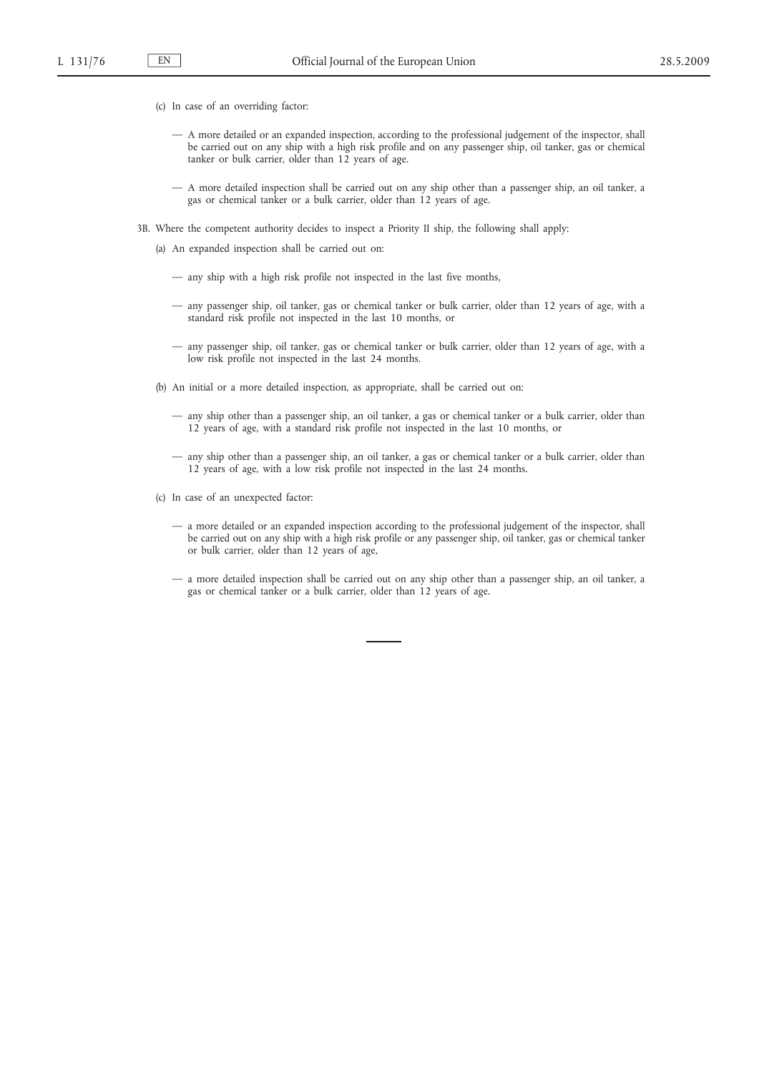- (c) In case of an overriding factor:
	- A more detailed or an expanded inspection, according to the professional judgement of the inspector, shall be carried out on any ship with a high risk profile and on any passenger ship, oil tanker, gas or chemical tanker or bulk carrier, older than 12 years of age.
	- A more detailed inspection shall be carried out on any ship other than a passenger ship, an oil tanker, a gas or chemical tanker or a bulk carrier, older than 12 years of age.
- 3B. Where the competent authority decides to inspect a Priority II ship, the following shall apply:
	- (a) An expanded inspection shall be carried out on:
		- any ship with a high risk profile not inspected in the last five months,
		- any passenger ship, oil tanker, gas or chemical tanker or bulk carrier, older than 12 years of age, with a standard risk profile not inspected in the last 10 months, or
		- any passenger ship, oil tanker, gas or chemical tanker or bulk carrier, older than 12 years of age, with a low risk profile not inspected in the last 24 months.
	- (b) An initial or a more detailed inspection, as appropriate, shall be carried out on:
		- any ship other than a passenger ship, an oil tanker, a gas or chemical tanker or a bulk carrier, older than 12 years of age, with a standard risk profile not inspected in the last 10 months, or
		- any ship other than a passenger ship, an oil tanker, a gas or chemical tanker or a bulk carrier, older than 12 years of age, with a low risk profile not inspected in the last 24 months.
	- (c) In case of an unexpected factor:
		- a more detailed or an expanded inspection according to the professional judgement of the inspector, shall be carried out on any ship with a high risk profile or any passenger ship, oil tanker, gas or chemical tanker or bulk carrier, older than 12 years of age,
		- a more detailed inspection shall be carried out on any ship other than a passenger ship, an oil tanker, a gas or chemical tanker or a bulk carrier, older than 12 years of age.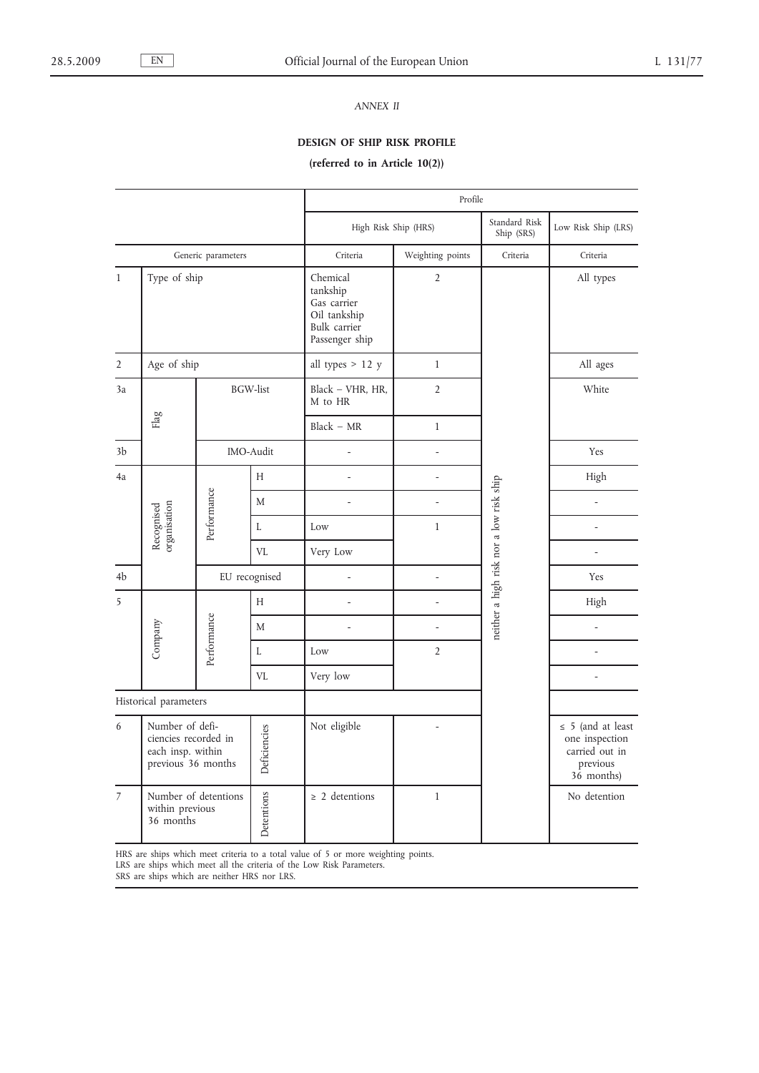# *ANNEX II*

# **DESIGN OF SHIP RISK PROFILE**

# **(referred to in Article 10(2))**

|                    |                                                                                                    |                 |                                                                                       | Profile                     |                  |                                         |                                                                                      |  |
|--------------------|----------------------------------------------------------------------------------------------------|-----------------|---------------------------------------------------------------------------------------|-----------------------------|------------------|-----------------------------------------|--------------------------------------------------------------------------------------|--|
|                    |                                                                                                    |                 |                                                                                       | High Risk Ship (HRS)        |                  | Standard Risk<br>Ship (SRS)             | Low Risk Ship (LRS)                                                                  |  |
| Generic parameters |                                                                                                    |                 |                                                                                       | Criteria                    | Weighting points | Criteria                                | Criteria                                                                             |  |
| $\mathbf{1}$       | Type of ship                                                                                       |                 | Chemical<br>tankship<br>Gas carrier<br>Oil tankship<br>Bulk carrier<br>Passenger ship | $\overline{2}$              |                  | All types                               |                                                                                      |  |
| $\overline{2}$     | Age of ship                                                                                        |                 |                                                                                       | all types $> 12$ y          | $\mathbf{1}$     |                                         | All ages                                                                             |  |
| 3a                 |                                                                                                    | <b>BGW-list</b> |                                                                                       | Black - VHR, HR,<br>M to HR | $\overline{2}$   |                                         | White                                                                                |  |
|                    | Flag                                                                                               |                 |                                                                                       | Black - MR                  | $\mathbf{1}$     |                                         |                                                                                      |  |
| 3 <sub>b</sub>     |                                                                                                    |                 | IMO-Audit                                                                             | $\overline{a}$              | $\overline{a}$   |                                         | Yes                                                                                  |  |
| 4a                 | organisation<br>Recognised                                                                         | Performance     | H                                                                                     | L,                          |                  |                                         | High                                                                                 |  |
|                    |                                                                                                    |                 | M                                                                                     | $\overline{a}$              | $\overline{a}$   |                                         | $\overline{a}$                                                                       |  |
|                    |                                                                                                    |                 | L                                                                                     | Low                         | $\mathbf{1}$     | neither a high risk nor a low risk ship | ÷,                                                                                   |  |
|                    |                                                                                                    |                 |                                                                                       |                             | <b>VL</b>        | Very Low                                |                                                                                      |  |
| 4b                 |                                                                                                    | EU recognised   |                                                                                       | $\overline{a}$              | $\overline{a}$   |                                         | Yes                                                                                  |  |
| 5                  | Company                                                                                            |                 | H                                                                                     | L                           | ä,               |                                         | High                                                                                 |  |
|                    |                                                                                                    | Performance     | M                                                                                     | $\overline{a}$              |                  |                                         | L,                                                                                   |  |
|                    |                                                                                                    |                 | L                                                                                     | Low                         | $\overline{2}$   |                                         | L.                                                                                   |  |
|                    |                                                                                                    |                 |                                                                                       |                             | VL               | Very low                                |                                                                                      |  |
|                    | Historical parameters                                                                              |                 |                                                                                       |                             |                  |                                         |                                                                                      |  |
| 6                  | Number of defi-<br>Deficiencies<br>ciencies recorded in<br>each insp. within<br>previous 36 months |                 |                                                                                       | Not eligible                |                  |                                         | $\leq$ 5 (and at least<br>one inspection<br>carried out in<br>previous<br>36 months) |  |
| 7                  | Detentions<br>Number of detentions<br>within previous<br>36 months                                 |                 |                                                                                       | $\geq$ 2 detentions         | $\mathbf{1}$     |                                         | No detention                                                                         |  |

HRS are ships which meet criteria to a total value of 5 or more weighting points.

LRS are ships which meet all the criteria of the Low Risk Parameters.

SRS are ships which are neither HRS nor LRS.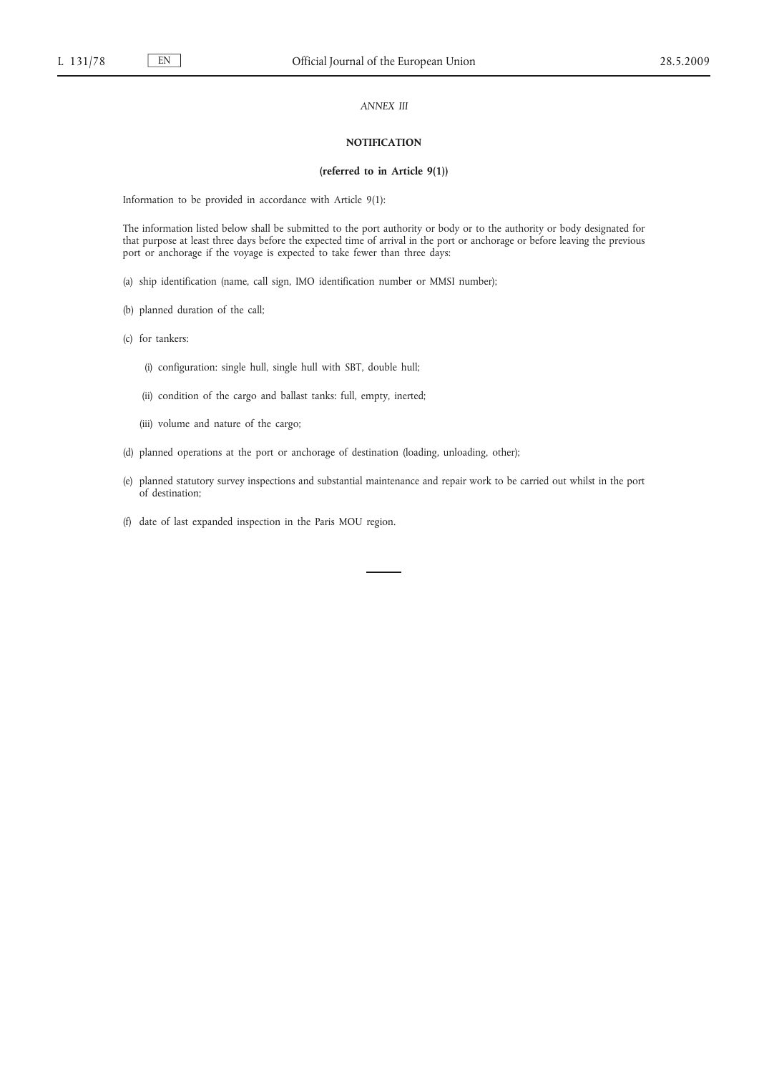# *ANNEX III*

## **NOTIFICATION**

#### **(referred to in Article 9(1))**

Information to be provided in accordance with Article 9(1):

The information listed below shall be submitted to the port authority or body or to the authority or body designated for that purpose at least three days before the expected time of arrival in the port or anchorage or before leaving the previous port or anchorage if the voyage is expected to take fewer than three days:

- (a) ship identification (name, call sign, IMO identification number or MMSI number);
- (b) planned duration of the call;
- (c) for tankers:
	- (i) configuration: single hull, single hull with SBT, double hull;
	- (ii) condition of the cargo and ballast tanks: full, empty, inerted;
	- (iii) volume and nature of the cargo;
- (d) planned operations at the port or anchorage of destination (loading, unloading, other);
- (e) planned statutory survey inspections and substantial maintenance and repair work to be carried out whilst in the port of destination;
- (f) date of last expanded inspection in the Paris MOU region.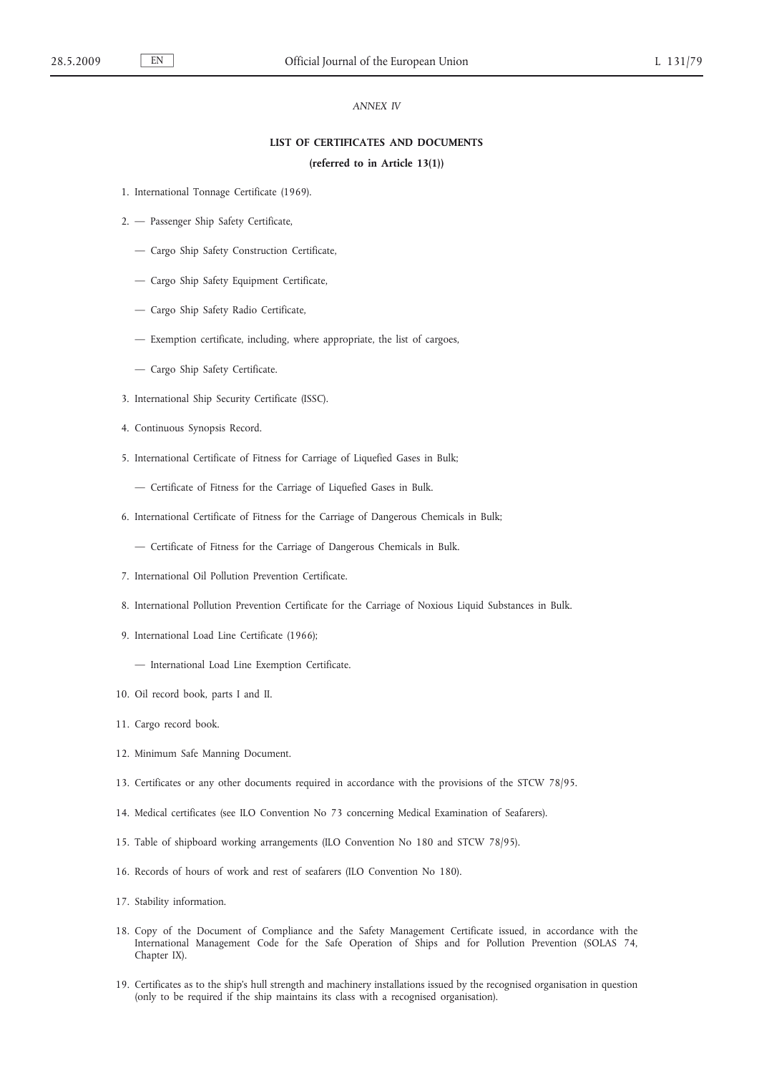# *ANNEX IV*

# **LIST OF CERTIFICATES AND DOCUMENTS**

# **(referred to in Article 13(1))**

- 1. International Tonnage Certificate (1969).
- 2. Passenger Ship Safety Certificate,
	- Cargo Ship Safety Construction Certificate,
	- Cargo Ship Safety Equipment Certificate,
	- Cargo Ship Safety Radio Certificate,
	- Exemption certificate, including, where appropriate, the list of cargoes,
	- Cargo Ship Safety Certificate.
- 3. International Ship Security Certificate (ISSC).
- 4. Continuous Synopsis Record.
- 5. International Certificate of Fitness for Carriage of Liquefied Gases in Bulk;
	- Certificate of Fitness for the Carriage of Liquefied Gases in Bulk.
- 6. International Certificate of Fitness for the Carriage of Dangerous Chemicals in Bulk;
	- Certificate of Fitness for the Carriage of Dangerous Chemicals in Bulk.
- 7. International Oil Pollution Prevention Certificate.
- 8. International Pollution Prevention Certificate for the Carriage of Noxious Liquid Substances in Bulk.
- 9. International Load Line Certificate (1966);
	- International Load Line Exemption Certificate.
- 10. Oil record book, parts I and II.
- 11. Cargo record book.
- 12. Minimum Safe Manning Document.
- 13. Certificates or any other documents required in accordance with the provisions of the STCW 78/95.
- 14. Medical certificates (see ILO Convention No 73 concerning Medical Examination of Seafarers).
- 15. Table of shipboard working arrangements (ILO Convention No 180 and STCW 78/95).
- 16. Records of hours of work and rest of seafarers (ILO Convention No 180).
- 17. Stability information.
- 18. Copy of the Document of Compliance and the Safety Management Certificate issued, in accordance with the International Management Code for the Safe Operation of Ships and for Pollution Prevention (SOLAS 74, Chapter IX).
- 19. Certificates as to the ship's hull strength and machinery installations issued by the recognised organisation in question (only to be required if the ship maintains its class with a recognised organisation).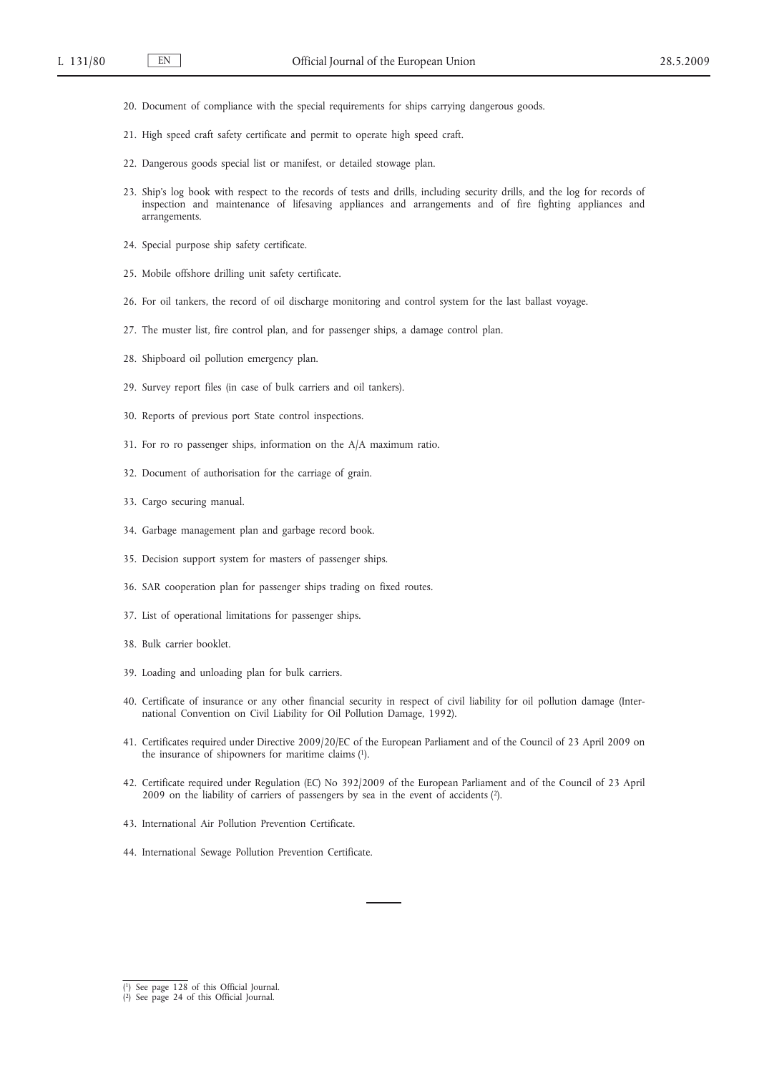- 20. Document of compliance with the special requirements for ships carrying dangerous goods.
- 21. High speed craft safety certificate and permit to operate high speed craft.
- 22. Dangerous goods special list or manifest, or detailed stowage plan.
- 23. Ship's log book with respect to the records of tests and drills, including security drills, and the log for records of inspection and maintenance of lifesaving appliances and arrangements and of fire fighting appliances and arrangements.
- 24. Special purpose ship safety certificate.
- 25. Mobile offshore drilling unit safety certificate.
- 26. For oil tankers, the record of oil discharge monitoring and control system for the last ballast voyage.
- 27. The muster list, fire control plan, and for passenger ships, a damage control plan.
- 28. Shipboard oil pollution emergency plan.
- 29. Survey report files (in case of bulk carriers and oil tankers).
- 30. Reports of previous port State control inspections.
- 31. For ro ro passenger ships, information on the A/A maximum ratio.
- 32. Document of authorisation for the carriage of grain.
- 33. Cargo securing manual.
- 34. Garbage management plan and garbage record book.
- 35. Decision support system for masters of passenger ships.
- 36. SAR cooperation plan for passenger ships trading on fixed routes.
- 37. List of operational limitations for passenger ships.
- 38. Bulk carrier booklet.
- 39. Loading and unloading plan for bulk carriers.
- 40. Certificate of insurance or any other financial security in respect of civil liability for oil pollution damage (International Convention on Civil Liability for Oil Pollution Damage, 1992).
- 41. Certificates required under Directive 2009/20/EC of the European Parliament and of the Council of 23 April 2009 on the insurance of shipowners for maritime claims (1).
- 42. Certificate required under Regulation (EC) No 392/2009 of the European Parliament and of the Council of 23 April 2009 on the liability of carriers of passengers by sea in the event of accidents (2).
- 43. International Air Pollution Prevention Certificate.
- 44. International Sewage Pollution Prevention Certificate.

<sup>(</sup> 1) See page 128 of this Official Journal. ( 2) See page 24 of this Official Journal.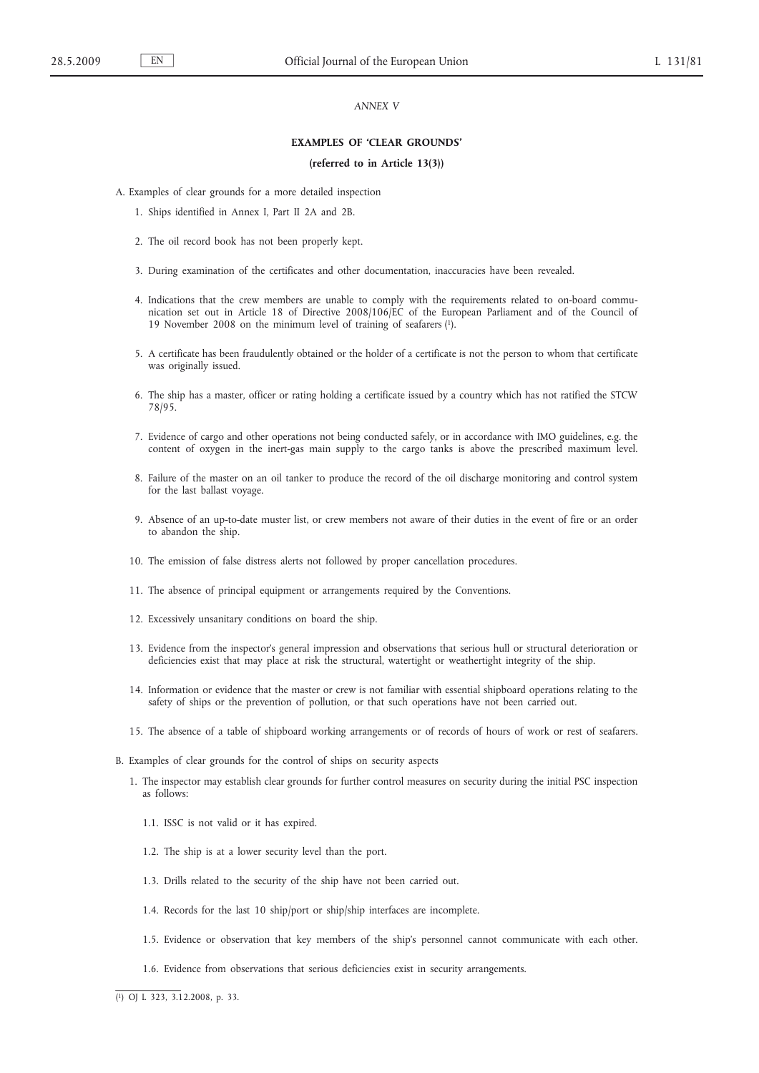## *ANNEX V*

# **EXAMPLES OF 'CLEAR GROUNDS'**

# **(referred to in Article 13(3))**

- A. Examples of clear grounds for a more detailed inspection
	- 1. Ships identified in Annex I, Part II 2A and 2B.
	- 2. The oil record book has not been properly kept.
	- 3. During examination of the certificates and other documentation, inaccuracies have been revealed.
	- 4. Indications that the crew members are unable to comply with the requirements related to on-board communication set out in Article 18 of Directive 2008/106/EC of the European Parliament and of the Council of 19 November 2008 on the minimum level of training of seafarers (1).
	- 5. A certificate has been fraudulently obtained or the holder of a certificate is not the person to whom that certificate was originally issued.
	- 6. The ship has a master, officer or rating holding a certificate issued by a country which has not ratified the STCW 78/95.
	- 7. Evidence of cargo and other operations not being conducted safely, or in accordance with IMO guidelines, e.g. the content of oxygen in the inert-gas main supply to the cargo tanks is above the prescribed maximum level.
	- 8. Failure of the master on an oil tanker to produce the record of the oil discharge monitoring and control system for the last ballast voyage.
	- 9. Absence of an up-to-date muster list, or crew members not aware of their duties in the event of fire or an order to abandon the ship.
	- 10. The emission of false distress alerts not followed by proper cancellation procedures.
	- 11. The absence of principal equipment or arrangements required by the Conventions.
	- 12. Excessively unsanitary conditions on board the ship.
	- 13. Evidence from the inspector's general impression and observations that serious hull or structural deterioration or deficiencies exist that may place at risk the structural, watertight or weathertight integrity of the ship.
	- 14. Information or evidence that the master or crew is not familiar with essential shipboard operations relating to the safety of ships or the prevention of pollution, or that such operations have not been carried out.
	- 15. The absence of a table of shipboard working arrangements or of records of hours of work or rest of seafarers.
- B. Examples of clear grounds for the control of ships on security aspects
	- 1. The inspector may establish clear grounds for further control measures on security during the initial PSC inspection as follows:
		- 1.1. ISSC is not valid or it has expired.
		- 1.2. The ship is at a lower security level than the port.
		- 1.3. Drills related to the security of the ship have not been carried out.
		- 1.4. Records for the last 10 ship/port or ship/ship interfaces are incomplete.
		- 1.5. Evidence or observation that key members of the ship's personnel cannot communicate with each other.
		- 1.6. Evidence from observations that serious deficiencies exist in security arrangements.

<sup>(</sup> 1) OJ L 323, 3.12.2008, p. 33.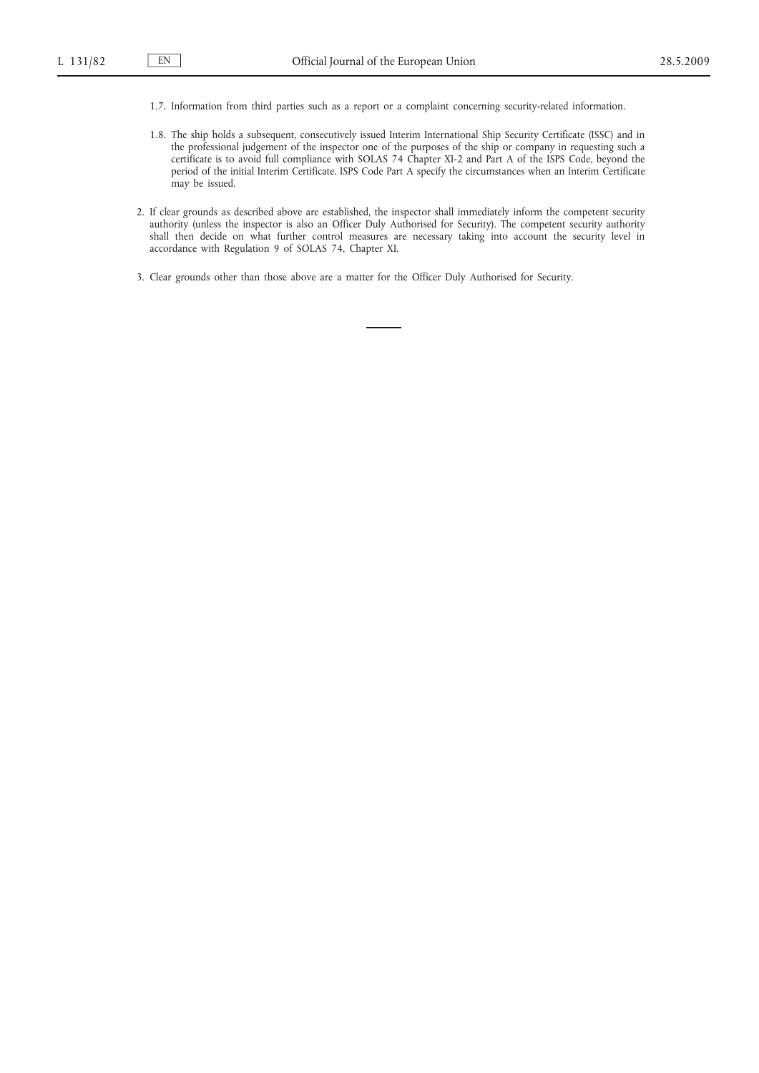- 1.7. Information from third parties such as a report or a complaint concerning security-related information.
- 1.8. The ship holds a subsequent, consecutively issued Interim International Ship Security Certificate (ISSC) and in the professional judgement of the inspector one of the purposes of the ship or company in requesting such a certificate is to avoid full compliance with SOLAS 74 Chapter XI-2 and Part A of the ISPS Code, beyond the period of the initial Interim Certificate. ISPS Code Part A specify the circumstances when an Interim Certificate may be issued.
- 2. If clear grounds as described above are established, the inspector shall immediately inform the competent security authority (unless the inspector is also an Officer Duly Authorised for Security). The competent security authority shall then decide on what further control measures are necessary taking into account the security level in accordance with Regulation 9 of SOLAS 74, Chapter XI.
- 3. Clear grounds other than those above are a matter for the Officer Duly Authorised for Security.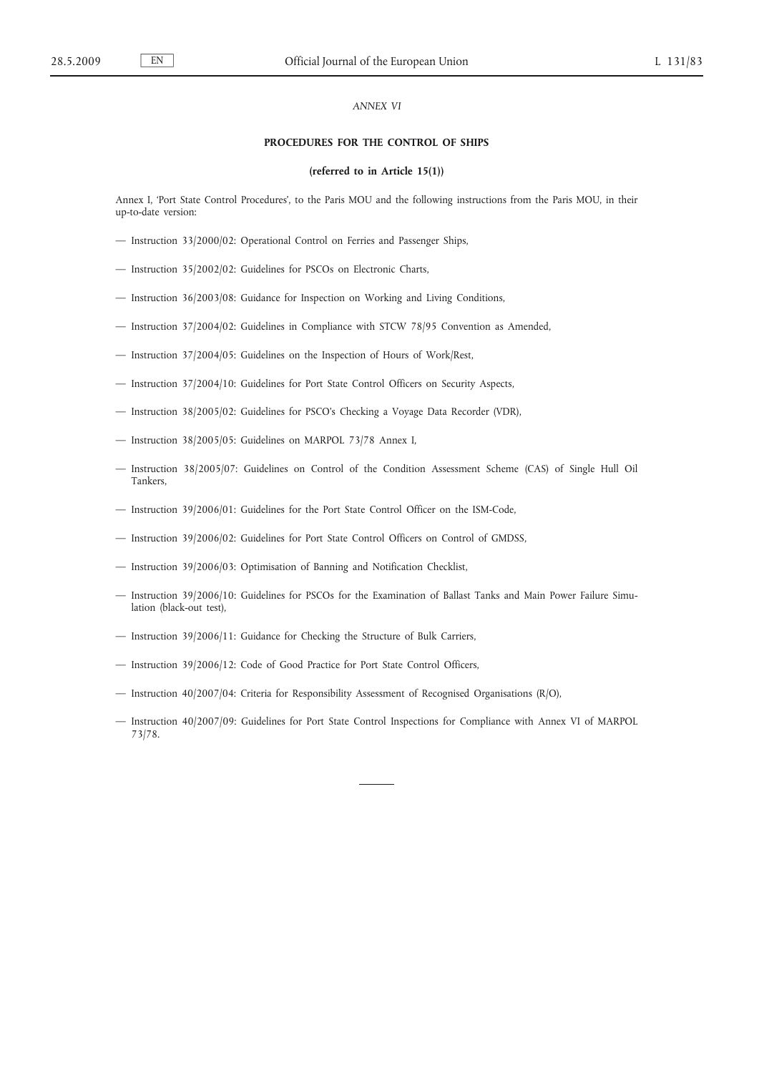## *ANNEX VI*

#### **PROCEDURES FOR THE CONTROL OF SHIPS**

#### **(referred to in Article 15(1))**

Annex I, 'Port State Control Procedures', to the Paris MOU and the following instructions from the Paris MOU, in their up-to-date version:

- Instruction 33/2000/02: Operational Control on Ferries and Passenger Ships,
- Instruction 35/2002/02: Guidelines for PSCOs on Electronic Charts,
- Instruction 36/2003/08: Guidance for Inspection on Working and Living Conditions,
- Instruction 37/2004/02: Guidelines in Compliance with STCW 78/95 Convention as Amended,
- Instruction 37/2004/05: Guidelines on the Inspection of Hours of Work/Rest,
- Instruction 37/2004/10: Guidelines for Port State Control Officers on Security Aspects,
- Instruction 38/2005/02: Guidelines for PSCO's Checking a Voyage Data Recorder (VDR),
- Instruction 38/2005/05: Guidelines on MARPOL 73/78 Annex I,
- Instruction 38/2005/07: Guidelines on Control of the Condition Assessment Scheme (CAS) of Single Hull Oil Tankers,
- Instruction 39/2006/01: Guidelines for the Port State Control Officer on the ISM-Code,
- Instruction 39/2006/02: Guidelines for Port State Control Officers on Control of GMDSS,
- Instruction 39/2006/03: Optimisation of Banning and Notification Checklist,
- Instruction 39/2006/10: Guidelines for PSCOs for the Examination of Ballast Tanks and Main Power Failure Simulation (black-out test),
- Instruction 39/2006/11: Guidance for Checking the Structure of Bulk Carriers,
- Instruction 39/2006/12: Code of Good Practice for Port State Control Officers,
- Instruction 40/2007/04: Criteria for Responsibility Assessment of Recognised Organisations (R/O),
- Instruction 40/2007/09: Guidelines for Port State Control Inspections for Compliance with Annex VI of MARPOL 73/78.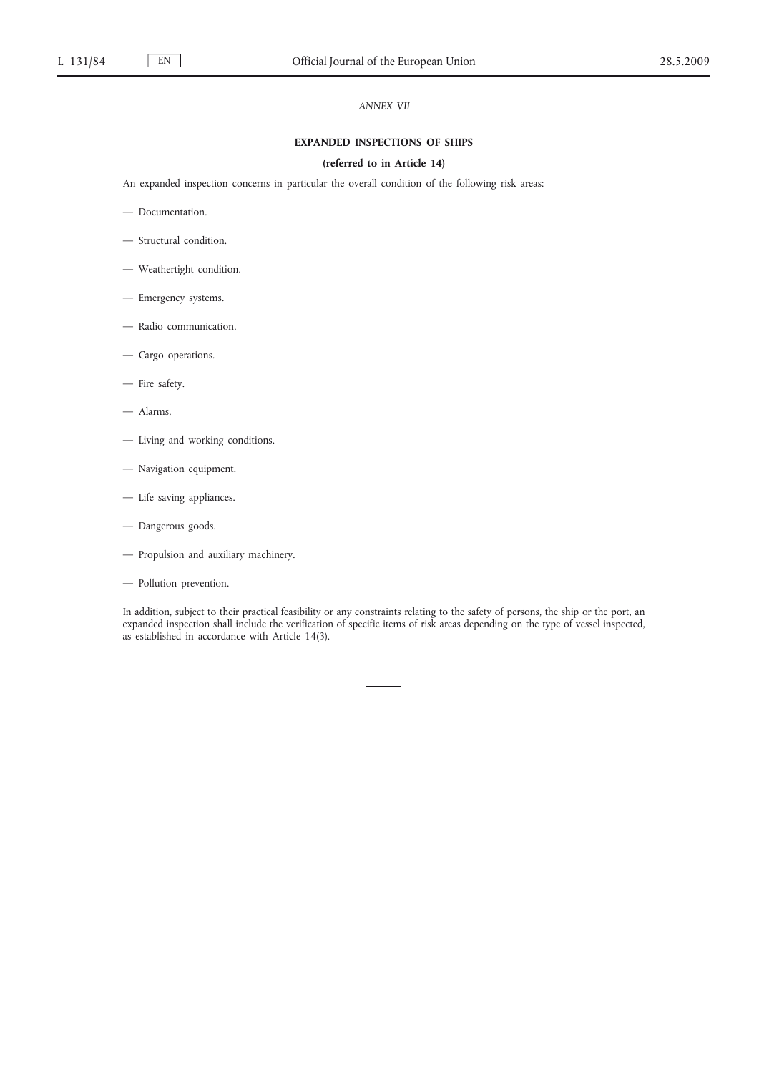# *ANNEX VII*

#### **EXPANDED INSPECTIONS OF SHIPS**

#### **(referred to in Article 14)**

An expanded inspection concerns in particular the overall condition of the following risk areas:

- Documentation.
- Structural condition.
- Weathertight condition.
- Emergency systems.
- Radio communication.
- Cargo operations.
- Fire safety.
- Alarms.
- Living and working conditions.
- Navigation equipment.
- Life saving appliances.
- Dangerous goods.
- Propulsion and auxiliary machinery.
- Pollution prevention.

In addition, subject to their practical feasibility or any constraints relating to the safety of persons, the ship or the port, an expanded inspection shall include the verification of specific items of risk areas depending on the type of vessel inspected, as established in accordance with Article 14(3).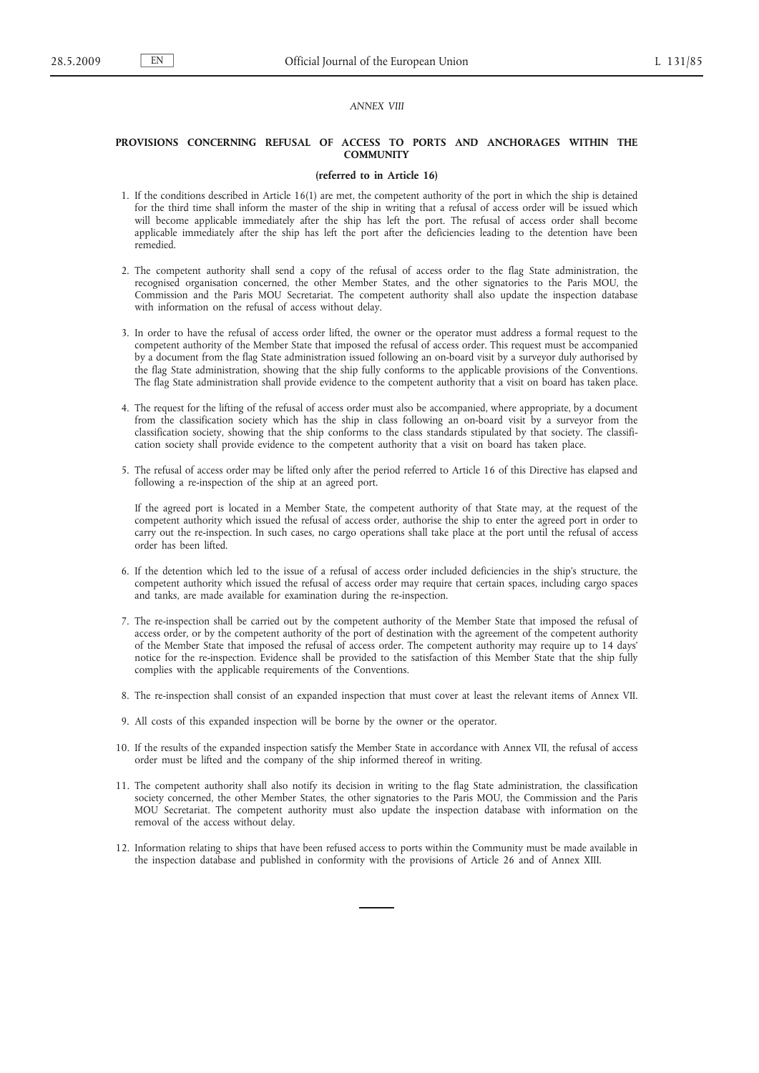#### *ANNEX VIII*

## **PROVISIONS CONCERNING REFUSAL OF ACCESS TO PORTS AND ANCHORAGES WITHIN THE COMMUNITY**

#### **(referred to in Article 16)**

- 1. If the conditions described in Article 16(1) are met, the competent authority of the port in which the ship is detained for the third time shall inform the master of the ship in writing that a refusal of access order will be issued which will become applicable immediately after the ship has left the port. The refusal of access order shall become applicable immediately after the ship has left the port after the deficiencies leading to the detention have been remedied.
- 2. The competent authority shall send a copy of the refusal of access order to the flag State administration, the recognised organisation concerned, the other Member States, and the other signatories to the Paris MOU, the Commission and the Paris MOU Secretariat. The competent authority shall also update the inspection database with information on the refusal of access without delay.
- 3. In order to have the refusal of access order lifted, the owner or the operator must address a formal request to the competent authority of the Member State that imposed the refusal of access order. This request must be accompanied by a document from the flag State administration issued following an on-board visit by a surveyor duly authorised by the flag State administration, showing that the ship fully conforms to the applicable provisions of the Conventions. The flag State administration shall provide evidence to the competent authority that a visit on board has taken place.
- 4. The request for the lifting of the refusal of access order must also be accompanied, where appropriate, by a document from the classification society which has the ship in class following an on-board visit by a surveyor from the classification society, showing that the ship conforms to the class standards stipulated by that society. The classification society shall provide evidence to the competent authority that a visit on board has taken place.
- 5. The refusal of access order may be lifted only after the period referred to Article 16 of this Directive has elapsed and following a re-inspection of the ship at an agreed port.

If the agreed port is located in a Member State, the competent authority of that State may, at the request of the competent authority which issued the refusal of access order, authorise the ship to enter the agreed port in order to carry out the re-inspection. In such cases, no cargo operations shall take place at the port until the refusal of access order has been lifted.

- 6. If the detention which led to the issue of a refusal of access order included deficiencies in the ship's structure, the competent authority which issued the refusal of access order may require that certain spaces, including cargo spaces and tanks, are made available for examination during the re-inspection.
- 7. The re-inspection shall be carried out by the competent authority of the Member State that imposed the refusal of access order, or by the competent authority of the port of destination with the agreement of the competent authority of the Member State that imposed the refusal of access order. The competent authority may require up to 14 days' notice for the re-inspection. Evidence shall be provided to the satisfaction of this Member State that the ship fully complies with the applicable requirements of the Conventions.
- 8. The re-inspection shall consist of an expanded inspection that must cover at least the relevant items of Annex VII.
- 9. All costs of this expanded inspection will be borne by the owner or the operator.
- 10. If the results of the expanded inspection satisfy the Member State in accordance with Annex VII, the refusal of access order must be lifted and the company of the ship informed thereof in writing.
- 11. The competent authority shall also notify its decision in writing to the flag State administration, the classification society concerned, the other Member States, the other signatories to the Paris MOU, the Commission and the Paris MOU Secretariat. The competent authority must also update the inspection database with information on the removal of the access without delay.
- 12. Information relating to ships that have been refused access to ports within the Community must be made available in the inspection database and published in conformity with the provisions of Article 26 and of Annex XIII.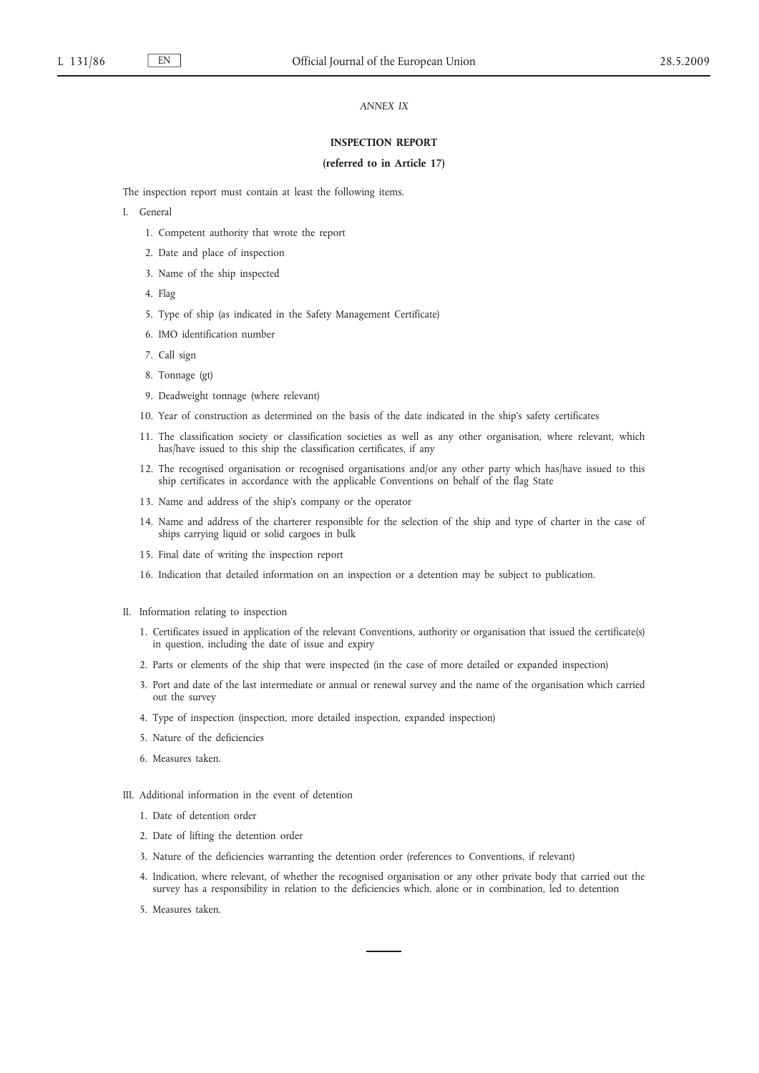# *ANNEX IX*

# **INSPECTION REPORT**

#### **(referred to in Article 17)**

The inspection report must contain at least the following items.

- I. General
	- 1. Competent authority that wrote the report
	- 2. Date and place of inspection
	- 3. Name of the ship inspected
	- 4. Flag
	- 5. Type of ship (as indicated in the Safety Management Certificate)
	- 6. IMO identification number
	- 7. Call sign
	- 8. Tonnage (gt)
	- 9. Deadweight tonnage (where relevant)
	- 10. Year of construction as determined on the basis of the date indicated in the ship's safety certificates
	- 11. The classification society or classification societies as well as any other organisation, where relevant, which has/have issued to this ship the classification certificates, if any
	- 12. The recognised organisation or recognised organisations and/or any other party which has/have issued to this ship certificates in accordance with the applicable Conventions on behalf of the flag State
	- 13. Name and address of the ship's company or the operator
	- 14. Name and address of the charterer responsible for the selection of the ship and type of charter in the case of ships carrying liquid or solid cargoes in bulk
	- 15. Final date of writing the inspection report
	- 16. Indication that detailed information on an inspection or a detention may be subject to publication.
- II. Information relating to inspection
	- 1. Certificates issued in application of the relevant Conventions, authority or organisation that issued the certificate(s) in question, including the date of issue and expiry
	- 2. Parts or elements of the ship that were inspected (in the case of more detailed or expanded inspection)
	- 3. Port and date of the last intermediate or annual or renewal survey and the name of the organisation which carried out the survey
	- 4. Type of inspection (inspection, more detailed inspection, expanded inspection)
	- 5. Nature of the deficiencies
	- 6. Measures taken.
- III. Additional information in the event of detention
	- 1. Date of detention order
	- 2. Date of lifting the detention order
	- 3. Nature of the deficiencies warranting the detention order (references to Conventions, if relevant)
	- 4. Indication, where relevant, of whether the recognised organisation or any other private body that carried out the survey has a responsibility in relation to the deficiencies which, alone or in combination, led to detention
	- 5. Measures taken.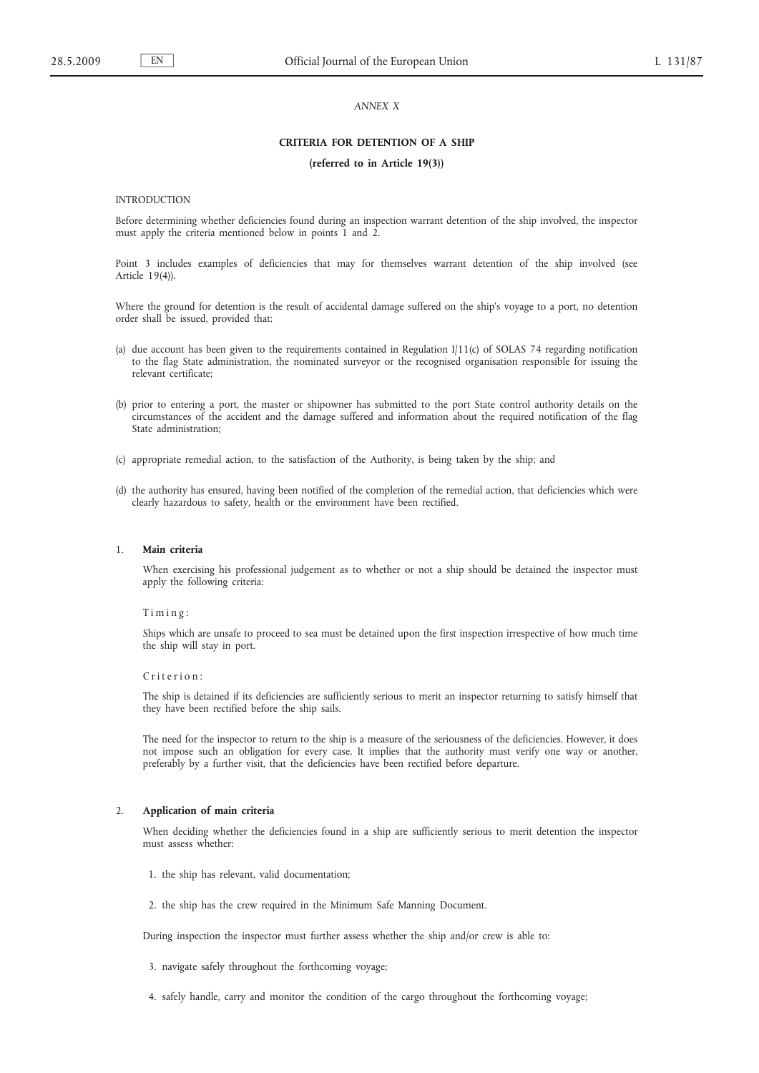# *ANNEX X*

#### **CRITERIA FOR DETENTION OF A SHIP**

## **(referred to in Article 19(3))**

#### INTRODUCTION

Before determining whether deficiencies found during an inspection warrant detention of the ship involved, the inspector must apply the criteria mentioned below in points  $\tilde{1}$  and  $\tilde{2}$ .

Point 3 includes examples of deficiencies that may for themselves warrant detention of the ship involved (see Article 19(4)).

Where the ground for detention is the result of accidental damage suffered on the ship's voyage to a port, no detention order shall be issued, provided that:

- (a) due account has been given to the requirements contained in Regulation I/11(c) of SOLAS 74 regarding notification to the flag State administration, the nominated surveyor or the recognised organisation responsible for issuing the relevant certificate;
- (b) prior to entering a port, the master or shipowner has submitted to the port State control authority details on the circumstances of the accident and the damage suffered and information about the required notification of the flag State administration;
- (c) appropriate remedial action, to the satisfaction of the Authority, is being taken by the ship; and
- (d) the authority has ensured, having been notified of the completion of the remedial action, that deficiencies which were clearly hazardous to safety, health or the environment have been rectified.

#### 1. **Main criteria**

When exercising his professional judgement as to whether or not a ship should be detained the inspector must apply the following criteria:

#### Timing:

Ships which are unsafe to proceed to sea must be detained upon the first inspection irrespective of how much time the ship will stay in port.

## Criterion:

The ship is detained if its deficiencies are sufficiently serious to merit an inspector returning to satisfy himself that they have been rectified before the ship sails.

The need for the inspector to return to the ship is a measure of the seriousness of the deficiencies. However, it does not impose such an obligation for every case. It implies that the authority must verify one way or another, preferably by a further visit, that the deficiencies have been rectified before departure.

#### 2. **Application of main criteria**

When deciding whether the deficiencies found in a ship are sufficiently serious to merit detention the inspector must assess whether:

- 1. the ship has relevant, valid documentation;
- 2. the ship has the crew required in the Minimum Safe Manning Document.

During inspection the inspector must further assess whether the ship and/or crew is able to:

- 3. navigate safely throughout the forthcoming voyage;
- 4. safely handle, carry and monitor the condition of the cargo throughout the forthcoming voyage;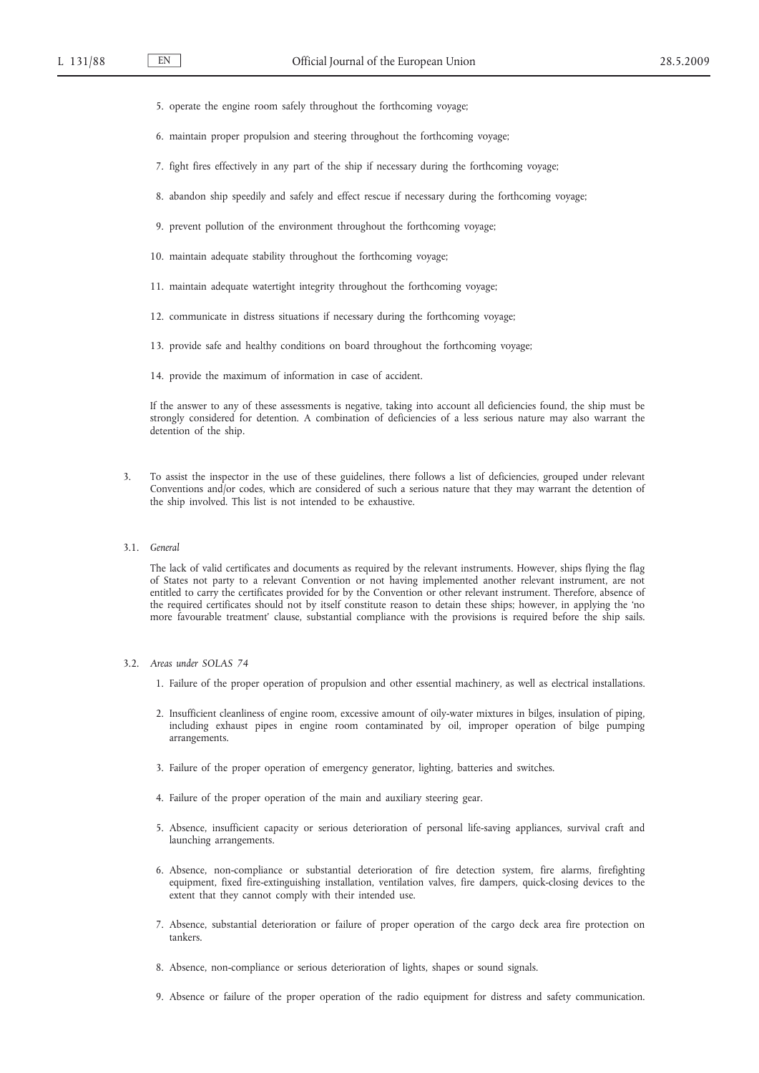- 5. operate the engine room safely throughout the forthcoming voyage;
- 6. maintain proper propulsion and steering throughout the forthcoming voyage;
- 7. fight fires effectively in any part of the ship if necessary during the forthcoming voyage;
- 8. abandon ship speedily and safely and effect rescue if necessary during the forthcoming voyage;
- 9. prevent pollution of the environment throughout the forthcoming voyage;
- 10. maintain adequate stability throughout the forthcoming voyage;
- 11. maintain adequate watertight integrity throughout the forthcoming voyage;
- 12. communicate in distress situations if necessary during the forthcoming voyage;
- 13. provide safe and healthy conditions on board throughout the forthcoming voyage;
- 14. provide the maximum of information in case of accident.

If the answer to any of these assessments is negative, taking into account all deficiencies found, the ship must be strongly considered for detention. A combination of deficiencies of a less serious nature may also warrant the detention of the ship.

- 3. To assist the inspector in the use of these guidelines, there follows a list of deficiencies, grouped under relevant Conventions and/or codes, which are considered of such a serious nature that they may warrant the detention of the ship involved. This list is not intended to be exhaustive.
- 3.1. *General*

The lack of valid certificates and documents as required by the relevant instruments. However, ships flying the flag of States not party to a relevant Convention or not having implemented another relevant instrument, are not entitled to carry the certificates provided for by the Convention or other relevant instrument. Therefore, absence of the required certificates should not by itself constitute reason to detain these ships; however, in applying the 'no more favourable treatment' clause, substantial compliance with the provisions is required before the ship sails.

- 3.2. *Areas under SOLAS 74*
	- 1. Failure of the proper operation of propulsion and other essential machinery, as well as electrical installations.
	- 2. Insufficient cleanliness of engine room, excessive amount of oily-water mixtures in bilges, insulation of piping, including exhaust pipes in engine room contaminated by oil, improper operation of bilge pumping arrangements.
	- 3. Failure of the proper operation of emergency generator, lighting, batteries and switches.
	- 4. Failure of the proper operation of the main and auxiliary steering gear.
	- 5. Absence, insufficient capacity or serious deterioration of personal life-saving appliances, survival craft and launching arrangements.
	- 6. Absence, non-compliance or substantial deterioration of fire detection system, fire alarms, firefighting equipment, fixed fire-extinguishing installation, ventilation valves, fire dampers, quick-closing devices to the extent that they cannot comply with their intended use.
	- 7. Absence, substantial deterioration or failure of proper operation of the cargo deck area fire protection on tankers.
	- 8. Absence, non-compliance or serious deterioration of lights, shapes or sound signals.
	- 9. Absence or failure of the proper operation of the radio equipment for distress and safety communication.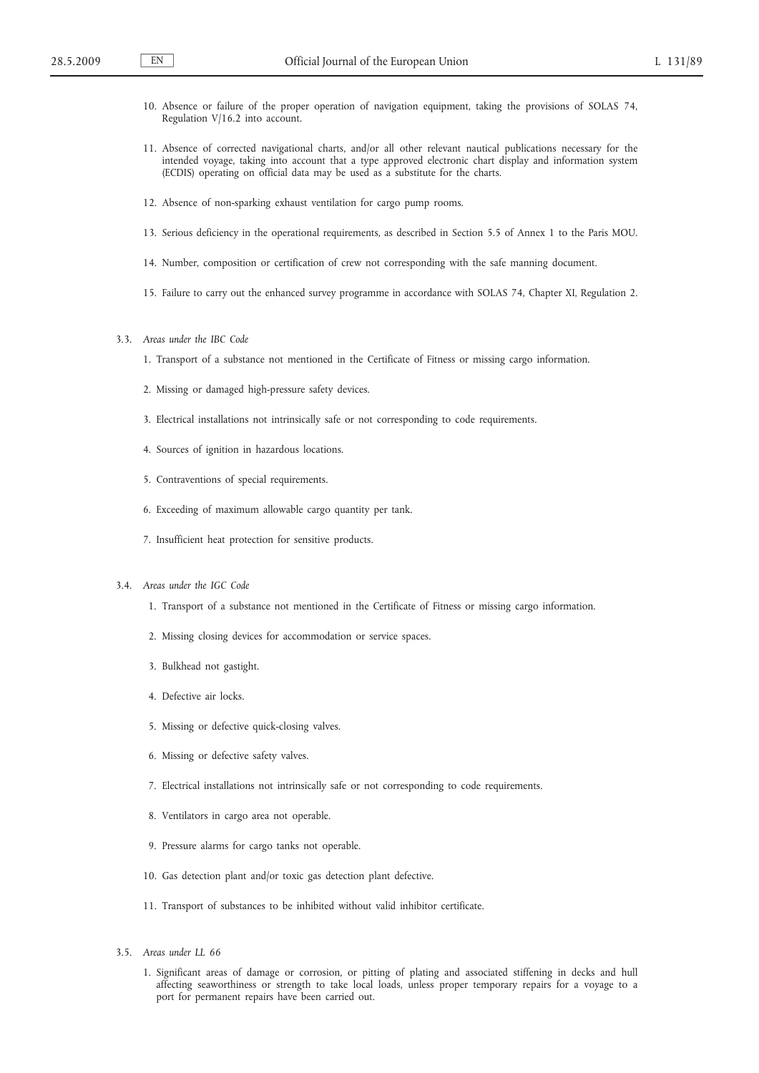- 10. Absence or failure of the proper operation of navigation equipment, taking the provisions of SOLAS 74, Regulation V/16.2 into account.
- 11. Absence of corrected navigational charts, and/or all other relevant nautical publications necessary for the intended voyage, taking into account that a type approved electronic chart display and information system (ECDIS) operating on official data may be used as a substitute for the charts.
- 12. Absence of non-sparking exhaust ventilation for cargo pump rooms.
- 13. Serious deficiency in the operational requirements, as described in Section 5.5 of Annex 1 to the Paris MOU.
- 14. Number, composition or certification of crew not corresponding with the safe manning document.
- 15. Failure to carry out the enhanced survey programme in accordance with SOLAS 74, Chapter XI, Regulation 2.
- 3.3. *Areas under the IBC Code*
	- 1. Transport of a substance not mentioned in the Certificate of Fitness or missing cargo information.
	- 2. Missing or damaged high-pressure safety devices.
	- 3. Electrical installations not intrinsically safe or not corresponding to code requirements.
	- 4. Sources of ignition in hazardous locations.
	- 5. Contraventions of special requirements.
	- 6. Exceeding of maximum allowable cargo quantity per tank.
	- 7. Insufficient heat protection for sensitive products.
- 3.4. *Areas under the IGC Code*
	- 1. Transport of a substance not mentioned in the Certificate of Fitness or missing cargo information.
	- 2. Missing closing devices for accommodation or service spaces.
	- 3. Bulkhead not gastight.
	- 4. Defective air locks.
	- 5. Missing or defective quick-closing valves.
	- 6. Missing or defective safety valves.
	- 7. Electrical installations not intrinsically safe or not corresponding to code requirements.
	- 8. Ventilators in cargo area not operable.
	- 9. Pressure alarms for cargo tanks not operable.
	- 10. Gas detection plant and/or toxic gas detection plant defective.
	- 11. Transport of substances to be inhibited without valid inhibitor certificate.
- 3.5. *Areas under LL 66*
	- 1. Significant areas of damage or corrosion, or pitting of plating and associated stiffening in decks and hull affecting seaworthiness or strength to take local loads, unless proper temporary repairs for a voyage to a port for permanent repairs have been carried out.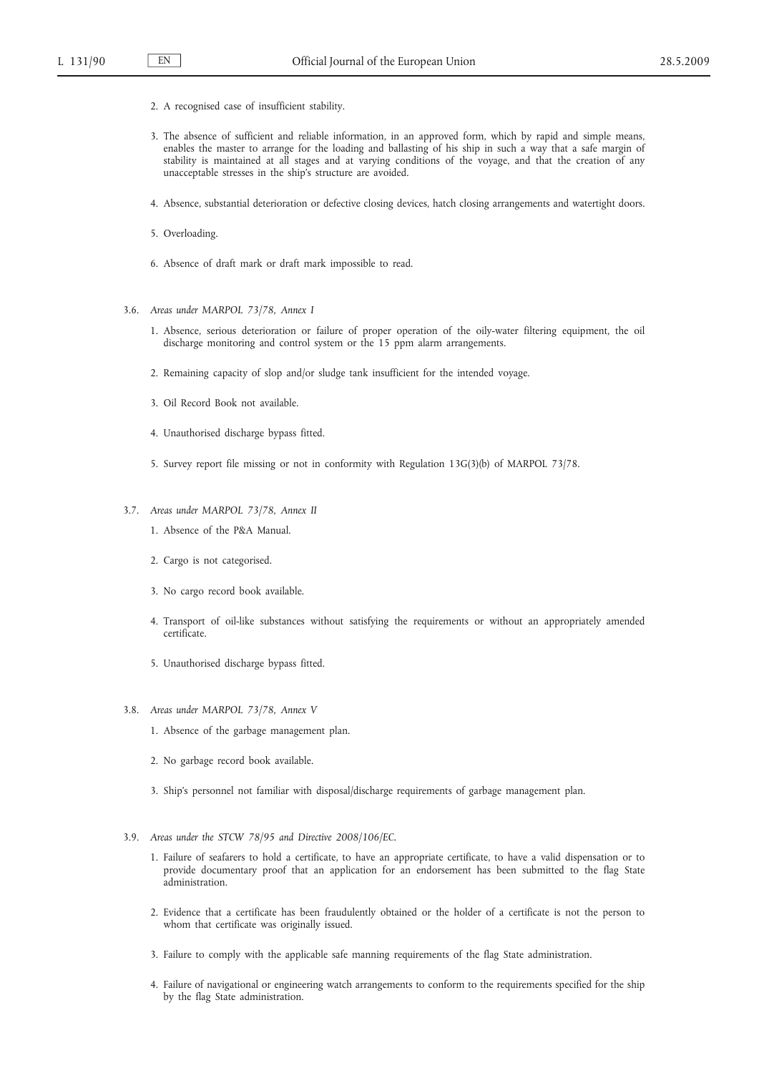- 2. A recognised case of insufficient stability.
- 3. The absence of sufficient and reliable information, in an approved form, which by rapid and simple means, enables the master to arrange for the loading and ballasting of his ship in such a way that a safe margin of stability is maintained at all stages and at varying conditions of the voyage, and that the creation of any unacceptable stresses in the ship's structure are avoided.
- 4. Absence, substantial deterioration or defective closing devices, hatch closing arrangements and watertight doors.
- 5. Overloading.
- 6. Absence of draft mark or draft mark impossible to read.
- 3.6. *Areas under MARPOL 73/78, Annex I*
	- 1. Absence, serious deterioration or failure of proper operation of the oily-water filtering equipment, the oil discharge monitoring and control system or the 15 ppm alarm arrangements.
	- 2. Remaining capacity of slop and/or sludge tank insufficient for the intended voyage.
	- 3. Oil Record Book not available.
	- 4. Unauthorised discharge bypass fitted.
	- 5. Survey report file missing or not in conformity with Regulation 13G(3)(b) of MARPOL 73/78.
- 3.7. *Areas under MARPOL 73/78, Annex II*
	- 1. Absence of the P&A Manual.
	- 2. Cargo is not categorised.
	- 3. No cargo record book available.
	- 4. Transport of oil-like substances without satisfying the requirements or without an appropriately amended certificate.
	- 5. Unauthorised discharge bypass fitted.
- 3.8. *Areas under MARPOL 73/78, Annex V*
	- 1. Absence of the garbage management plan.
	- 2. No garbage record book available.
	- 3. Ship's personnel not familiar with disposal/discharge requirements of garbage management plan.
- 3.9. *Areas under the STCW 78/95 and Directive 2008/106/EC.*
	- 1. Failure of seafarers to hold a certificate, to have an appropriate certificate, to have a valid dispensation or to provide documentary proof that an application for an endorsement has been submitted to the flag State administration.
	- 2. Evidence that a certificate has been fraudulently obtained or the holder of a certificate is not the person to whom that certificate was originally issued.
	- 3. Failure to comply with the applicable safe manning requirements of the flag State administration.
	- 4. Failure of navigational or engineering watch arrangements to conform to the requirements specified for the ship by the flag State administration.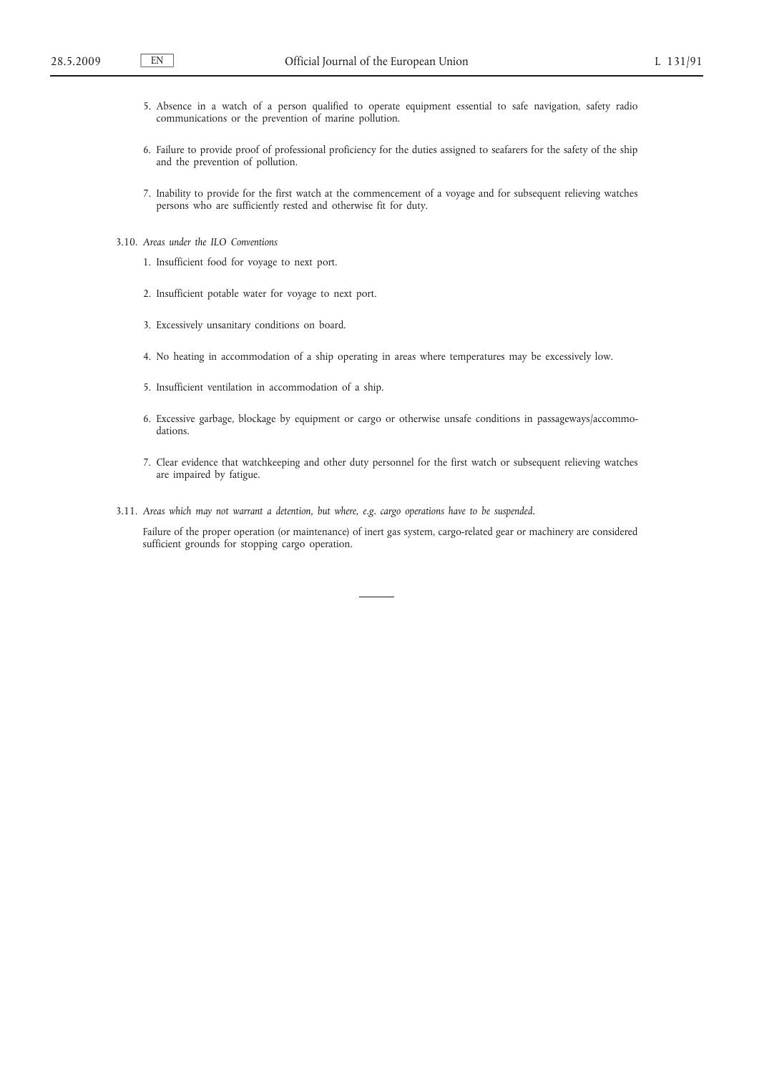- 5. Absence in a watch of a person qualified to operate equipment essential to safe navigation, safety radio communications or the prevention of marine pollution.
- 6. Failure to provide proof of professional proficiency for the duties assigned to seafarers for the safety of the ship and the prevention of pollution.
- 7. Inability to provide for the first watch at the commencement of a voyage and for subsequent relieving watches persons who are sufficiently rested and otherwise fit for duty.
- 3.10. *Areas under the ILO Conventions*
	- 1. Insufficient food for voyage to next port.
	- 2. Insufficient potable water for voyage to next port.
	- 3. Excessively unsanitary conditions on board.
	- 4. No heating in accommodation of a ship operating in areas where temperatures may be excessively low.
	- 5. Insufficient ventilation in accommodation of a ship.
	- 6. Excessive garbage, blockage by equipment or cargo or otherwise unsafe conditions in passageways/accommodations.
	- 7. Clear evidence that watchkeeping and other duty personnel for the first watch or subsequent relieving watches are impaired by fatigue.
- 3.11. *Areas which may not warrant a detention, but where, e.g. cargo operations have to be suspended.*

Failure of the proper operation (or maintenance) of inert gas system, cargo-related gear or machinery are considered sufficient grounds for stopping cargo operation.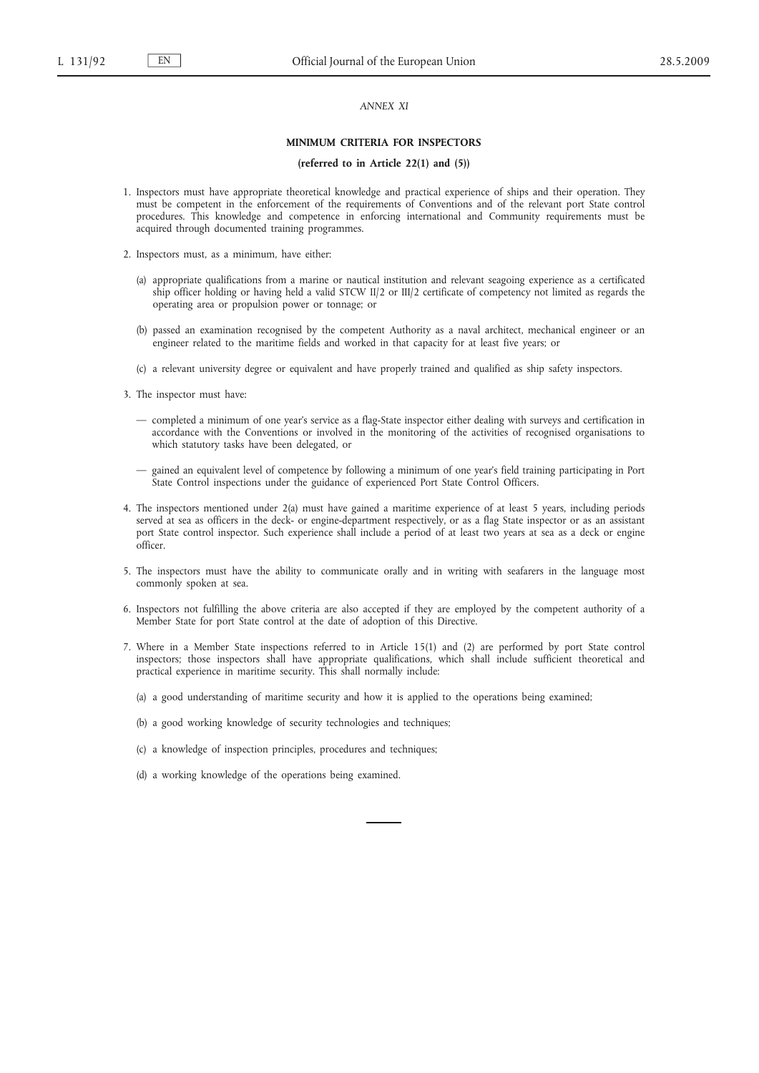# *ANNEX XI*

## **MINIMUM CRITERIA FOR INSPECTORS**

#### **(referred to in Article 22(1) and (5))**

- 1. Inspectors must have appropriate theoretical knowledge and practical experience of ships and their operation. They must be competent in the enforcement of the requirements of Conventions and of the relevant port State control procedures. This knowledge and competence in enforcing international and Community requirements must be acquired through documented training programmes.
- 2. Inspectors must, as a minimum, have either:
	- (a) appropriate qualifications from a marine or nautical institution and relevant seagoing experience as a certificated ship officer holding or having held a valid STCW II/2 or III/2 certificate of competency not limited as regards the operating area or propulsion power or tonnage; or
	- (b) passed an examination recognised by the competent Authority as a naval architect, mechanical engineer or an engineer related to the maritime fields and worked in that capacity for at least five years; or
	- (c) a relevant university degree or equivalent and have properly trained and qualified as ship safety inspectors.
- 3. The inspector must have:
	- completed a minimum of one year's service as a flag-State inspector either dealing with surveys and certification in accordance with the Conventions or involved in the monitoring of the activities of recognised organisations to which statutory tasks have been delegated, or
	- gained an equivalent level of competence by following a minimum of one year's field training participating in Port State Control inspections under the guidance of experienced Port State Control Officers.
- 4. The inspectors mentioned under 2(a) must have gained a maritime experience of at least 5 years, including periods served at sea as officers in the deck- or engine-department respectively, or as a flag State inspector or as an assistant port State control inspector. Such experience shall include a period of at least two years at sea as a deck or engine officer.
- 5. The inspectors must have the ability to communicate orally and in writing with seafarers in the language most commonly spoken at sea.
- 6. Inspectors not fulfilling the above criteria are also accepted if they are employed by the competent authority of a Member State for port State control at the date of adoption of this Directive.
- 7. Where in a Member State inspections referred to in Article 15(1) and (2) are performed by port State control inspectors; those inspectors shall have appropriate qualifications, which shall include sufficient theoretical and practical experience in maritime security. This shall normally include:
	- (a) a good understanding of maritime security and how it is applied to the operations being examined;
	- (b) a good working knowledge of security technologies and techniques;
	- (c) a knowledge of inspection principles, procedures and techniques;
	- (d) a working knowledge of the operations being examined.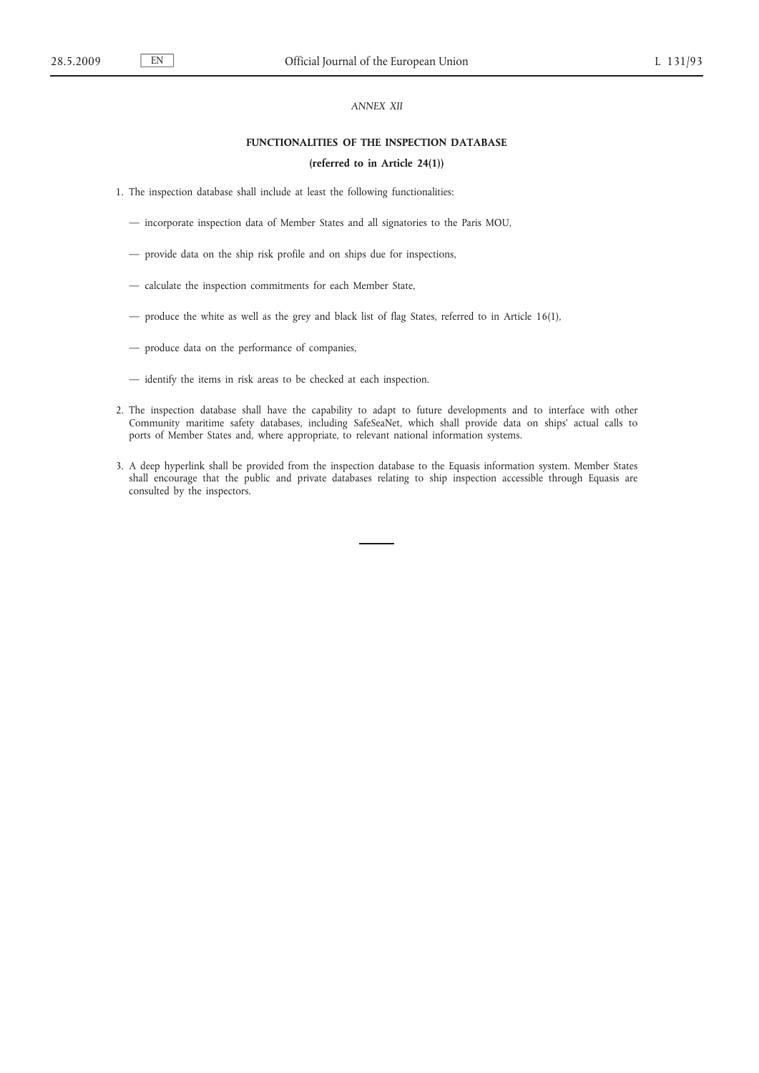# *ANNEX XII*

# **FUNCTIONALITIES OF THE INSPECTION DATABASE**

# **(referred to in Article 24(1))**

- 1. The inspection database shall include at least the following functionalities:
	- incorporate inspection data of Member States and all signatories to the Paris MOU,
	- provide data on the ship risk profile and on ships due for inspections,
	- calculate the inspection commitments for each Member State,
	- produce the white as well as the grey and black list of flag States, referred to in Article 16(1),
	- produce data on the performance of companies,
	- identify the items in risk areas to be checked at each inspection.
- 2. The inspection database shall have the capability to adapt to future developments and to interface with other Community maritime safety databases, including SafeSeaNet, which shall provide data on ships' actual calls to ports of Member States and, where appropriate, to relevant national information systems.
- 3. A deep hyperlink shall be provided from the inspection database to the Equasis information system. Member States shall encourage that the public and private databases relating to ship inspection accessible through Equasis are consulted by the inspectors.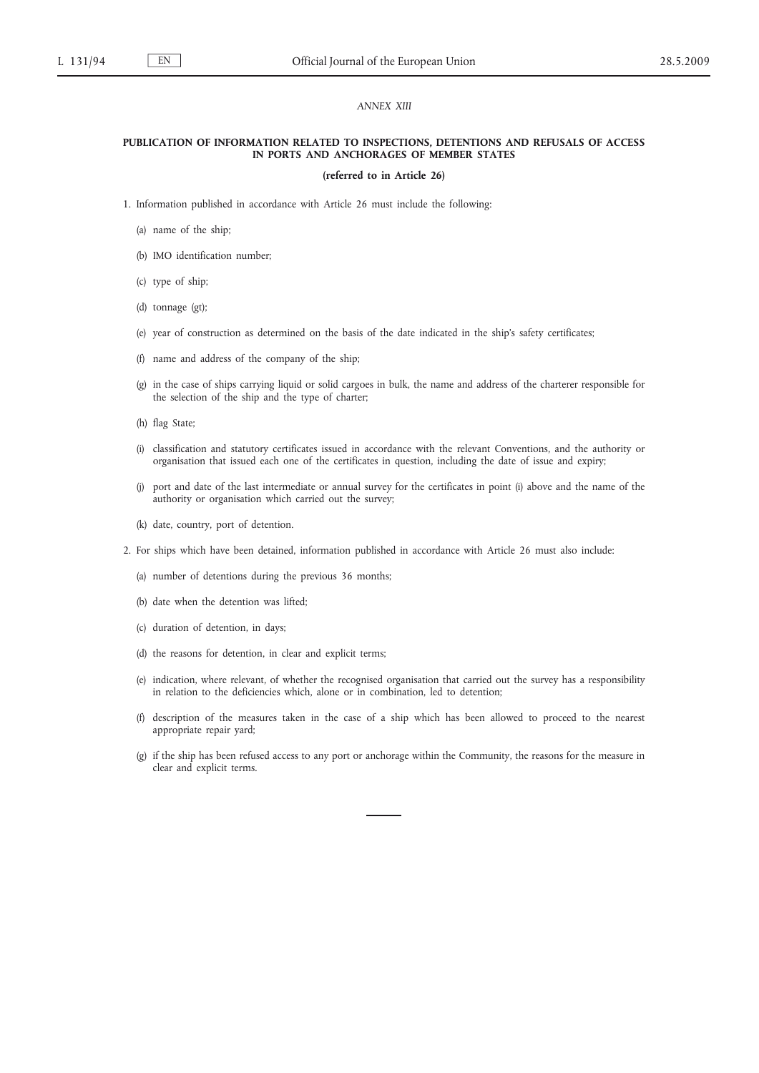## *ANNEX XIII*

# **PUBLICATION OF INFORMATION RELATED TO INSPECTIONS, DETENTIONS AND REFUSALS OF ACCESS IN PORTS AND ANCHORAGES OF MEMBER STATES**

# **(referred to in Article 26)**

- 1. Information published in accordance with Article 26 must include the following:
	- (a) name of the ship;
	- (b) IMO identification number;
	- (c) type of ship;
	- (d) tonnage (gt);
	- (e) year of construction as determined on the basis of the date indicated in the ship's safety certificates;
	- (f) name and address of the company of the ship;
	- (g) in the case of ships carrying liquid or solid cargoes in bulk, the name and address of the charterer responsible for the selection of the ship and the type of charter;
	- (h) flag State;
	- (i) classification and statutory certificates issued in accordance with the relevant Conventions, and the authority or organisation that issued each one of the certificates in question, including the date of issue and expiry;
	- (j) port and date of the last intermediate or annual survey for the certificates in point (i) above and the name of the authority or organisation which carried out the survey;
	- (k) date, country, port of detention.
- 2. For ships which have been detained, information published in accordance with Article 26 must also include:
	- (a) number of detentions during the previous 36 months;
	- (b) date when the detention was lifted;
	- (c) duration of detention, in days;
	- (d) the reasons for detention, in clear and explicit terms;
	- (e) indication, where relevant, of whether the recognised organisation that carried out the survey has a responsibility in relation to the deficiencies which, alone or in combination, led to detention;
	- (f) description of the measures taken in the case of a ship which has been allowed to proceed to the nearest appropriate repair yard;
	- (g) if the ship has been refused access to any port or anchorage within the Community, the reasons for the measure in clear and explicit terms.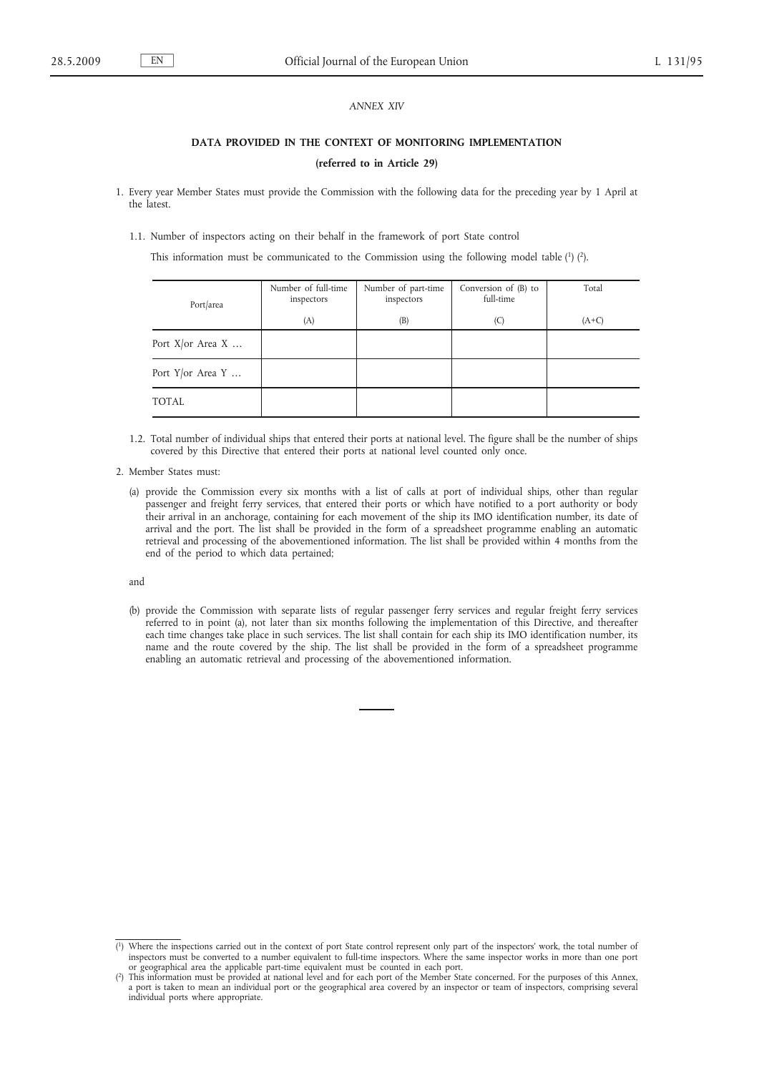# *ANNEX XIV*

#### **DATA PROVIDED IN THE CONTEXT OF MONITORING IMPLEMENTATION**

#### **(referred to in Article 29)**

- 1. Every year Member States must provide the Commission with the following data for the preceding year by 1 April at the latest.
	- 1.1. Number of inspectors acting on their behalf in the framework of port State control

This information must be communicated to the Commission using the following model table  $(1)$   $(2)$ .

| Port/area             | Number of full-time<br>inspectors | Number of part-time<br>inspectors | Conversion of $(B)$ to<br>full-time | Total   |
|-----------------------|-----------------------------------|-----------------------------------|-------------------------------------|---------|
|                       | (A)                               | (B)                               | (C)                                 | $(A+C)$ |
| Port $X$ /or Area $X$ |                                   |                                   |                                     |         |
| Port Y/or Area Y      |                                   |                                   |                                     |         |
| <b>TOTAL</b>          |                                   |                                   |                                     |         |

- 1.2. Total number of individual ships that entered their ports at national level. The figure shall be the number of ships covered by this Directive that entered their ports at national level counted only once.
- 2. Member States must:
	- (a) provide the Commission every six months with a list of calls at port of individual ships, other than regular passenger and freight ferry services, that entered their ports or which have notified to a port authority or body their arrival in an anchorage, containing for each movement of the ship its IMO identification number, its date of arrival and the port. The list shall be provided in the form of a spreadsheet programme enabling an automatic retrieval and processing of the abovementioned information. The list shall be provided within 4 months from the end of the period to which data pertained;

and

(b) provide the Commission with separate lists of regular passenger ferry services and regular freight ferry services referred to in point (a), not later than six months following the implementation of this Directive, and thereafter each time changes take place in such services. The list shall contain for each ship its IMO identification number, its name and the route covered by the ship. The list shall be provided in the form of a spreadsheet programme enabling an automatic retrieval and processing of the abovementioned information.

<sup>(</sup> 1) Where the inspections carried out in the context of port State control represent only part of the inspectors' work, the total number of inspectors must be converted to a number equivalent to full-time inspectors. Where the same inspector works in more than one port<br>or geographical area the applicable part-time equivalent must be counted in each port.<br>(?) T

a port is taken to mean an individual port or the geographical area covered by an inspector or team of inspectors, comprising several individual ports where appropriate.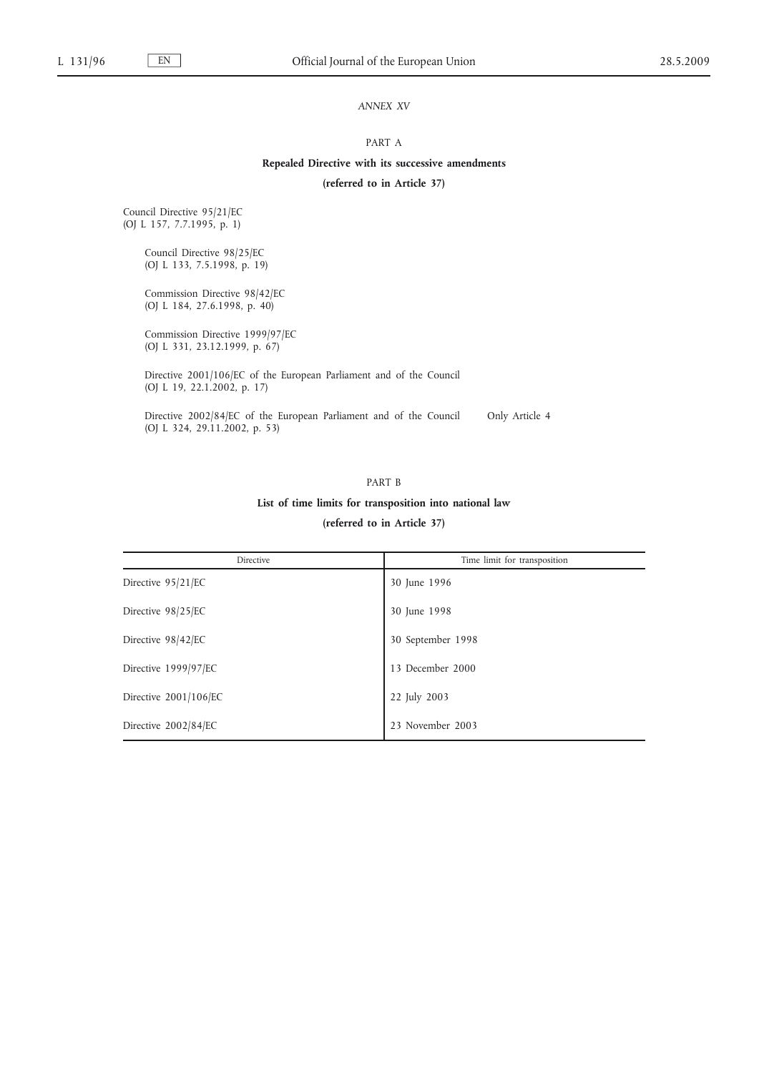# *ANNEX XV*

#### PART A

# **Repealed Directive with its successive amendments**

# **(referred to in Article 37)**

Council Directive 95/21/EC (OJ L 157, 7.7.1995, p. 1)

> Council Directive 98/25/EC (OJ L 133, 7.5.1998, p. 19)

Commission Directive 98/42/EC (OJ L 184, 27.6.1998, p. 40)

Commission Directive 1999/97/EC (OJ L 331, 23.12.1999, p. 67)

Directive 2001/106/EC of the European Parliament and of the Council (OJ L 19, 22.1.2002, p. 17)

Directive 2002/84/EC of the European Parliament and of the Council (OJ L 324, 29.11.2002, p. 53) Only Article 4

# PART B

# **List of time limits for transposition into national law**

# **(referred to in Article 37)**

| Directive                | Time limit for transposition |
|--------------------------|------------------------------|
| Directive $95/21/EC$     | 30 June 1996                 |
| Directive 98/25/EC       | 30 June 1998                 |
| Directive $98/42$ /EC    | 30 September 1998            |
| Directive 1999/97/EC     | 13 December 2000             |
| Directive $2001/106$ /EC | 22 July 2003                 |
| Directive 2002/84/EC     | 23 November 2003             |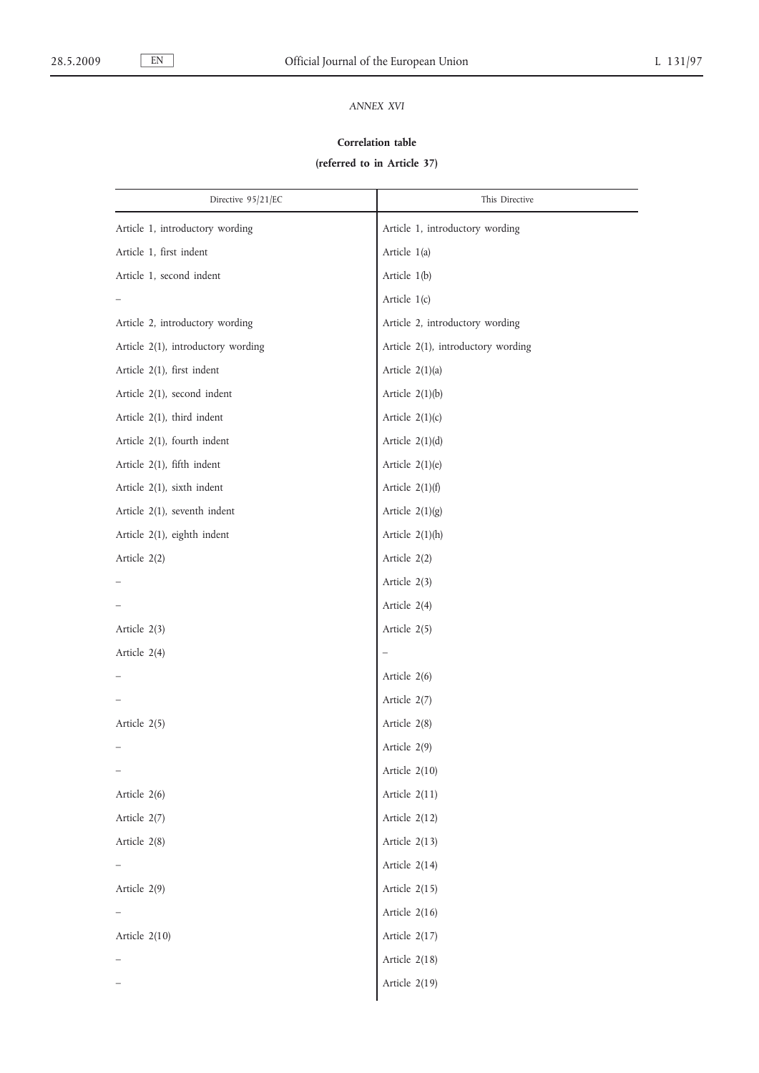# *ANNEX XVI*

# **Correlation table**

# **(referred to in Article 37)**

| Directive 95/21/EC                 | This Directive                     |
|------------------------------------|------------------------------------|
| Article 1, introductory wording    | Article 1, introductory wording    |
| Article 1, first indent            | Article 1(a)                       |
| Article 1, second indent           | Article 1(b)                       |
|                                    | Article 1(c)                       |
| Article 2, introductory wording    | Article 2, introductory wording    |
| Article 2(1), introductory wording | Article 2(1), introductory wording |
| Article 2(1), first indent         | Article $2(1)(a)$                  |
| Article 2(1), second indent        | Article $2(1)(b)$                  |
| Article 2(1), third indent         | Article $2(1)(c)$                  |
| Article 2(1), fourth indent        | Article $2(1)(d)$                  |
| Article 2(1), fifth indent         | Article $2(1)(e)$                  |
| Article 2(1), sixth indent         | Article $2(1)(f)$                  |
| Article 2(1), seventh indent       | Article $2(1)(g)$                  |
| Article 2(1), eighth indent        | Article $2(1)(h)$                  |
| Article 2(2)                       | Article 2(2)                       |
|                                    | Article 2(3)                       |
|                                    | Article 2(4)                       |
| Article 2(3)                       | Article 2(5)                       |
| Article 2(4)                       |                                    |
|                                    | Article 2(6)                       |
|                                    | Article 2(7)                       |
| Article 2(5)                       | Article 2(8)                       |
|                                    | Article 2(9)                       |
|                                    | Article 2(10)                      |
| Article 2(6)                       | Article 2(11)                      |
| Article 2(7)                       | Article 2(12)                      |
| Article 2(8)                       | Article $2(13)$                    |
|                                    | Article $2(14)$                    |
| Article 2(9)                       | Article $2(15)$                    |
|                                    | Article $2(16)$                    |
| Article 2(10)                      | Article 2(17)                      |
|                                    | Article 2(18)                      |
|                                    | Article 2(19)                      |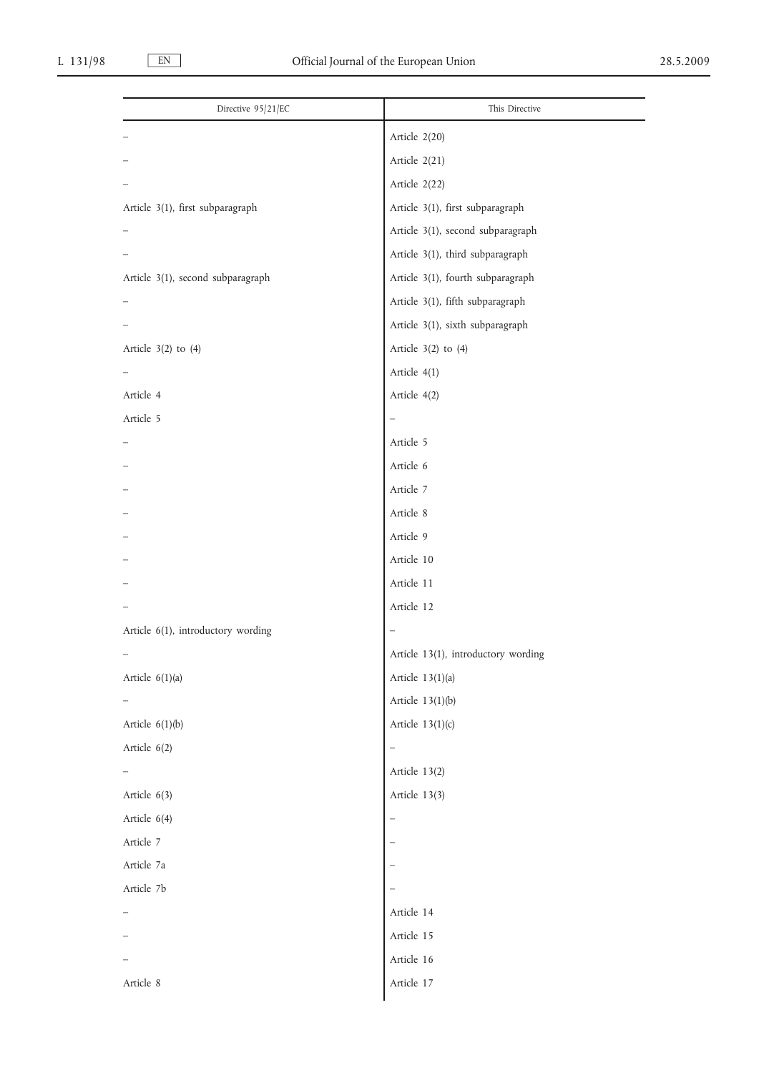| Directive 95/21/EC                 | This Directive                      |
|------------------------------------|-------------------------------------|
|                                    | Article 2(20)                       |
|                                    | Article 2(21)                       |
|                                    | Article 2(22)                       |
| Article 3(1), first subparagraph   | Article 3(1), first subparagraph    |
|                                    | Article 3(1), second subparagraph   |
|                                    | Article 3(1), third subparagraph    |
| Article 3(1), second subparagraph  | Article 3(1), fourth subparagraph   |
|                                    | Article 3(1), fifth subparagraph    |
|                                    | Article 3(1), sixth subparagraph    |
| Article $3(2)$ to $(4)$            | Article $3(2)$ to $(4)$             |
|                                    | Article 4(1)                        |
| Article 4                          | Article 4(2)                        |
| Article 5                          |                                     |
|                                    | Article 5                           |
|                                    | Article 6                           |
|                                    | Article 7                           |
|                                    | Article 8                           |
|                                    | Article 9                           |
|                                    | Article 10                          |
|                                    | Article 11                          |
|                                    | Article 12                          |
| Article 6(1), introductory wording |                                     |
|                                    | Article 13(1), introductory wording |
| Article $6(1)(a)$                  | Article 13(1)(a)                    |
|                                    | Article $13(1)(b)$                  |
| Article $6(1)(b)$                  | Article $13(1)(c)$                  |
| Article 6(2)                       | -                                   |
|                                    | Article 13(2)                       |
| Article 6(3)                       | Article 13(3)                       |
| Article 6(4)                       | —                                   |
| Article 7                          |                                     |
| Article 7a                         |                                     |
| Article 7b                         |                                     |
|                                    | Article 14                          |
|                                    | Article 15                          |
|                                    | Article 16                          |
| Article 8                          | Article 17                          |
|                                    |                                     |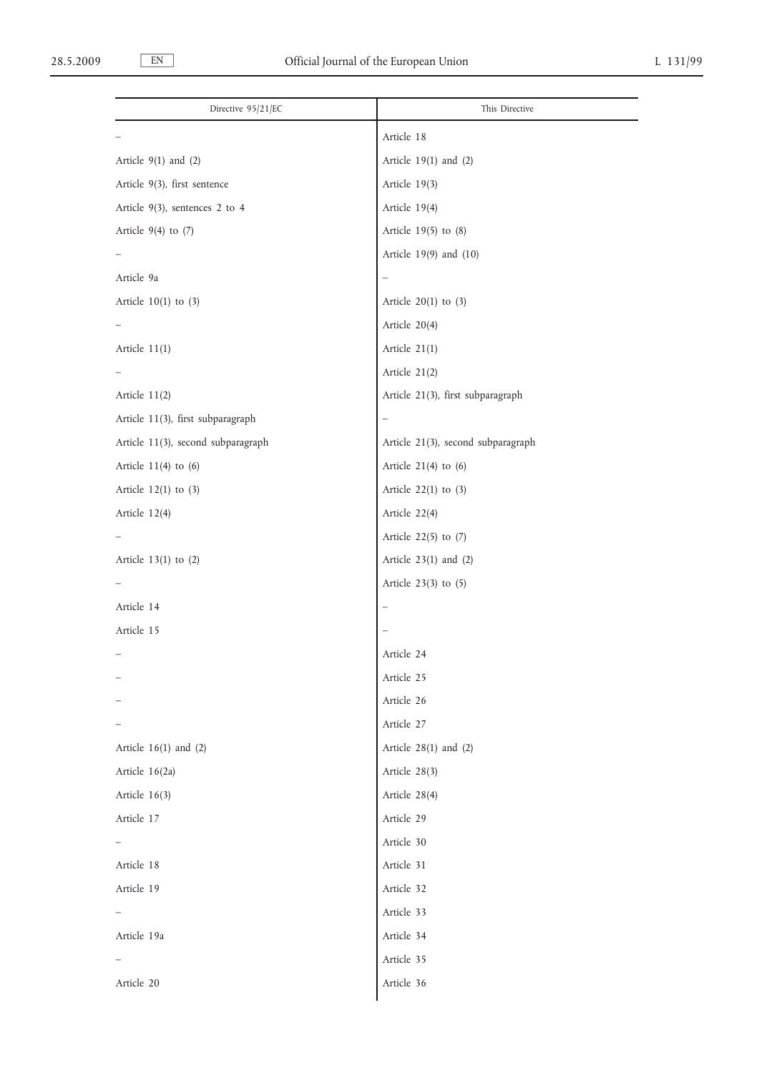| Article 18<br>Article $9(1)$ and $(2)$<br>Article $19(1)$ and $(2)$<br>Article 9(3), first sentence<br>Article 19(3)<br>Article 9(3), sentences 2 to 4<br>Article 19(4)<br>Article $9(4)$ to $(7)$<br>Article $19(5)$ to $(8)$<br>Article 19(9) and (10)<br>Article 9a<br>Article $10(1)$ to $(3)$<br>Article $20(1)$ to $(3)$<br>Article 20(4)<br>Article 11(1)<br>Article 21(1)<br>Article 21(2)<br>Article 21(3), first subparagraph<br>Article $11(2)$<br>Article 11(3), first subparagraph<br>Article 11(3), second subparagraph<br>Article 21(3), second subparagraph<br>Article $11(4)$ to $(6)$<br>Article $21(4)$ to $(6)$<br>Article $22(1)$ to $(3)$<br>Article $12(1)$ to $(3)$<br>Article 12(4)<br>Article 22(4)<br>Article $22(5)$ to $(7)$<br>Article 23(1) and (2)<br>Article $13(1)$ to $(2)$<br>Article $23(3)$ to $(5)$<br>Article 14<br>Article 15<br>Article 24<br>Article 25<br>Article 26<br>Article 27<br>Article $28(1)$ and $(2)$<br>Article $16(1)$ and $(2)$<br>Article 16(2a)<br>Article 28(3)<br>Article 16(3)<br>Article 28(4)<br>Article 17<br>Article 29<br>Article 30<br>Article 18<br>Article 31<br>Article 19<br>Article 32<br>Article 33<br>Article 19a<br>Article 34<br>Article 35<br>Article 20<br>Article 36 | Directive 95/21/EC | This Directive |
|------------------------------------------------------------------------------------------------------------------------------------------------------------------------------------------------------------------------------------------------------------------------------------------------------------------------------------------------------------------------------------------------------------------------------------------------------------------------------------------------------------------------------------------------------------------------------------------------------------------------------------------------------------------------------------------------------------------------------------------------------------------------------------------------------------------------------------------------------------------------------------------------------------------------------------------------------------------------------------------------------------------------------------------------------------------------------------------------------------------------------------------------------------------------------------------------------------------------------------------------------|--------------------|----------------|
|                                                                                                                                                                                                                                                                                                                                                                                                                                                                                                                                                                                                                                                                                                                                                                                                                                                                                                                                                                                                                                                                                                                                                                                                                                                      |                    |                |
|                                                                                                                                                                                                                                                                                                                                                                                                                                                                                                                                                                                                                                                                                                                                                                                                                                                                                                                                                                                                                                                                                                                                                                                                                                                      |                    |                |
|                                                                                                                                                                                                                                                                                                                                                                                                                                                                                                                                                                                                                                                                                                                                                                                                                                                                                                                                                                                                                                                                                                                                                                                                                                                      |                    |                |
|                                                                                                                                                                                                                                                                                                                                                                                                                                                                                                                                                                                                                                                                                                                                                                                                                                                                                                                                                                                                                                                                                                                                                                                                                                                      |                    |                |
|                                                                                                                                                                                                                                                                                                                                                                                                                                                                                                                                                                                                                                                                                                                                                                                                                                                                                                                                                                                                                                                                                                                                                                                                                                                      |                    |                |
|                                                                                                                                                                                                                                                                                                                                                                                                                                                                                                                                                                                                                                                                                                                                                                                                                                                                                                                                                                                                                                                                                                                                                                                                                                                      |                    |                |
|                                                                                                                                                                                                                                                                                                                                                                                                                                                                                                                                                                                                                                                                                                                                                                                                                                                                                                                                                                                                                                                                                                                                                                                                                                                      |                    |                |
|                                                                                                                                                                                                                                                                                                                                                                                                                                                                                                                                                                                                                                                                                                                                                                                                                                                                                                                                                                                                                                                                                                                                                                                                                                                      |                    |                |
|                                                                                                                                                                                                                                                                                                                                                                                                                                                                                                                                                                                                                                                                                                                                                                                                                                                                                                                                                                                                                                                                                                                                                                                                                                                      |                    |                |
|                                                                                                                                                                                                                                                                                                                                                                                                                                                                                                                                                                                                                                                                                                                                                                                                                                                                                                                                                                                                                                                                                                                                                                                                                                                      |                    |                |
|                                                                                                                                                                                                                                                                                                                                                                                                                                                                                                                                                                                                                                                                                                                                                                                                                                                                                                                                                                                                                                                                                                                                                                                                                                                      |                    |                |
|                                                                                                                                                                                                                                                                                                                                                                                                                                                                                                                                                                                                                                                                                                                                                                                                                                                                                                                                                                                                                                                                                                                                                                                                                                                      |                    |                |
|                                                                                                                                                                                                                                                                                                                                                                                                                                                                                                                                                                                                                                                                                                                                                                                                                                                                                                                                                                                                                                                                                                                                                                                                                                                      |                    |                |
|                                                                                                                                                                                                                                                                                                                                                                                                                                                                                                                                                                                                                                                                                                                                                                                                                                                                                                                                                                                                                                                                                                                                                                                                                                                      |                    |                |
|                                                                                                                                                                                                                                                                                                                                                                                                                                                                                                                                                                                                                                                                                                                                                                                                                                                                                                                                                                                                                                                                                                                                                                                                                                                      |                    |                |
|                                                                                                                                                                                                                                                                                                                                                                                                                                                                                                                                                                                                                                                                                                                                                                                                                                                                                                                                                                                                                                                                                                                                                                                                                                                      |                    |                |
|                                                                                                                                                                                                                                                                                                                                                                                                                                                                                                                                                                                                                                                                                                                                                                                                                                                                                                                                                                                                                                                                                                                                                                                                                                                      |                    |                |
|                                                                                                                                                                                                                                                                                                                                                                                                                                                                                                                                                                                                                                                                                                                                                                                                                                                                                                                                                                                                                                                                                                                                                                                                                                                      |                    |                |
|                                                                                                                                                                                                                                                                                                                                                                                                                                                                                                                                                                                                                                                                                                                                                                                                                                                                                                                                                                                                                                                                                                                                                                                                                                                      |                    |                |
|                                                                                                                                                                                                                                                                                                                                                                                                                                                                                                                                                                                                                                                                                                                                                                                                                                                                                                                                                                                                                                                                                                                                                                                                                                                      |                    |                |
|                                                                                                                                                                                                                                                                                                                                                                                                                                                                                                                                                                                                                                                                                                                                                                                                                                                                                                                                                                                                                                                                                                                                                                                                                                                      |                    |                |
|                                                                                                                                                                                                                                                                                                                                                                                                                                                                                                                                                                                                                                                                                                                                                                                                                                                                                                                                                                                                                                                                                                                                                                                                                                                      |                    |                |
|                                                                                                                                                                                                                                                                                                                                                                                                                                                                                                                                                                                                                                                                                                                                                                                                                                                                                                                                                                                                                                                                                                                                                                                                                                                      |                    |                |
|                                                                                                                                                                                                                                                                                                                                                                                                                                                                                                                                                                                                                                                                                                                                                                                                                                                                                                                                                                                                                                                                                                                                                                                                                                                      |                    |                |
|                                                                                                                                                                                                                                                                                                                                                                                                                                                                                                                                                                                                                                                                                                                                                                                                                                                                                                                                                                                                                                                                                                                                                                                                                                                      |                    |                |
|                                                                                                                                                                                                                                                                                                                                                                                                                                                                                                                                                                                                                                                                                                                                                                                                                                                                                                                                                                                                                                                                                                                                                                                                                                                      |                    |                |
|                                                                                                                                                                                                                                                                                                                                                                                                                                                                                                                                                                                                                                                                                                                                                                                                                                                                                                                                                                                                                                                                                                                                                                                                                                                      |                    |                |
|                                                                                                                                                                                                                                                                                                                                                                                                                                                                                                                                                                                                                                                                                                                                                                                                                                                                                                                                                                                                                                                                                                                                                                                                                                                      |                    |                |
|                                                                                                                                                                                                                                                                                                                                                                                                                                                                                                                                                                                                                                                                                                                                                                                                                                                                                                                                                                                                                                                                                                                                                                                                                                                      |                    |                |
|                                                                                                                                                                                                                                                                                                                                                                                                                                                                                                                                                                                                                                                                                                                                                                                                                                                                                                                                                                                                                                                                                                                                                                                                                                                      |                    |                |
|                                                                                                                                                                                                                                                                                                                                                                                                                                                                                                                                                                                                                                                                                                                                                                                                                                                                                                                                                                                                                                                                                                                                                                                                                                                      |                    |                |
|                                                                                                                                                                                                                                                                                                                                                                                                                                                                                                                                                                                                                                                                                                                                                                                                                                                                                                                                                                                                                                                                                                                                                                                                                                                      |                    |                |
|                                                                                                                                                                                                                                                                                                                                                                                                                                                                                                                                                                                                                                                                                                                                                                                                                                                                                                                                                                                                                                                                                                                                                                                                                                                      |                    |                |
|                                                                                                                                                                                                                                                                                                                                                                                                                                                                                                                                                                                                                                                                                                                                                                                                                                                                                                                                                                                                                                                                                                                                                                                                                                                      |                    |                |
|                                                                                                                                                                                                                                                                                                                                                                                                                                                                                                                                                                                                                                                                                                                                                                                                                                                                                                                                                                                                                                                                                                                                                                                                                                                      |                    |                |
|                                                                                                                                                                                                                                                                                                                                                                                                                                                                                                                                                                                                                                                                                                                                                                                                                                                                                                                                                                                                                                                                                                                                                                                                                                                      |                    |                |
|                                                                                                                                                                                                                                                                                                                                                                                                                                                                                                                                                                                                                                                                                                                                                                                                                                                                                                                                                                                                                                                                                                                                                                                                                                                      |                    |                |